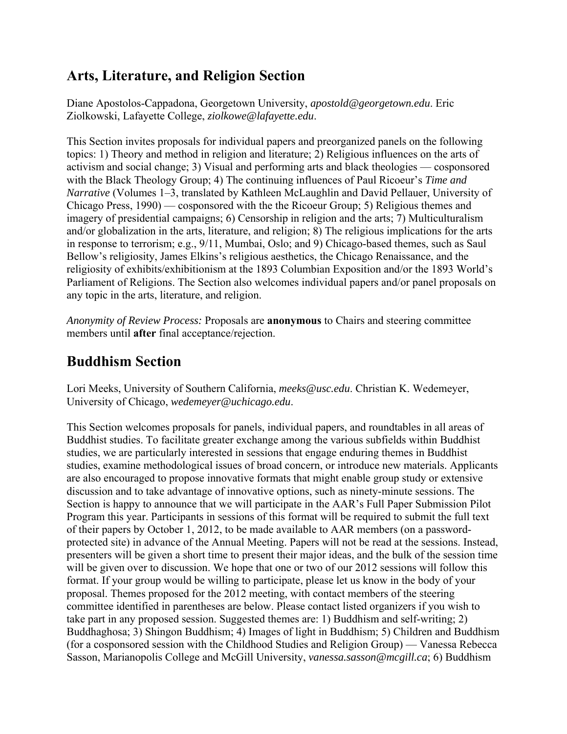#### **Arts, Literature, and Religion Section**

Diane Apostolos-Cappadona, Georgetown University, *apostold@georgetown.edu*. Eric Ziolkowski, Lafayette College, *ziolkowe@lafayette.edu*.

This Section invites proposals for individual papers and preorganized panels on the following topics: 1) Theory and method in religion and literature; 2) Religious influences on the arts of activism and social change; 3) Visual and performing arts and black theologies — cosponsored with the Black Theology Group; 4) The continuing influences of Paul Ricoeur's *Time and Narrative* (Volumes 1–3, translated by Kathleen McLaughlin and David Pellauer, University of Chicago Press, 1990) — cosponsored with the the Ricoeur Group; 5) Religious themes and imagery of presidential campaigns; 6) Censorship in religion and the arts; 7) Multiculturalism and/or globalization in the arts, literature, and religion; 8) The religious implications for the arts in response to terrorism; e.g., 9/11, Mumbai, Oslo; and 9) Chicago-based themes, such as Saul Bellow's religiosity, James Elkins's religious aesthetics, the Chicago Renaissance, and the religiosity of exhibits/exhibitionism at the 1893 Columbian Exposition and/or the 1893 World's Parliament of Religions. The Section also welcomes individual papers and/or panel proposals on any topic in the arts, literature, and religion.

*Anonymity of Review Process:* Proposals are **anonymous** to Chairs and steering committee members until **after** final acceptance/rejection.

### **Buddhism Section**

Lori Meeks, University of Southern California, *meeks@usc.edu*. Christian K. Wedemeyer, University of Chicago, *wedemeyer@uchicago.edu*.

This Section welcomes proposals for panels, individual papers, and roundtables in all areas of Buddhist studies. To facilitate greater exchange among the various subfields within Buddhist studies, we are particularly interested in sessions that engage enduring themes in Buddhist studies, examine methodological issues of broad concern, or introduce new materials. Applicants are also encouraged to propose innovative formats that might enable group study or extensive discussion and to take advantage of innovative options, such as ninety-minute sessions. The Section is happy to announce that we will participate in the AAR's Full Paper Submission Pilot Program this year. Participants in sessions of this format will be required to submit the full text of their papers by October 1, 2012, to be made available to AAR members (on a passwordprotected site) in advance of the Annual Meeting. Papers will not be read at the sessions. Instead, presenters will be given a short time to present their major ideas, and the bulk of the session time will be given over to discussion. We hope that one or two of our 2012 sessions will follow this format. If your group would be willing to participate, please let us know in the body of your proposal. Themes proposed for the 2012 meeting, with contact members of the steering committee identified in parentheses are below. Please contact listed organizers if you wish to take part in any proposed session. Suggested themes are: 1) Buddhism and self-writing; 2) Buddhaghosa; 3) Shingon Buddhism; 4) Images of light in Buddhism; 5) Children and Buddhism (for a cosponsored session with the Childhood Studies and Religion Group) — Vanessa Rebecca Sasson, Marianopolis College and McGill University, *vanessa.sasson@mcgill.ca*; 6) Buddhism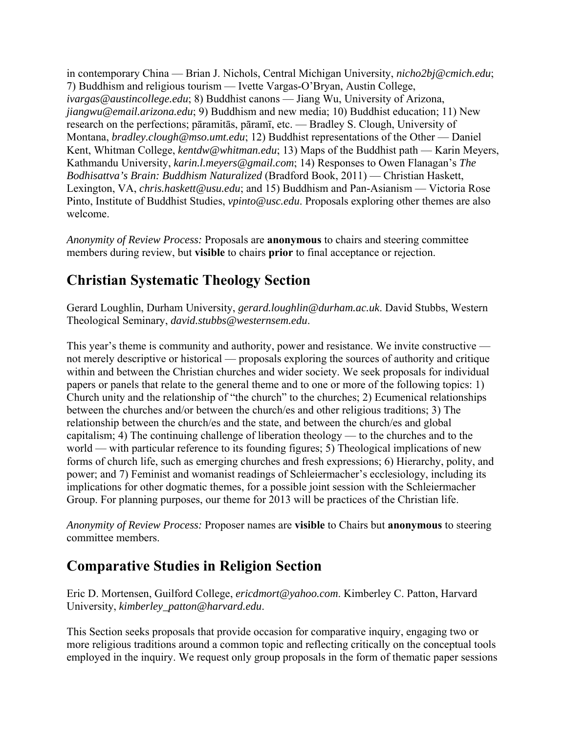in contemporary China — Brian J. Nichols, Central Michigan University, *nicho2bj@cmich.edu*; 7) Buddhism and religious tourism — Ivette Vargas-O'Bryan, Austin College, *ivargas@austincollege.edu*; 8) Buddhist canons — Jiang Wu, University of Arizona, *jiangwu@email.arizona.edu*; 9) Buddhism and new media; 10) Buddhist education; 11) New research on the perfections; pāramitās, pāramī, etc. — Bradley S. Clough, University of Montana, *bradley.clough@mso.umt.edu*; 12) Buddhist representations of the Other — Daniel Kent, Whitman College, *kentdw@whitman.edu*; 13) Maps of the Buddhist path — Karin Meyers, Kathmandu University, *karin.l.meyers@gmail.com*; 14) Responses to Owen Flanagan's *The Bodhisattva's Brain: Buddhism Naturalized* (Bradford Book, 2011) — Christian Haskett, Lexington, VA, *chris.haskett@usu.edu*; and 15) Buddhism and Pan-Asianism — Victoria Rose Pinto, Institute of Buddhist Studies, *vpinto@usc.edu*. Proposals exploring other themes are also welcome.

*Anonymity of Review Process:* Proposals are **anonymous** to chairs and steering committee members during review, but **visible** to chairs **prior** to final acceptance or rejection.

## **Christian Systematic Theology Section**

Gerard Loughlin, Durham University, *gerard.loughlin@durham.ac.uk*. David Stubbs, Western Theological Seminary, *david.stubbs@westernsem.edu*.

This year's theme is community and authority, power and resistance. We invite constructive not merely descriptive or historical — proposals exploring the sources of authority and critique within and between the Christian churches and wider society. We seek proposals for individual papers or panels that relate to the general theme and to one or more of the following topics: 1) Church unity and the relationship of "the church" to the churches; 2) Ecumenical relationships between the churches and/or between the church/es and other religious traditions; 3) The relationship between the church/es and the state, and between the church/es and global capitalism; 4) The continuing challenge of liberation theology — to the churches and to the world — with particular reference to its founding figures; 5) Theological implications of new forms of church life, such as emerging churches and fresh expressions; 6) Hierarchy, polity, and power; and 7) Feminist and womanist readings of Schleiermacher's ecclesiology, including its implications for other dogmatic themes, for a possible joint session with the Schleiermacher Group. For planning purposes, our theme for 2013 will be practices of the Christian life.

*Anonymity of Review Process:* Proposer names are **visible** to Chairs but **anonymous** to steering committee members.

### **Comparative Studies in Religion Section**

Eric D. Mortensen, Guilford College, *ericdmort@yahoo.com*. Kimberley C. Patton, Harvard University, *kimberley\_patton@harvard.edu*.

This Section seeks proposals that provide occasion for comparative inquiry, engaging two or more religious traditions around a common topic and reflecting critically on the conceptual tools employed in the inquiry. We request only group proposals in the form of thematic paper sessions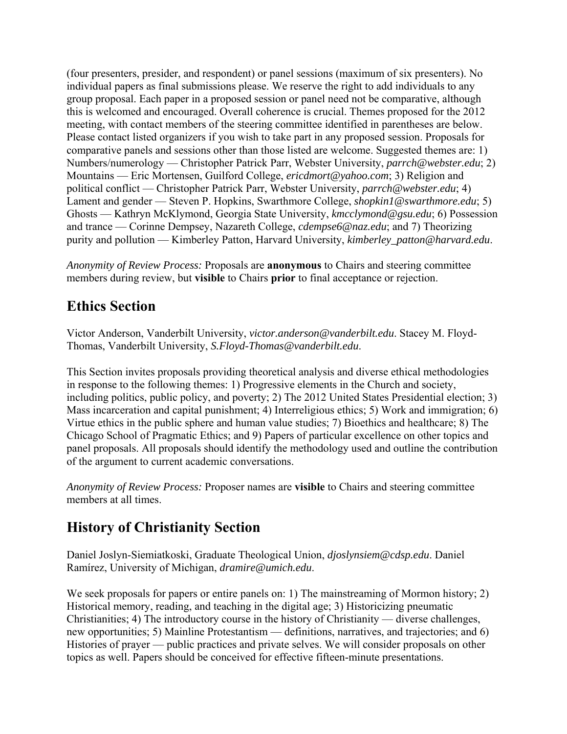(four presenters, presider, and respondent) or panel sessions (maximum of six presenters). No individual papers as final submissions please. We reserve the right to add individuals to any group proposal. Each paper in a proposed session or panel need not be comparative, although this is welcomed and encouraged. Overall coherence is crucial. Themes proposed for the 2012 meeting, with contact members of the steering committee identified in parentheses are below. Please contact listed organizers if you wish to take part in any proposed session. Proposals for comparative panels and sessions other than those listed are welcome. Suggested themes are: 1) Numbers/numerology — Christopher Patrick Parr, Webster University, *parrch@webster.edu*; 2) Mountains — Eric Mortensen, Guilford College, *ericdmort@yahoo.com*; 3) Religion and political conflict — Christopher Patrick Parr, Webster University, *parrch@webster.edu*; 4) Lament and gender — Steven P. Hopkins, Swarthmore College, *shopkin1@swarthmore.edu*; 5) Ghosts — Kathryn McKlymond, Georgia State University, *kmcclymond@gsu.edu*; 6) Possession and trance — Corinne Dempsey, Nazareth College, *cdempse6@naz.edu*; and 7) Theorizing purity and pollution — Kimberley Patton, Harvard University, *kimberley\_patton@harvard.edu*.

*Anonymity of Review Process:* Proposals are **anonymous** to Chairs and steering committee members during review, but **visible** to Chairs **prior** to final acceptance or rejection.

#### **Ethics Section**

Victor Anderson, Vanderbilt University, *victor.anderson@vanderbilt.edu*. Stacey M. Floyd-Thomas, Vanderbilt University, *S.Floyd-Thomas@vanderbilt.edu*.

This Section invites proposals providing theoretical analysis and diverse ethical methodologies in response to the following themes: 1) Progressive elements in the Church and society, including politics, public policy, and poverty; 2) The 2012 United States Presidential election; 3) Mass incarceration and capital punishment; 4) Interreligious ethics; 5) Work and immigration; 6) Virtue ethics in the public sphere and human value studies; 7) Bioethics and healthcare; 8) The Chicago School of Pragmatic Ethics; and 9) Papers of particular excellence on other topics and panel proposals. All proposals should identify the methodology used and outline the contribution of the argument to current academic conversations.

*Anonymity of Review Process:* Proposer names are **visible** to Chairs and steering committee members at all times.

### **History of Christianity Section**

Daniel Joslyn-Siemiatkoski, Graduate Theological Union, *djoslynsiem@cdsp.edu*. Daniel Ramírez, University of Michigan, *dramire@umich.edu*.

We seek proposals for papers or entire panels on: 1) The mainstreaming of Mormon history; 2) Historical memory, reading, and teaching in the digital age; 3) Historicizing pneumatic Christianities; 4) The introductory course in the history of Christianity — diverse challenges, new opportunities; 5) Mainline Protestantism — definitions, narratives, and trajectories; and 6) Histories of prayer — public practices and private selves. We will consider proposals on other topics as well. Papers should be conceived for effective fifteen-minute presentations.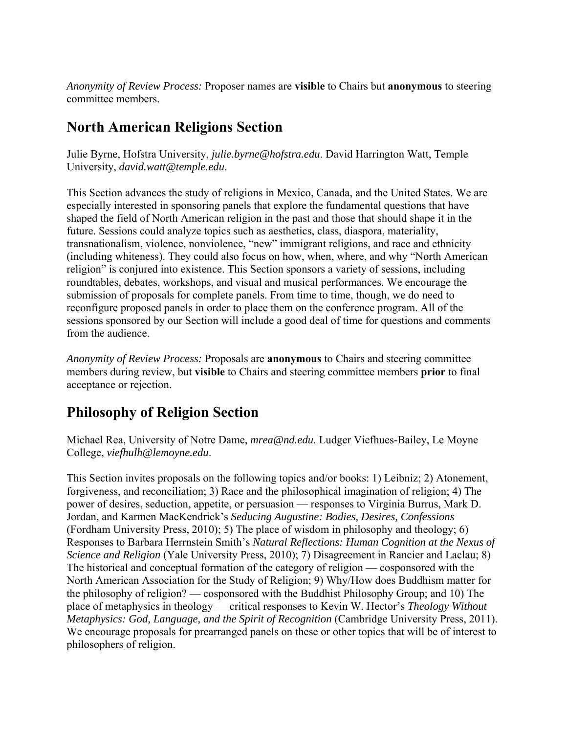*Anonymity of Review Process:* Proposer names are **visible** to Chairs but **anonymous** to steering committee members.

#### **North American Religions Section**

Julie Byrne, Hofstra University, *julie.byrne@hofstra.edu*. David Harrington Watt, Temple University, *david.watt@temple.edu*.

This Section advances the study of religions in Mexico, Canada, and the United States. We are especially interested in sponsoring panels that explore the fundamental questions that have shaped the field of North American religion in the past and those that should shape it in the future. Sessions could analyze topics such as aesthetics, class, diaspora, materiality, transnationalism, violence, nonviolence, "new" immigrant religions, and race and ethnicity (including whiteness). They could also focus on how, when, where, and why "North American religion" is conjured into existence. This Section sponsors a variety of sessions, including roundtables, debates, workshops, and visual and musical performances. We encourage the submission of proposals for complete panels. From time to time, though, we do need to reconfigure proposed panels in order to place them on the conference program. All of the sessions sponsored by our Section will include a good deal of time for questions and comments from the audience.

*Anonymity of Review Process:* Proposals are **anonymous** to Chairs and steering committee members during review, but **visible** to Chairs and steering committee members **prior** to final acceptance or rejection.

### **Philosophy of Religion Section**

Michael Rea, University of Notre Dame, *mrea@nd.edu*. Ludger Viefhues-Bailey, Le Moyne College, *viefhulh@lemoyne.edu*.

This Section invites proposals on the following topics and/or books: 1) Leibniz; 2) Atonement, forgiveness, and reconciliation; 3) Race and the philosophical imagination of religion; 4) The power of desires, seduction, appetite, or persuasion — responses to Virginia Burrus, Mark D. Jordan, and Karmen MacKendrick's *Seducing Augustine: Bodies, Desires, Confessions* (Fordham University Press, 2010); 5) The place of wisdom in philosophy and theology; 6) Responses to Barbara Herrnstein Smith's *Natural Reflections: Human Cognition at the Nexus of Science and Religion* (Yale University Press, 2010); 7) Disagreement in Rancier and Laclau; 8) The historical and conceptual formation of the category of religion — cosponsored with the North American Association for the Study of Religion; 9) Why/How does Buddhism matter for the philosophy of religion? — cosponsored with the Buddhist Philosophy Group; and 10) The place of metaphysics in theology — critical responses to Kevin W. Hector's *Theology Without Metaphysics: God, Language, and the Spirit of Recognition* (Cambridge University Press, 2011). We encourage proposals for prearranged panels on these or other topics that will be of interest to philosophers of religion.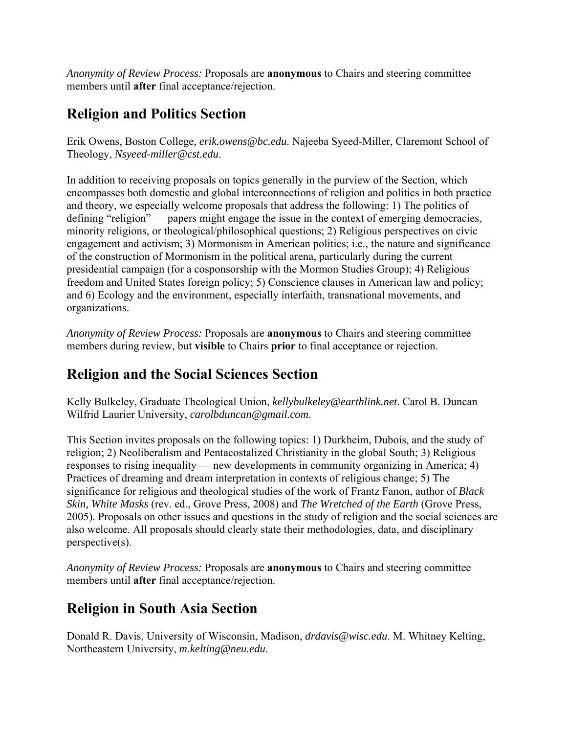*Anonymity of Review Process:* Proposals are **anonymous** to Chairs and steering committee members until **after** final acceptance/rejection.

### **Religion and Politics Section**

Erik Owens, Boston College, *erik.owens@bc.edu*. Najeeba Syeed-Miller, Claremont School of Theology, *Nsyeed-miller@cst.edu*.

In addition to receiving proposals on topics generally in the purview of the Section, which encompasses both domestic and global interconnections of religion and politics in both practice and theory, we especially welcome proposals that address the following: 1) The politics of defining "religion" — papers might engage the issue in the context of emerging democracies, minority religions, or theological/philosophical questions; 2) Religious perspectives on civic engagement and activism; 3) Mormonism in American politics; i.e., the nature and significance of the construction of Mormonism in the political arena, particularly during the current presidential campaign (for a cosponsorship with the Mormon Studies Group); 4) Religious freedom and United States foreign policy; 5) Conscience clauses in American law and policy; and 6) Ecology and the environment, especially interfaith, transnational movements, and organizations.

*Anonymity of Review Process:* Proposals are **anonymous** to Chairs and steering committee members during review, but **visible** to Chairs **prior** to final acceptance or rejection.

#### **Religion and the Social Sciences Section**

Kelly Bulkeley, Graduate Theological Union, *kellybulkeley@earthlink.net*. Carol B. Duncan Wilfrid Laurier University, *carolbduncan@gmail.com*.

This Section invites proposals on the following topics: 1) Durkheim, Dubois, and the study of religion; 2) Neoliberalism and Pentacostalized Christianity in the global South; 3) Religious responses to rising inequality — new developments in community organizing in America; 4) Practices of dreaming and dream interpretation in contexts of religious change; 5) The significance for religious and theological studies of the work of Frantz Fanon, author of *Black Skin, White Masks* (rev. ed., Grove Press, 2008) and *The Wretched of the Earth* (Grove Press, 2005). Proposals on other issues and questions in the study of religion and the social sciences are also welcome. All proposals should clearly state their methodologies, data, and disciplinary perspective(s).

*Anonymity of Review Process:* Proposals are **anonymous** to Chairs and steering committee members until **after** final acceptance/rejection.

### **Religion in South Asia Section**

Donald R. Davis, University of Wisconsin, Madison, *drdavis@wisc.edu*. M. Whitney Kelting, Northeastern University, *m.kelting@neu.edu*.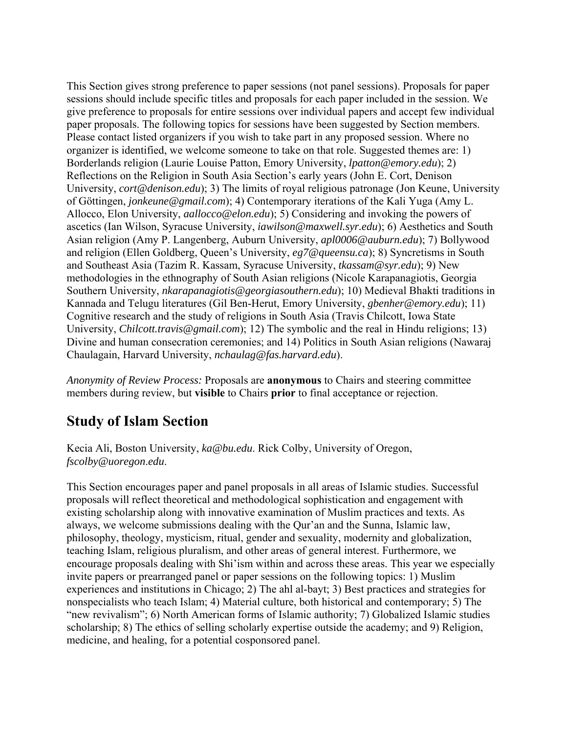This Section gives strong preference to paper sessions (not panel sessions). Proposals for paper sessions should include specific titles and proposals for each paper included in the session. We give preference to proposals for entire sessions over individual papers and accept few individual paper proposals. The following topics for sessions have been suggested by Section members. Please contact listed organizers if you wish to take part in any proposed session. Where no organizer is identified, we welcome someone to take on that role. Suggested themes are: 1) Borderlands religion (Laurie Louise Patton, Emory University, *lpatton@emory.edu*); 2) Reflections on the Religion in South Asia Section's early years (John E. Cort, Denison University, *cort@denison.edu*); 3) The limits of royal religious patronage (Jon Keune, University of Göttingen, *jonkeune@gmail.com*); 4) Contemporary iterations of the Kali Yuga (Amy L. Allocco, Elon University, *aallocco@elon.edu*); 5) Considering and invoking the powers of ascetics (Ian Wilson, Syracuse University, *iawilson@maxwell.syr.edu*); 6) Aesthetics and South Asian religion (Amy P. Langenberg, Auburn University, *apl0006@auburn.edu*); 7) Bollywood and religion (Ellen Goldberg, Queen's University, *eg7@queensu.ca*); 8) Syncretisms in South and Southeast Asia (Tazim R. Kassam, Syracuse University, *tkassam@syr.edu*); 9) New methodologies in the ethnography of South Asian religions (Nicole Karapanagiotis, Georgia Southern University, *nkarapanagiotis@georgiasouthern.edu*); 10) Medieval Bhakti traditions in Kannada and Telugu literatures (Gil Ben-Herut, Emory University, *gbenher@emory.edu*); 11) Cognitive research and the study of religions in South Asia (Travis Chilcott, Iowa State University, *Chilcott.travis@gmail.com*); 12) The symbolic and the real in Hindu religions; 13) Divine and human consecration ceremonies; and 14) Politics in South Asian religions (Nawaraj Chaulagain, Harvard University, *nchaulag@fas.harvard.edu*).

*Anonymity of Review Process:* Proposals are **anonymous** to Chairs and steering committee members during review, but **visible** to Chairs **prior** to final acceptance or rejection.

### **Study of Islam Section**

Kecia Ali, Boston University, *ka@bu.edu*. Rick Colby, University of Oregon, *fscolby@uoregon*.*edu*.

This Section encourages paper and panel proposals in all areas of Islamic studies. Successful proposals will reflect theoretical and methodological sophistication and engagement with existing scholarship along with innovative examination of Muslim practices and texts. As always, we welcome submissions dealing with the Qur'an and the Sunna, Islamic law, philosophy, theology, mysticism, ritual, gender and sexuality, modernity and globalization, teaching Islam, religious pluralism, and other areas of general interest. Furthermore, we encourage proposals dealing with Shi'ism within and across these areas. This year we especially invite papers or prearranged panel or paper sessions on the following topics: 1) Muslim experiences and institutions in Chicago; 2) The ahl al-bayt; 3) Best practices and strategies for nonspecialists who teach Islam; 4) Material culture, both historical and contemporary; 5) The "new revivalism"; 6) North American forms of Islamic authority; 7) Globalized Islamic studies scholarship; 8) The ethics of selling scholarly expertise outside the academy; and 9) Religion, medicine, and healing, for a potential cosponsored panel.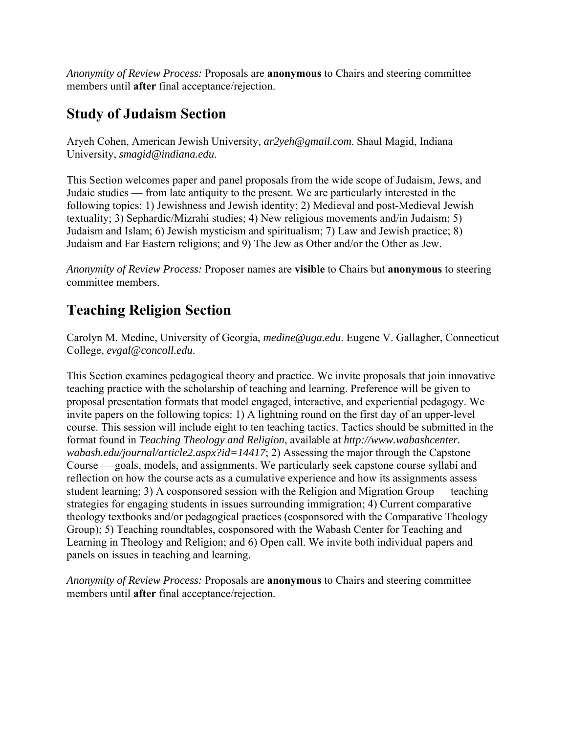*Anonymity of Review Process:* Proposals are **anonymous** to Chairs and steering committee members until **after** final acceptance/rejection.

#### **Study of Judaism Section**

Aryeh Cohen, American Jewish University, *ar2yeh@gmail.com*. Shaul Magid, Indiana University, *smagid@indiana.edu*.

This Section welcomes paper and panel proposals from the wide scope of Judaism, Jews, and Judaic studies — from late antiquity to the present. We are particularly interested in the following topics: 1) Jewishness and Jewish identity; 2) Medieval and post-Medieval Jewish textuality; 3) Sephardic/Mizrahi studies; 4) New religious movements and/in Judaism; 5) Judaism and Islam; 6) Jewish mysticism and spiritualism; 7) Law and Jewish practice; 8) Judaism and Far Eastern religions; and 9) The Jew as Other and/or the Other as Jew.

*Anonymity of Review Process:* Proposer names are **visible** to Chairs but **anonymous** to steering committee members.

## **Teaching Religion Section**

Carolyn M. Medine, University of Georgia, *medine@uga.edu*. Eugene V. Gallagher, Connecticut College, *evgal@concoll.edu*.

This Section examines pedagogical theory and practice. We invite proposals that join innovative teaching practice with the scholarship of teaching and learning. Preference will be given to proposal presentation formats that model engaged, interactive, and experiential pedagogy. We invite papers on the following topics: 1) A lightning round on the first day of an upper-level course. This session will include eight to ten teaching tactics. Tactics should be submitted in the format found in *Teaching Theology and Religion*, available at *http://www.wabashcenter. wabash.edu/journal/article2.aspx?id=14417*; 2) Assessing the major through the Capstone Course — goals, models, and assignments. We particularly seek capstone course syllabi and reflection on how the course acts as a cumulative experience and how its assignments assess student learning; 3) A cosponsored session with the Religion and Migration Group — teaching strategies for engaging students in issues surrounding immigration; 4) Current comparative theology textbooks and/or pedagogical practices (cosponsored with the Comparative Theology Group); 5) Teaching roundtables, cosponsored with the Wabash Center for Teaching and Learning in Theology and Religion; and 6) Open call. We invite both individual papers and panels on issues in teaching and learning.

*Anonymity of Review Process:* Proposals are **anonymous** to Chairs and steering committee members until **after** final acceptance/rejection.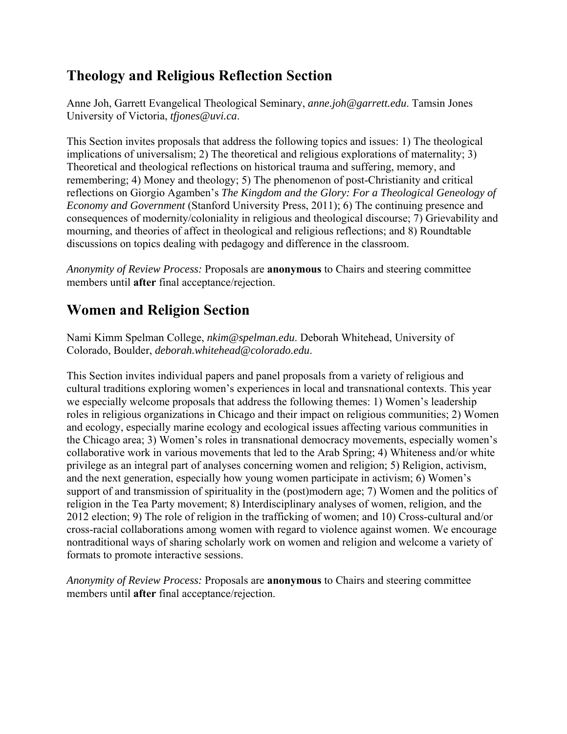### **Theology and Religious Reflection Section**

Anne Joh, Garrett Evangelical Theological Seminary, *anne.joh@garrett.edu*. Tamsin Jones University of Victoria, *tfjones@uvi.ca*.

This Section invites proposals that address the following topics and issues: 1) The theological implications of universalism; 2) The theoretical and religious explorations of maternality; 3) Theoretical and theological reflections on historical trauma and suffering, memory, and remembering; 4) Money and theology; 5) The phenomenon of post-Christianity and critical reflections on Giorgio Agamben's *The Kingdom and the Glory: For a Theological Geneology of Economy and Government* (Stanford University Press, 2011); 6) The continuing presence and consequences of modernity/coloniality in religious and theological discourse; 7) Grievability and mourning, and theories of affect in theological and religious reflections; and 8) Roundtable discussions on topics dealing with pedagogy and difference in the classroom.

*Anonymity of Review Process:* Proposals are **anonymous** to Chairs and steering committee members until **after** final acceptance/rejection.

#### **Women and Religion Section**

Nami Kimm Spelman College, *nkim@spelman.edu*. Deborah Whitehead, University of Colorado, Boulder, *deborah.whitehead@colorado.edu*.

This Section invites individual papers and panel proposals from a variety of religious and cultural traditions exploring women's experiences in local and transnational contexts. This year we especially welcome proposals that address the following themes: 1) Women's leadership roles in religious organizations in Chicago and their impact on religious communities; 2) Women and ecology, especially marine ecology and ecological issues affecting various communities in the Chicago area; 3) Women's roles in transnational democracy movements, especially women's collaborative work in various movements that led to the Arab Spring; 4) Whiteness and/or white privilege as an integral part of analyses concerning women and religion; 5) Religion, activism, and the next generation, especially how young women participate in activism; 6) Women's support of and transmission of spirituality in the (post)modern age; 7) Women and the politics of religion in the Tea Party movement; 8) Interdisciplinary analyses of women, religion, and the 2012 election; 9) The role of religion in the trafficking of women; and 10) Cross-cultural and/or cross-racial collaborations among women with regard to violence against women. We encourage nontraditional ways of sharing scholarly work on women and religion and welcome a variety of formats to promote interactive sessions.

*Anonymity of Review Process:* Proposals are **anonymous** to Chairs and steering committee members until **after** final acceptance/rejection.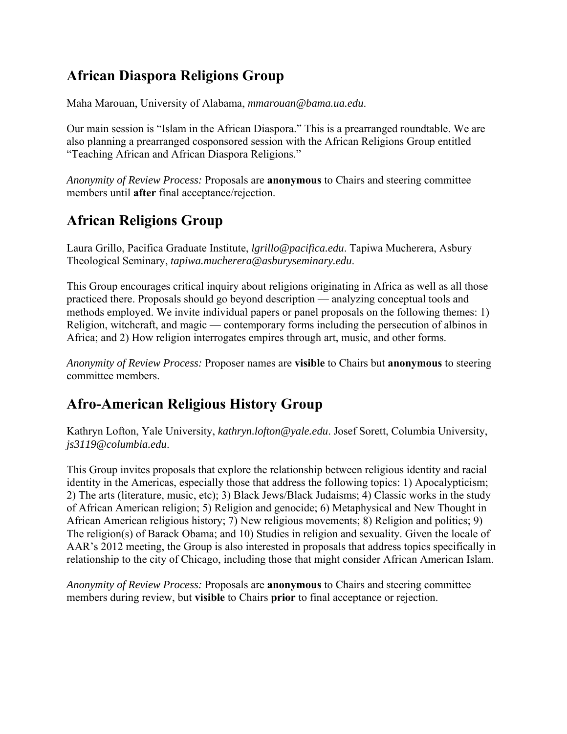## **African Diaspora Religions Group**

Maha Marouan, University of Alabama, *mmarouan@bama.ua.edu*.

Our main session is "Islam in the African Diaspora." This is a prearranged roundtable. We are also planning a prearranged cosponsored session with the African Religions Group entitled "Teaching African and African Diaspora Religions."

*Anonymity of Review Process:* Proposals are **anonymous** to Chairs and steering committee members until **after** final acceptance/rejection.

### **African Religions Group**

Laura Grillo, Pacifica Graduate Institute, *lgrillo@pacifica.edu*. Tapiwa Mucherera, Asbury Theological Seminary, *tapiwa.mucherera@asburyseminary.edu*.

This Group encourages critical inquiry about religions originating in Africa as well as all those practiced there. Proposals should go beyond description — analyzing conceptual tools and methods employed. We invite individual papers or panel proposals on the following themes: 1) Religion, witchcraft, and magic — contemporary forms including the persecution of albinos in Africa; and 2) How religion interrogates empires through art, music, and other forms.

*Anonymity of Review Process:* Proposer names are **visible** to Chairs but **anonymous** to steering committee members.

# **Afro-American Religious History Group**

Kathryn Lofton, Yale University, *kathryn.lofton@yale.edu*. Josef Sorett, Columbia University, *js3119@columbia.edu*.

This Group invites proposals that explore the relationship between religious identity and racial identity in the Americas, especially those that address the following topics: 1) Apocalypticism; 2) The arts (literature, music, etc); 3) Black Jews/Black Judaisms; 4) Classic works in the study of African American religion; 5) Religion and genocide; 6) Metaphysical and New Thought in African American religious history; 7) New religious movements; 8) Religion and politics; 9) The religion(s) of Barack Obama; and 10) Studies in religion and sexuality. Given the locale of AAR's 2012 meeting, the Group is also interested in proposals that address topics specifically in relationship to the city of Chicago, including those that might consider African American Islam.

*Anonymity of Review Process:* Proposals are **anonymous** to Chairs and steering committee members during review, but **visible** to Chairs **prior** to final acceptance or rejection.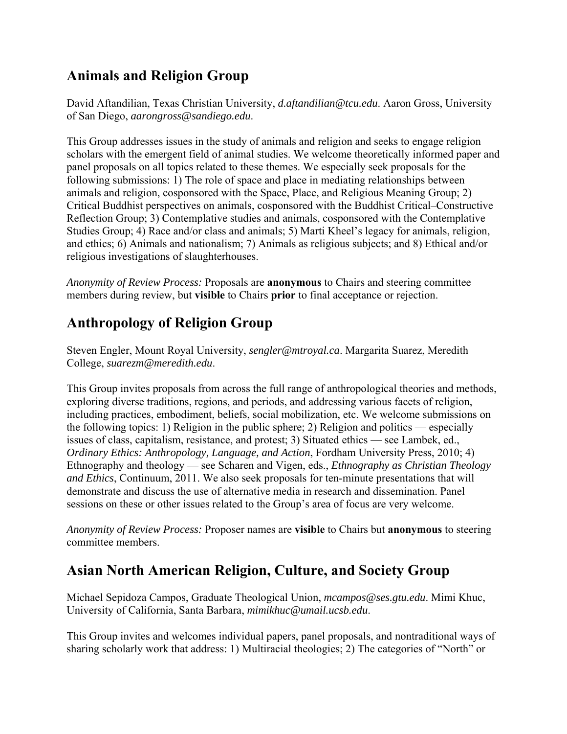## **Animals and Religion Group**

David Aftandilian, Texas Christian University, *d.aftandilian@tcu.edu*. Aaron Gross, University of San Diego, *aarongross@sandiego.edu*.

This Group addresses issues in the study of animals and religion and seeks to engage religion scholars with the emergent field of animal studies. We welcome theoretically informed paper and panel proposals on all topics related to these themes. We especially seek proposals for the following submissions: 1) The role of space and place in mediating relationships between animals and religion, cosponsored with the Space, Place, and Religious Meaning Group; 2) Critical Buddhist perspectives on animals, cosponsored with the Buddhist Critical–Constructive Reflection Group; 3) Contemplative studies and animals, cosponsored with the Contemplative Studies Group; 4) Race and/or class and animals; 5) Marti Kheel's legacy for animals, religion, and ethics; 6) Animals and nationalism; 7) Animals as religious subjects; and 8) Ethical and/or religious investigations of slaughterhouses.

*Anonymity of Review Process:* Proposals are **anonymous** to Chairs and steering committee members during review, but **visible** to Chairs **prior** to final acceptance or rejection.

## **Anthropology of Religion Group**

Steven Engler, Mount Royal University, *sengler@mtroyal.ca*. Margarita Suarez, Meredith College, *suarezm@meredith.edu*.

This Group invites proposals from across the full range of anthropological theories and methods, exploring diverse traditions, regions, and periods, and addressing various facets of religion, including practices, embodiment, beliefs, social mobilization, etc. We welcome submissions on the following topics: 1) Religion in the public sphere; 2) Religion and politics — especially issues of class, capitalism, resistance, and protest; 3) Situated ethics — see Lambek, ed., *Ordinary Ethics: Anthropology, Language, and Action*, Fordham University Press, 2010; 4) Ethnography and theology — see Scharen and Vigen, eds., *Ethnography as Christian Theology and Ethics*, Continuum, 2011. We also seek proposals for ten-minute presentations that will demonstrate and discuss the use of alternative media in research and dissemination. Panel sessions on these or other issues related to the Group's area of focus are very welcome.

*Anonymity of Review Process:* Proposer names are **visible** to Chairs but **anonymous** to steering committee members.

### **Asian North American Religion, Culture, and Society Group**

Michael Sepidoza Campos, Graduate Theological Union, *mcampos@ses.gtu.edu*. Mimi Khuc, University of California, Santa Barbara, *mimikhuc@umail.ucsb.edu*.

This Group invites and welcomes individual papers, panel proposals, and nontraditional ways of sharing scholarly work that address: 1) Multiracial theologies; 2) The categories of "North" or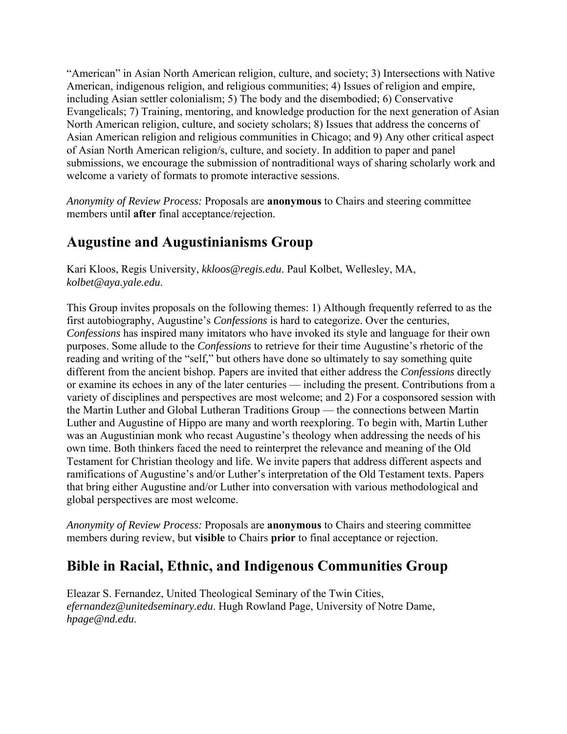"American" in Asian North American religion, culture, and society; 3) Intersections with Native American, indigenous religion, and religious communities; 4) Issues of religion and empire, including Asian settler colonialism; 5) The body and the disembodied; 6) Conservative Evangelicals; 7) Training, mentoring, and knowledge production for the next generation of Asian North American religion, culture, and society scholars; 8) Issues that address the concerns of Asian American religion and religious communities in Chicago; and 9) Any other critical aspect of Asian North American religion/s, culture, and society. In addition to paper and panel submissions, we encourage the submission of nontraditional ways of sharing scholarly work and welcome a variety of formats to promote interactive sessions.

*Anonymity of Review Process:* Proposals are **anonymous** to Chairs and steering committee members until **after** final acceptance/rejection.

## **Augustine and Augustinianisms Group**

Kari Kloos, Regis University, *kkloos@regis.edu*. Paul Kolbet, Wellesley, MA, *kolbet@aya.yale.edu*.

This Group invites proposals on the following themes: 1) Although frequently referred to as the first autobiography, Augustine's *Confessions* is hard to categorize. Over the centuries, *Confessions* has inspired many imitators who have invoked its style and language for their own purposes. Some allude to the *Confessions* to retrieve for their time Augustine's rhetoric of the reading and writing of the "self," but others have done so ultimately to say something quite different from the ancient bishop. Papers are invited that either address the *Confessions* directly or examine its echoes in any of the later centuries — including the present. Contributions from a variety of disciplines and perspectives are most welcome; and 2) For a cosponsored session with the Martin Luther and Global Lutheran Traditions Group — the connections between Martin Luther and Augustine of Hippo are many and worth reexploring. To begin with, Martin Luther was an Augustinian monk who recast Augustine's theology when addressing the needs of his own time. Both thinkers faced the need to reinterpret the relevance and meaning of the Old Testament for Christian theology and life. We invite papers that address different aspects and ramifications of Augustine's and/or Luther's interpretation of the Old Testament texts. Papers that bring either Augustine and/or Luther into conversation with various methodological and global perspectives are most welcome.

*Anonymity of Review Process:* Proposals are **anonymous** to Chairs and steering committee members during review, but **visible** to Chairs **prior** to final acceptance or rejection.

### **Bible in Racial, Ethnic, and Indigenous Communities Group**

Eleazar S. Fernandez, United Theological Seminary of the Twin Cities, *efernandez@unitedseminary.edu*. Hugh Rowland Page, University of Notre Dame, *hpage@nd.edu*.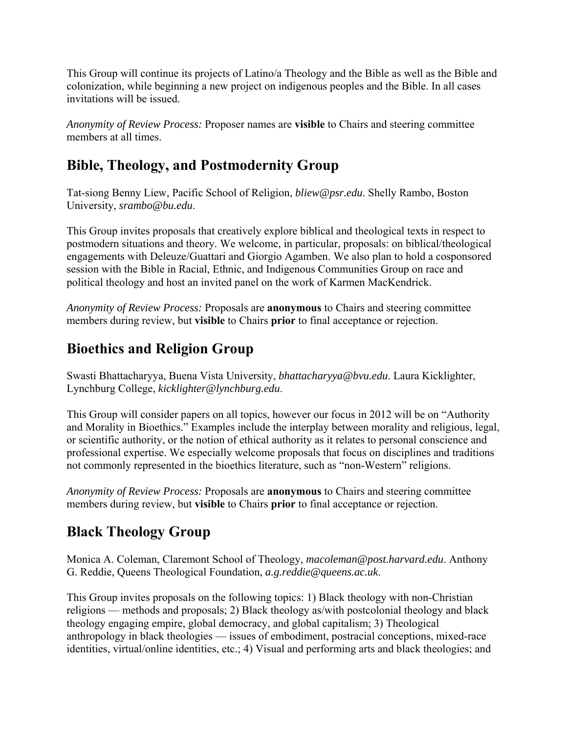This Group will continue its projects of Latino/a Theology and the Bible as well as the Bible and colonization, while beginning a new project on indigenous peoples and the Bible. In all cases invitations will be issued.

*Anonymity of Review Process:* Proposer names are **visible** to Chairs and steering committee members at all times.

### **Bible, Theology, and Postmodernity Group**

Tat-siong Benny Liew, Pacific School of Religion, *bliew@psr.edu*. Shelly Rambo, Boston University, *srambo@bu.edu*.

This Group invites proposals that creatively explore biblical and theological texts in respect to postmodern situations and theory. We welcome, in particular, proposals: on biblical/theological engagements with Deleuze/Guattari and Giorgio Agamben. We also plan to hold a cosponsored session with the Bible in Racial, Ethnic, and Indigenous Communities Group on race and political theology and host an invited panel on the work of Karmen MacKendrick.

*Anonymity of Review Process:* Proposals are **anonymous** to Chairs and steering committee members during review, but **visible** to Chairs **prior** to final acceptance or rejection.

## **Bioethics and Religion Group**

Swasti Bhattacharyya, Buena Vista University, *bhattacharyya@bvu.edu*. Laura Kicklighter, Lynchburg College, *kicklighter@lynchburg.edu*.

This Group will consider papers on all topics, however our focus in 2012 will be on "Authority and Morality in Bioethics." Examples include the interplay between morality and religious, legal, or scientific authority, or the notion of ethical authority as it relates to personal conscience and professional expertise. We especially welcome proposals that focus on disciplines and traditions not commonly represented in the bioethics literature, such as "non-Western" religions.

*Anonymity of Review Process:* Proposals are **anonymous** to Chairs and steering committee members during review, but **visible** to Chairs **prior** to final acceptance or rejection.

# **Black Theology Group**

Monica A. Coleman, Claremont School of Theology, *macoleman@post.harvard.edu*. Anthony G. Reddie, Queens Theological Foundation, *a.g.reddie@queens.ac.uk*.

This Group invites proposals on the following topics: 1) Black theology with non-Christian religions — methods and proposals; 2) Black theology as/with postcolonial theology and black theology engaging empire, global democracy, and global capitalism; 3) Theological anthropology in black theologies — issues of embodiment, postracial conceptions, mixed-race identities, virtual/online identities, etc.; 4) Visual and performing arts and black theologies; and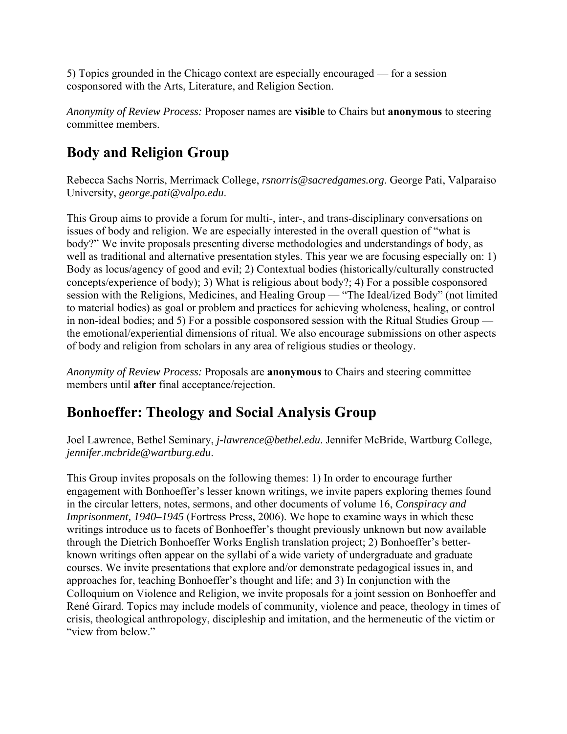5) Topics grounded in the Chicago context are especially encouraged — for a session cosponsored with the Arts, Literature, and Religion Section.

*Anonymity of Review Process:* Proposer names are **visible** to Chairs but **anonymous** to steering committee members.

## **Body and Religion Group**

Rebecca Sachs Norris, Merrimack College, *rsnorris@sacredgames.org*. George Pati, Valparaiso University, *george.pati@valpo.edu*.

This Group aims to provide a forum for multi-, inter-, and trans-disciplinary conversations on issues of body and religion. We are especially interested in the overall question of "what is body?" We invite proposals presenting diverse methodologies and understandings of body, as well as traditional and alternative presentation styles. This year we are focusing especially on: 1) Body as locus/agency of good and evil; 2) Contextual bodies (historically/culturally constructed concepts/experience of body); 3) What is religious about body?; 4) For a possible cosponsored session with the Religions, Medicines, and Healing Group — "The Ideal/ized Body" (not limited to material bodies) as goal or problem and practices for achieving wholeness, healing, or control in non-ideal bodies; and 5) For a possible cosponsored session with the Ritual Studies Group the emotional/experiential dimensions of ritual. We also encourage submissions on other aspects of body and religion from scholars in any area of religious studies or theology.

*Anonymity of Review Process:* Proposals are **anonymous** to Chairs and steering committee members until **after** final acceptance/rejection.

#### **Bonhoeffer: Theology and Social Analysis Group**

Joel Lawrence, Bethel Seminary, *j-lawrence@bethel.edu*. Jennifer McBride, Wartburg College, *jennifer.mcbride@wartburg.edu*.

This Group invites proposals on the following themes: 1) In order to encourage further engagement with Bonhoeffer's lesser known writings, we invite papers exploring themes found in the circular letters, notes, sermons, and other documents of volume 16, *Conspiracy and Imprisonment, 1940–1945* (Fortress Press, 2006). We hope to examine ways in which these writings introduce us to facets of Bonhoeffer's thought previously unknown but now available through the Dietrich Bonhoeffer Works English translation project; 2) Bonhoeffer's betterknown writings often appear on the syllabi of a wide variety of undergraduate and graduate courses. We invite presentations that explore and/or demonstrate pedagogical issues in, and approaches for, teaching Bonhoeffer's thought and life; and 3) In conjunction with the Colloquium on Violence and Religion, we invite proposals for a joint session on Bonhoeffer and René Girard. Topics may include models of community, violence and peace, theology in times of crisis, theological anthropology, discipleship and imitation, and the hermeneutic of the victim or "view from below."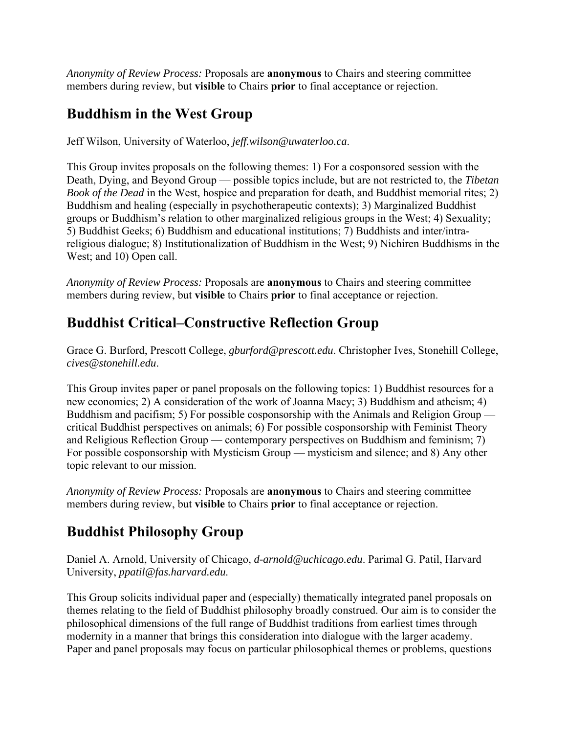*Anonymity of Review Process:* Proposals are **anonymous** to Chairs and steering committee members during review, but **visible** to Chairs **prior** to final acceptance or rejection.

#### **Buddhism in the West Group**

Jeff Wilson, University of Waterloo, *jeff.wilson@uwaterloo.ca*.

This Group invites proposals on the following themes: 1) For a cosponsored session with the Death, Dying, and Beyond Group — possible topics include, but are not restricted to, the *Tibetan Book of the Dead* in the West, hospice and preparation for death, and Buddhist memorial rites; 2) Buddhism and healing (especially in psychotherapeutic contexts); 3) Marginalized Buddhist groups or Buddhism's relation to other marginalized religious groups in the West; 4) Sexuality; 5) Buddhist Geeks; 6) Buddhism and educational institutions; 7) Buddhists and inter/intrareligious dialogue; 8) Institutionalization of Buddhism in the West; 9) Nichiren Buddhisms in the West; and 10) Open call.

*Anonymity of Review Process:* Proposals are **anonymous** to Chairs and steering committee members during review, but **visible** to Chairs **prior** to final acceptance or rejection.

### **Buddhist Critical–Constructive Reflection Group**

Grace G. Burford, Prescott College, *gburford@prescott.edu*. Christopher Ives, Stonehill College, *cives@stonehill.edu*.

This Group invites paper or panel proposals on the following topics: 1) Buddhist resources for a new economics; 2) A consideration of the work of Joanna Macy; 3) Buddhism and atheism; 4) Buddhism and pacifism; 5) For possible cosponsorship with the Animals and Religion Group critical Buddhist perspectives on animals; 6) For possible cosponsorship with Feminist Theory and Religious Reflection Group — contemporary perspectives on Buddhism and feminism; 7) For possible cosponsorship with Mysticism Group — mysticism and silence; and 8) Any other topic relevant to our mission.

*Anonymity of Review Process:* Proposals are **anonymous** to Chairs and steering committee members during review, but **visible** to Chairs **prior** to final acceptance or rejection.

### **Buddhist Philosophy Group**

Daniel A. Arnold, University of Chicago, *d-arnold@uchicago.edu*. Parimal G. Patil, Harvard University, *ppatil@fas.harvard.edu*.

This Group solicits individual paper and (especially) thematically integrated panel proposals on themes relating to the field of Buddhist philosophy broadly construed. Our aim is to consider the philosophical dimensions of the full range of Buddhist traditions from earliest times through modernity in a manner that brings this consideration into dialogue with the larger academy. Paper and panel proposals may focus on particular philosophical themes or problems, questions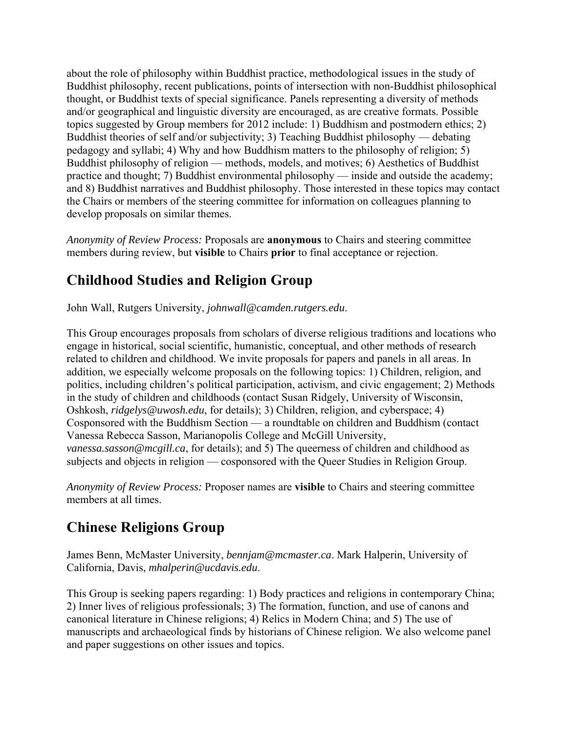about the role of philosophy within Buddhist practice, methodological issues in the study of Buddhist philosophy, recent publications, points of intersection with non-Buddhist philosophical thought, or Buddhist texts of special significance. Panels representing a diversity of methods and/or geographical and linguistic diversity are encouraged, as are creative formats. Possible topics suggested by Group members for 2012 include: 1) Buddhism and postmodern ethics; 2) Buddhist theories of self and/or subjectivity; 3) Teaching Buddhist philosophy — debating pedagogy and syllabi; 4) Why and how Buddhism matters to the philosophy of religion; 5) Buddhist philosophy of religion — methods, models, and motives; 6) Aesthetics of Buddhist practice and thought; 7) Buddhist environmental philosophy — inside and outside the academy; and 8) Buddhist narratives and Buddhist philosophy. Those interested in these topics may contact the Chairs or members of the steering committee for information on colleagues planning to develop proposals on similar themes.

*Anonymity of Review Process:* Proposals are **anonymous** to Chairs and steering committee members during review, but **visible** to Chairs **prior** to final acceptance or rejection.

# **Childhood Studies and Religion Group**

John Wall, Rutgers University, *johnwall@camden.rutgers.edu*.

This Group encourages proposals from scholars of diverse religious traditions and locations who engage in historical, social scientific, humanistic, conceptual, and other methods of research related to children and childhood. We invite proposals for papers and panels in all areas. In addition, we especially welcome proposals on the following topics: 1) Children, religion, and politics, including children's political participation, activism, and civic engagement; 2) Methods in the study of children and childhoods (contact Susan Ridgely, University of Wisconsin, Oshkosh, *ridgelys@uwosh.edu*, for details); 3) Children, religion, and cyberspace; 4) Cosponsored with the Buddhism Section — a roundtable on children and Buddhism (contact Vanessa Rebecca Sasson, Marianopolis College and McGill University, *vanessa.sasson@mcgill.ca*, for details); and 5) The queerness of children and childhood as subjects and objects in religion — cosponsored with the Queer Studies in Religion Group.

*Anonymity of Review Process:* Proposer names are **visible** to Chairs and steering committee members at all times.

# **Chinese Religions Group**

James Benn, McMaster University, *bennjam@mcmaster.ca*. Mark Halperin, University of California, Davis, *mhalperin@ucdavis.edu*.

This Group is seeking papers regarding: 1) Body practices and religions in contemporary China; 2) Inner lives of religious professionals; 3) The formation, function, and use of canons and canonical literature in Chinese religions; 4) Relics in Modern China; and 5) The use of manuscripts and archaeological finds by historians of Chinese religion. We also welcome panel and paper suggestions on other issues and topics.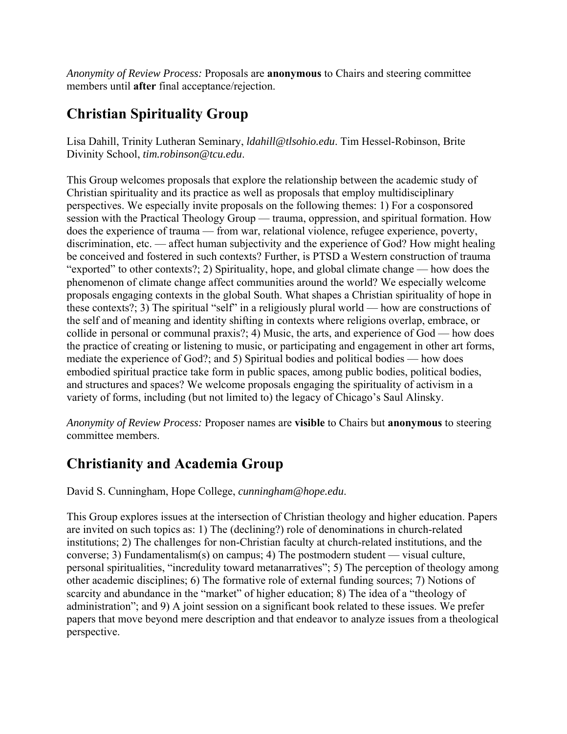*Anonymity of Review Process:* Proposals are **anonymous** to Chairs and steering committee members until **after** final acceptance/rejection.

## **Christian Spirituality Group**

Lisa Dahill, Trinity Lutheran Seminary, *ldahill@tlsohio.edu*. Tim Hessel-Robinson, Brite Divinity School, *tim.robinson@tcu.edu*.

This Group welcomes proposals that explore the relationship between the academic study of Christian spirituality and its practice as well as proposals that employ multidisciplinary perspectives. We especially invite proposals on the following themes: 1) For a cosponsored session with the Practical Theology Group — trauma, oppression, and spiritual formation. How does the experience of trauma — from war, relational violence, refugee experience, poverty, discrimination, etc. — affect human subjectivity and the experience of God? How might healing be conceived and fostered in such contexts? Further, is PTSD a Western construction of trauma "exported" to other contexts?; 2) Spirituality, hope, and global climate change — how does the phenomenon of climate change affect communities around the world? We especially welcome proposals engaging contexts in the global South. What shapes a Christian spirituality of hope in these contexts?; 3) The spiritual "self" in a religiously plural world — how are constructions of the self and of meaning and identity shifting in contexts where religions overlap, embrace, or collide in personal or communal praxis?; 4) Music, the arts, and experience of God — how does the practice of creating or listening to music, or participating and engagement in other art forms, mediate the experience of God?; and 5) Spiritual bodies and political bodies — how does embodied spiritual practice take form in public spaces, among public bodies, political bodies, and structures and spaces? We welcome proposals engaging the spirituality of activism in a variety of forms, including (but not limited to) the legacy of Chicago's Saul Alinsky.

*Anonymity of Review Process:* Proposer names are **visible** to Chairs but **anonymous** to steering committee members.

### **Christianity and Academia Group**

David S. Cunningham, Hope College, *cunningham@hope.edu*.

This Group explores issues at the intersection of Christian theology and higher education. Papers are invited on such topics as: 1) The (declining?) role of denominations in church-related institutions; 2) The challenges for non-Christian faculty at church-related institutions, and the converse; 3) Fundamentalism(s) on campus; 4) The postmodern student — visual culture, personal spiritualities, "incredulity toward metanarratives"; 5) The perception of theology among other academic disciplines; 6) The formative role of external funding sources; 7) Notions of scarcity and abundance in the "market" of higher education; 8) The idea of a "theology of administration"; and 9) A joint session on a significant book related to these issues. We prefer papers that move beyond mere description and that endeavor to analyze issues from a theological perspective.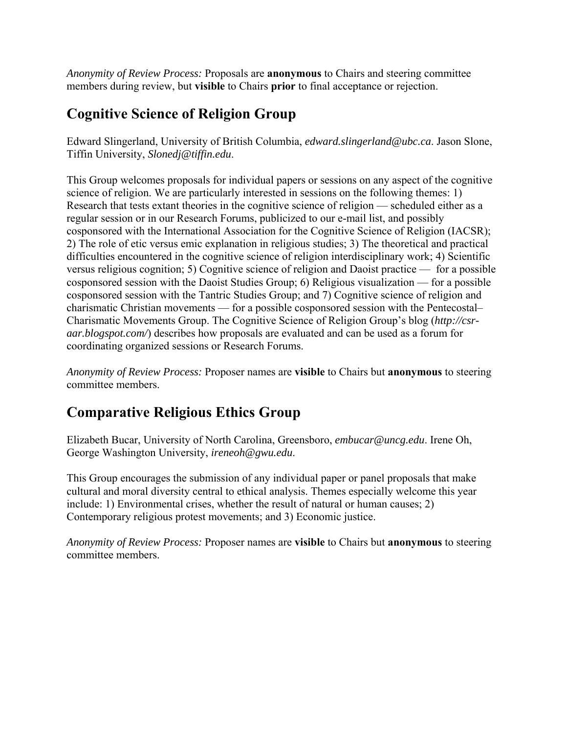*Anonymity of Review Process:* Proposals are **anonymous** to Chairs and steering committee members during review, but **visible** to Chairs **prior** to final acceptance or rejection.

#### **Cognitive Science of Religion Group**

Edward Slingerland, University of British Columbia, *edward.slingerland@ubc.ca*. Jason Slone, Tiffin University, *Slonedj@tiffin.edu*.

This Group welcomes proposals for individual papers or sessions on any aspect of the cognitive science of religion. We are particularly interested in sessions on the following themes: 1) Research that tests extant theories in the cognitive science of religion — scheduled either as a regular session or in our Research Forums, publicized to our e-mail list, and possibly cosponsored with the International Association for the Cognitive Science of Religion (IACSR); 2) The role of etic versus emic explanation in religious studies; 3) The theoretical and practical difficulties encountered in the cognitive science of religion interdisciplinary work; 4) Scientific versus religious cognition; 5) Cognitive science of religion and Daoist practice — for a possible cosponsored session with the Daoist Studies Group; 6) Religious visualization — for a possible cosponsored session with the Tantric Studies Group; and 7) Cognitive science of religion and charismatic Christian movements — for a possible cosponsored session with the Pentecostal– Charismatic Movements Group. The Cognitive Science of Religion Group's blog (*http://csraar.blogspot.com/*) describes how proposals are evaluated and can be used as a forum for coordinating organized sessions or Research Forums.

*Anonymity of Review Process:* Proposer names are **visible** to Chairs but **anonymous** to steering committee members.

# **Comparative Religious Ethics Group**

Elizabeth Bucar, University of North Carolina, Greensboro, *embucar@uncg.edu*. Irene Oh, George Washington University, *ireneoh@gwu.edu*.

This Group encourages the submission of any individual paper or panel proposals that make cultural and moral diversity central to ethical analysis. Themes especially welcome this year include: 1) Environmental crises, whether the result of natural or human causes; 2) Contemporary religious protest movements; and 3) Economic justice.

*Anonymity of Review Process:* Proposer names are **visible** to Chairs but **anonymous** to steering committee members.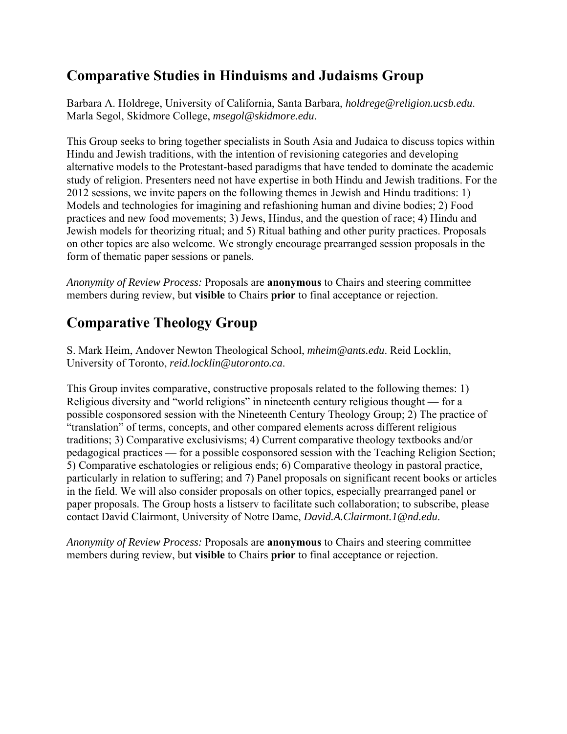### **Comparative Studies in Hinduisms and Judaisms Group**

Barbara A. Holdrege, University of California, Santa Barbara, *holdrege@religion.ucsb.edu*. Marla Segol, Skidmore College, *msegol@skidmore.edu*.

This Group seeks to bring together specialists in South Asia and Judaica to discuss topics within Hindu and Jewish traditions, with the intention of revisioning categories and developing alternative models to the Protestant-based paradigms that have tended to dominate the academic study of religion. Presenters need not have expertise in both Hindu and Jewish traditions. For the 2012 sessions, we invite papers on the following themes in Jewish and Hindu traditions: 1) Models and technologies for imagining and refashioning human and divine bodies; 2) Food practices and new food movements; 3) Jews, Hindus, and the question of race; 4) Hindu and Jewish models for theorizing ritual; and 5) Ritual bathing and other purity practices. Proposals on other topics are also welcome. We strongly encourage prearranged session proposals in the form of thematic paper sessions or panels.

*Anonymity of Review Process:* Proposals are **anonymous** to Chairs and steering committee members during review, but **visible** to Chairs **prior** to final acceptance or rejection.

# **Comparative Theology Group**

S. Mark Heim, Andover Newton Theological School, *mheim@ants.edu*. Reid Locklin, University of Toronto, *reid.locklin@utoronto.ca*.

This Group invites comparative, constructive proposals related to the following themes: 1) Religious diversity and "world religions" in nineteenth century religious thought — for a possible cosponsored session with the Nineteenth Century Theology Group; 2) The practice of "translation" of terms, concepts, and other compared elements across different religious traditions; 3) Comparative exclusivisms; 4) Current comparative theology textbooks and/or pedagogical practices — for a possible cosponsored session with the Teaching Religion Section; 5) Comparative eschatologies or religious ends; 6) Comparative theology in pastoral practice, particularly in relation to suffering; and 7) Panel proposals on significant recent books or articles in the field. We will also consider proposals on other topics, especially prearranged panel or paper proposals. The Group hosts a listserv to facilitate such collaboration; to subscribe, please contact David Clairmont, University of Notre Dame, *David.A.Clairmont.1@nd.edu*.

*Anonymity of Review Process:* Proposals are **anonymous** to Chairs and steering committee members during review, but **visible** to Chairs **prior** to final acceptance or rejection.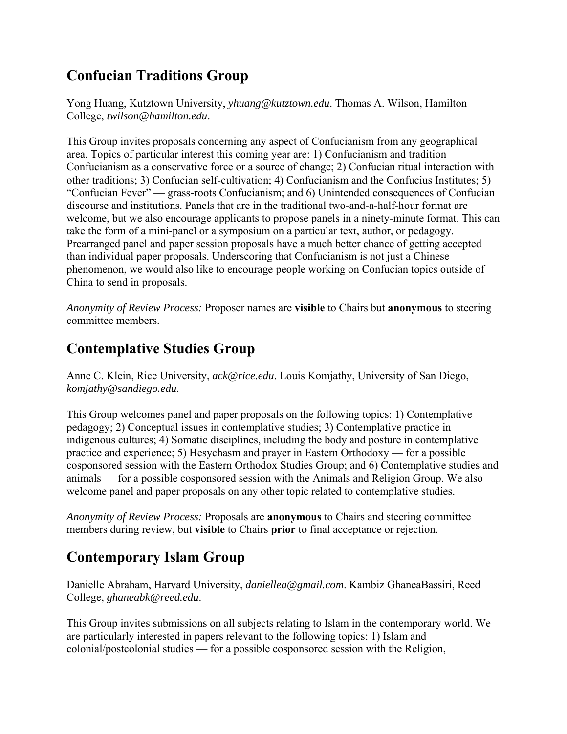# **Confucian Traditions Group**

Yong Huang, Kutztown University, *yhuang@kutztown.edu*. Thomas A. Wilson, Hamilton College, *twilson@hamilton.edu*.

This Group invites proposals concerning any aspect of Confucianism from any geographical area. Topics of particular interest this coming year are: 1) Confucianism and tradition — Confucianism as a conservative force or a source of change; 2) Confucian ritual interaction with other traditions; 3) Confucian self-cultivation; 4) Confucianism and the Confucius Institutes; 5) "Confucian Fever" — grass-roots Confucianism; and 6) Unintended consequences of Confucian discourse and institutions. Panels that are in the traditional two-and-a-half-hour format are welcome, but we also encourage applicants to propose panels in a ninety-minute format. This can take the form of a mini-panel or a symposium on a particular text, author, or pedagogy. Prearranged panel and paper session proposals have a much better chance of getting accepted than individual paper proposals. Underscoring that Confucianism is not just a Chinese phenomenon, we would also like to encourage people working on Confucian topics outside of China to send in proposals.

*Anonymity of Review Process:* Proposer names are **visible** to Chairs but **anonymous** to steering committee members.

## **Contemplative Studies Group**

Anne C. Klein, Rice University, *ack@rice.edu*. Louis Komjathy, University of San Diego, *komjathy@sandiego.edu*.

This Group welcomes panel and paper proposals on the following topics: 1) Contemplative pedagogy; 2) Conceptual issues in contemplative studies; 3) Contemplative practice in indigenous cultures; 4) Somatic disciplines, including the body and posture in contemplative practice and experience; 5) Hesychasm and prayer in Eastern Orthodoxy — for a possible cosponsored session with the Eastern Orthodox Studies Group; and 6) Contemplative studies and animals — for a possible cosponsored session with the Animals and Religion Group. We also welcome panel and paper proposals on any other topic related to contemplative studies.

*Anonymity of Review Process:* Proposals are **anonymous** to Chairs and steering committee members during review, but **visible** to Chairs **prior** to final acceptance or rejection.

# **Contemporary Islam Group**

Danielle Abraham, Harvard University, *daniellea@gmail.com*. Kambiz GhaneaBassiri, Reed College, *ghaneabk@reed.edu*.

This Group invites submissions on all subjects relating to Islam in the contemporary world. We are particularly interested in papers relevant to the following topics: 1) Islam and colonial/postcolonial studies — for a possible cosponsored session with the Religion,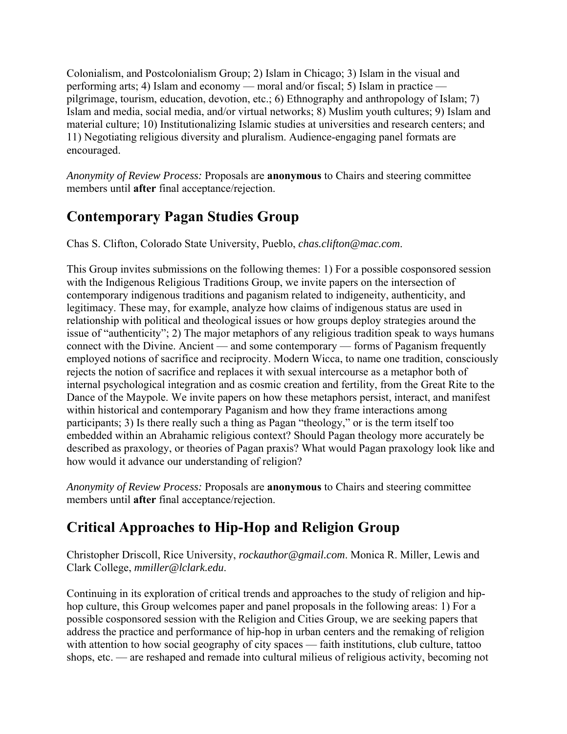Colonialism, and Postcolonialism Group; 2) Islam in Chicago; 3) Islam in the visual and performing arts; 4) Islam and economy — moral and/or fiscal; 5) Islam in practice pilgrimage, tourism, education, devotion, etc.; 6) Ethnography and anthropology of Islam; 7) Islam and media, social media, and/or virtual networks; 8) Muslim youth cultures; 9) Islam and material culture; 10) Institutionalizing Islamic studies at universities and research centers; and 11) Negotiating religious diversity and pluralism. Audience-engaging panel formats are encouraged.

*Anonymity of Review Process:* Proposals are **anonymous** to Chairs and steering committee members until **after** final acceptance/rejection.

## **Contemporary Pagan Studies Group**

Chas S. Clifton, Colorado State University, Pueblo, *chas.clifton@mac.com*.

This Group invites submissions on the following themes: 1) For a possible cosponsored session with the Indigenous Religious Traditions Group, we invite papers on the intersection of contemporary indigenous traditions and paganism related to indigeneity, authenticity, and legitimacy. These may, for example, analyze how claims of indigenous status are used in relationship with political and theological issues or how groups deploy strategies around the issue of "authenticity"; 2) The major metaphors of any religious tradition speak to ways humans connect with the Divine. Ancient — and some contemporary — forms of Paganism frequently employed notions of sacrifice and reciprocity. Modern Wicca, to name one tradition, consciously rejects the notion of sacrifice and replaces it with sexual intercourse as a metaphor both of internal psychological integration and as cosmic creation and fertility, from the Great Rite to the Dance of the Maypole. We invite papers on how these metaphors persist, interact, and manifest within historical and contemporary Paganism and how they frame interactions among participants; 3) Is there really such a thing as Pagan "theology," or is the term itself too embedded within an Abrahamic religious context? Should Pagan theology more accurately be described as praxology, or theories of Pagan praxis? What would Pagan praxology look like and how would it advance our understanding of religion?

*Anonymity of Review Process:* Proposals are **anonymous** to Chairs and steering committee members until **after** final acceptance/rejection.

# **Critical Approaches to Hip-Hop and Religion Group**

Christopher Driscoll, Rice University, *rockauthor@gmail.com*. Monica R. Miller, Lewis and Clark College, *mmiller@lclark.edu*.

Continuing in its exploration of critical trends and approaches to the study of religion and hiphop culture, this Group welcomes paper and panel proposals in the following areas: 1) For a possible cosponsored session with the Religion and Cities Group, we are seeking papers that address the practice and performance of hip-hop in urban centers and the remaking of religion with attention to how social geography of city spaces — faith institutions, club culture, tattoo shops, etc. — are reshaped and remade into cultural milieus of religious activity, becoming not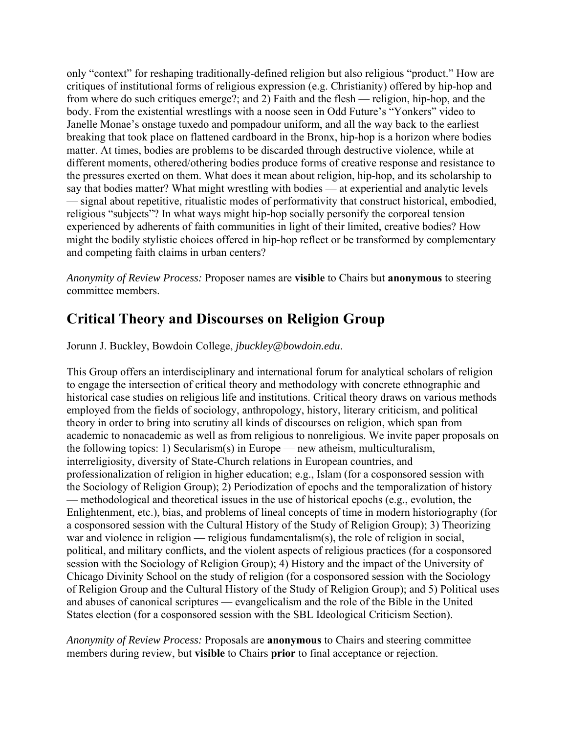only "context" for reshaping traditionally-defined religion but also religious "product." How are critiques of institutional forms of religious expression (e.g. Christianity) offered by hip-hop and from where do such critiques emerge?; and 2) Faith and the flesh — religion, hip-hop, and the body. From the existential wrestlings with a noose seen in Odd Future's "Yonkers" video to Janelle Monae's onstage tuxedo and pompadour uniform, and all the way back to the earliest breaking that took place on flattened cardboard in the Bronx, hip-hop is a horizon where bodies matter. At times, bodies are problems to be discarded through destructive violence, while at different moments, othered/othering bodies produce forms of creative response and resistance to the pressures exerted on them. What does it mean about religion, hip-hop, and its scholarship to say that bodies matter? What might wrestling with bodies — at experiential and analytic levels — signal about repetitive, ritualistic modes of performativity that construct historical, embodied, religious "subjects"? In what ways might hip-hop socially personify the corporeal tension experienced by adherents of faith communities in light of their limited, creative bodies? How might the bodily stylistic choices offered in hip-hop reflect or be transformed by complementary and competing faith claims in urban centers?

*Anonymity of Review Process:* Proposer names are **visible** to Chairs but **anonymous** to steering committee members.

### **Critical Theory and Discourses on Religion Group**

Jorunn J. Buckley, Bowdoin College, *jbuckley@bowdoin.edu*.

This Group offers an interdisciplinary and international forum for analytical scholars of religion to engage the intersection of critical theory and methodology with concrete ethnographic and historical case studies on religious life and institutions. Critical theory draws on various methods employed from the fields of sociology, anthropology, history, literary criticism, and political theory in order to bring into scrutiny all kinds of discourses on religion, which span from academic to nonacademic as well as from religious to nonreligious. We invite paper proposals on the following topics: 1) Secularism(s) in Europe — new atheism, multiculturalism, interreligiosity, diversity of State-Church relations in European countries, and professionalization of religion in higher education; e.g., Islam (for a cosponsored session with the Sociology of Religion Group); 2) Periodization of epochs and the temporalization of history — methodological and theoretical issues in the use of historical epochs (e.g., evolution, the Enlightenment, etc.), bias, and problems of lineal concepts of time in modern historiography (for a cosponsored session with the Cultural History of the Study of Religion Group); 3) Theorizing war and violence in religion — religious fundamentalism(s), the role of religion in social, political, and military conflicts, and the violent aspects of religious practices (for a cosponsored session with the Sociology of Religion Group); 4) History and the impact of the University of Chicago Divinity School on the study of religion (for a cosponsored session with the Sociology of Religion Group and the Cultural History of the Study of Religion Group); and 5) Political uses and abuses of canonical scriptures — evangelicalism and the role of the Bible in the United States election (for a cosponsored session with the SBL Ideological Criticism Section).

*Anonymity of Review Process:* Proposals are **anonymous** to Chairs and steering committee members during review, but **visible** to Chairs **prior** to final acceptance or rejection.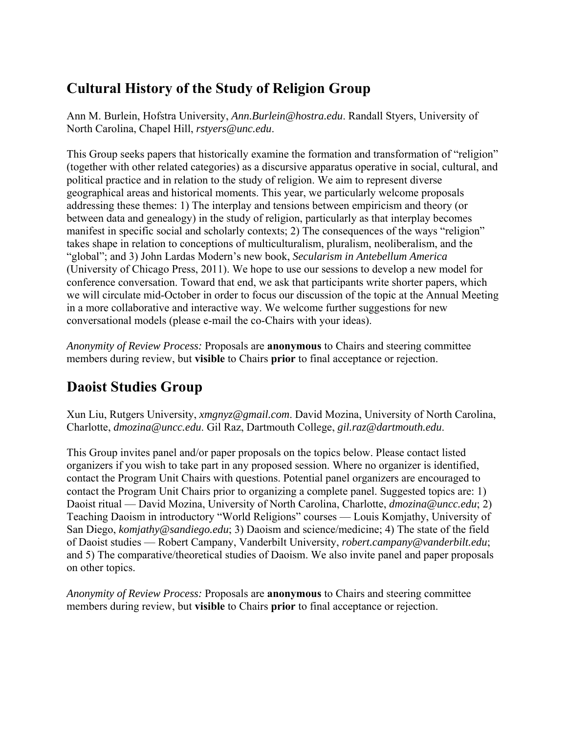## **Cultural History of the Study of Religion Group**

Ann M. Burlein, Hofstra University, *Ann.Burlein@hostra.edu*. Randall Styers, University of North Carolina, Chapel Hill, *rstyers@unc.edu*.

This Group seeks papers that historically examine the formation and transformation of "religion" (together with other related categories) as a discursive apparatus operative in social, cultural, and political practice and in relation to the study of religion. We aim to represent diverse geographical areas and historical moments. This year, we particularly welcome proposals addressing these themes: 1) The interplay and tensions between empiricism and theory (or between data and genealogy) in the study of religion, particularly as that interplay becomes manifest in specific social and scholarly contexts; 2) The consequences of the ways "religion" takes shape in relation to conceptions of multiculturalism, pluralism, neoliberalism, and the "global"; and 3) John Lardas Modern's new book, *Secularism in Antebellum America* (University of Chicago Press, 2011). We hope to use our sessions to develop a new model for conference conversation. Toward that end, we ask that participants write shorter papers, which we will circulate mid-October in order to focus our discussion of the topic at the Annual Meeting in a more collaborative and interactive way. We welcome further suggestions for new conversational models (please e-mail the co-Chairs with your ideas).

*Anonymity of Review Process:* Proposals are **anonymous** to Chairs and steering committee members during review, but **visible** to Chairs **prior** to final acceptance or rejection.

# **Daoist Studies Group**

Xun Liu, Rutgers University, *xmgnyz@gmail.com*. David Mozina, University of North Carolina, Charlotte, *dmozina@uncc.edu*. Gil Raz, Dartmouth College, *gil.raz@dartmouth.edu*.

This Group invites panel and/or paper proposals on the topics below. Please contact listed organizers if you wish to take part in any proposed session. Where no organizer is identified, contact the Program Unit Chairs with questions. Potential panel organizers are encouraged to contact the Program Unit Chairs prior to organizing a complete panel. Suggested topics are: 1) Daoist ritual — David Mozina, University of North Carolina, Charlotte, *dmozina@uncc.edu*; 2) Teaching Daoism in introductory "World Religions" courses — Louis Komjathy, University of San Diego, *komjathy@sandiego.edu*; 3) Daoism and science/medicine; 4) The state of the field of Daoist studies — Robert Campany, Vanderbilt University, *robert.campany@vanderbilt.edu*; and 5) The comparative/theoretical studies of Daoism. We also invite panel and paper proposals on other topics.

*Anonymity of Review Process:* Proposals are **anonymous** to Chairs and steering committee members during review, but **visible** to Chairs **prior** to final acceptance or rejection.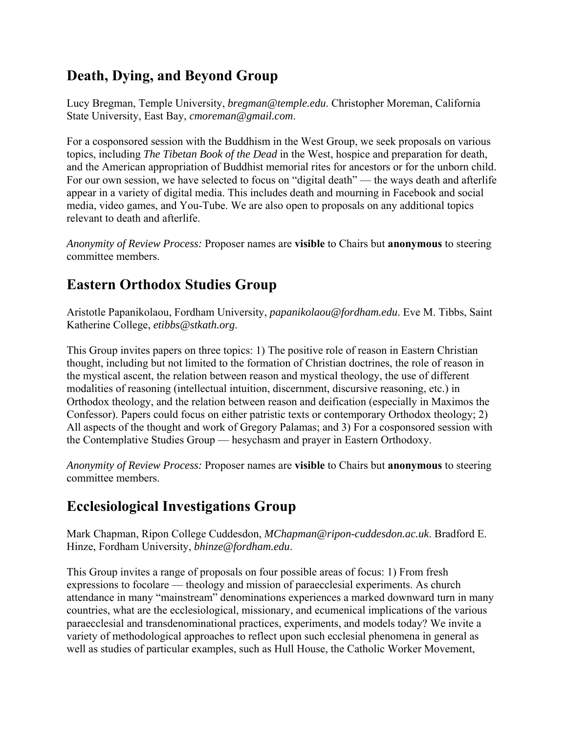### **Death, Dying, and Beyond Group**

Lucy Bregman, Temple University, *bregman@temple.edu*. Christopher Moreman, California State University, East Bay, *cmoreman@gmail.com*.

For a cosponsored session with the Buddhism in the West Group, we seek proposals on various topics, including *The Tibetan Book of the Dead* in the West, hospice and preparation for death, and the American appropriation of Buddhist memorial rites for ancestors or for the unborn child. For our own session, we have selected to focus on "digital death" — the ways death and afterlife appear in a variety of digital media. This includes death and mourning in Facebook and social media, video games, and You-Tube. We are also open to proposals on any additional topics relevant to death and afterlife.

*Anonymity of Review Process:* Proposer names are **visible** to Chairs but **anonymous** to steering committee members.

### **Eastern Orthodox Studies Group**

Aristotle Papanikolaou, Fordham University, *papanikolaou@fordham.edu*. Eve M. Tibbs, Saint Katherine College, *etibbs@stkath.org*.

This Group invites papers on three topics: 1) The positive role of reason in Eastern Christian thought, including but not limited to the formation of Christian doctrines, the role of reason in the mystical ascent, the relation between reason and mystical theology, the use of different modalities of reasoning (intellectual intuition, discernment, discursive reasoning, etc.) in Orthodox theology, and the relation between reason and deification (especially in Maximos the Confessor). Papers could focus on either patristic texts or contemporary Orthodox theology; 2) All aspects of the thought and work of Gregory Palamas; and 3) For a cosponsored session with the Contemplative Studies Group — hesychasm and prayer in Eastern Orthodoxy.

*Anonymity of Review Process:* Proposer names are **visible** to Chairs but **anonymous** to steering committee members.

### **Ecclesiological Investigations Group**

Mark Chapman, Ripon College Cuddesdon, *MChapman@ripon-cuddesdon.ac.uk*. Bradford E. Hinze, Fordham University, *bhinze@fordham.edu*.

This Group invites a range of proposals on four possible areas of focus: 1) From fresh expressions to focolare — theology and mission of paraecclesial experiments. As church attendance in many "mainstream" denominations experiences a marked downward turn in many countries, what are the ecclesiological, missionary, and ecumenical implications of the various paraecclesial and transdenominational practices, experiments, and models today? We invite a variety of methodological approaches to reflect upon such ecclesial phenomena in general as well as studies of particular examples, such as Hull House, the Catholic Worker Movement,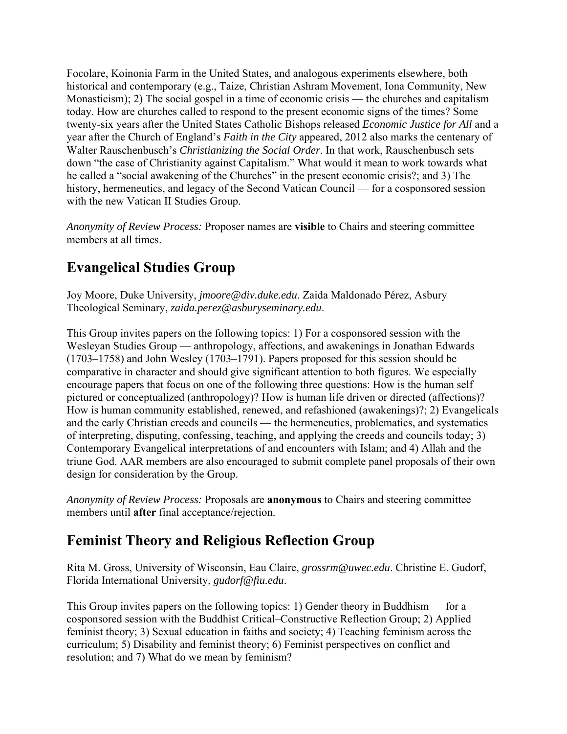Focolare, Koinonia Farm in the United States, and analogous experiments elsewhere, both historical and contemporary (e.g., Taize, Christian Ashram Movement, Iona Community, New Monasticism); 2) The social gospel in a time of economic crisis — the churches and capitalism today. How are churches called to respond to the present economic signs of the times? Some twenty-six years after the United States Catholic Bishops released *Economic Justice for All* and a year after the Church of England's *Faith in the City* appeared, 2012 also marks the centenary of Walter Rauschenbusch's *Christianizing the Social Order*. In that work, Rauschenbusch sets down "the case of Christianity against Capitalism." What would it mean to work towards what he called a "social awakening of the Churches" in the present economic crisis?; and 3) The history, hermeneutics, and legacy of the Second Vatican Council — for a cosponsored session with the new Vatican II Studies Group.

*Anonymity of Review Process:* Proposer names are **visible** to Chairs and steering committee members at all times.

## **Evangelical Studies Group**

Joy Moore, Duke University, *jmoore@div.duke.edu*. Zaida Maldonado Pérez, Asbury Theological Seminary, *zaida.perez@asburyseminary.edu*.

This Group invites papers on the following topics: 1) For a cosponsored session with the Wesleyan Studies Group — anthropology, affections, and awakenings in Jonathan Edwards (1703–1758) and John Wesley (1703–1791). Papers proposed for this session should be comparative in character and should give significant attention to both figures. We especially encourage papers that focus on one of the following three questions: How is the human self pictured or conceptualized (anthropology)? How is human life driven or directed (affections)? How is human community established, renewed, and refashioned (awakenings)?; 2) Evangelicals and the early Christian creeds and councils — the hermeneutics, problematics, and systematics of interpreting, disputing, confessing, teaching, and applying the creeds and councils today; 3) Contemporary Evangelical interpretations of and encounters with Islam; and 4) Allah and the triune God. AAR members are also encouraged to submit complete panel proposals of their own design for consideration by the Group.

*Anonymity of Review Process:* Proposals are **anonymous** to Chairs and steering committee members until **after** final acceptance/rejection.

### **Feminist Theory and Religious Reflection Group**

Rita M. Gross, University of Wisconsin, Eau Claire, *grossrm@uwec.edu*. Christine E. Gudorf, Florida International University, *gudorf@fiu.edu*.

This Group invites papers on the following topics: 1) Gender theory in Buddhism — for a cosponsored session with the Buddhist Critical–Constructive Reflection Group; 2) Applied feminist theory; 3) Sexual education in faiths and society; 4) Teaching feminism across the curriculum; 5) Disability and feminist theory; 6) Feminist perspectives on conflict and resolution; and 7) What do we mean by feminism?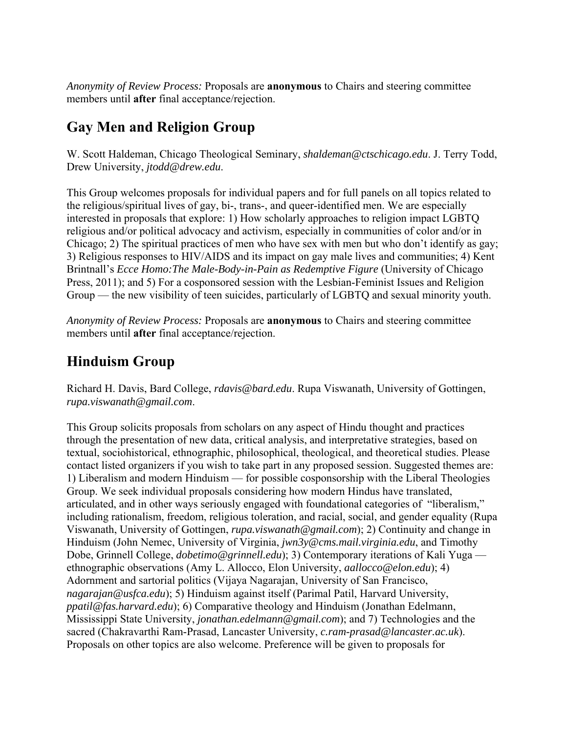*Anonymity of Review Process:* Proposals are **anonymous** to Chairs and steering committee members until **after** final acceptance/rejection.

# **Gay Men and Religion Group**

W. Scott Haldeman, Chicago Theological Seminary, *shaldeman@ctschicago.edu*. J. Terry Todd, Drew University, *jtodd@drew.edu*.

This Group welcomes proposals for individual papers and for full panels on all topics related to the religious/spiritual lives of gay, bi-, trans-, and queer-identified men. We are especially interested in proposals that explore: 1) How scholarly approaches to religion impact LGBTQ religious and/or political advocacy and activism, especially in communities of color and/or in Chicago; 2) The spiritual practices of men who have sex with men but who don't identify as gay; 3) Religious responses to HIV/AIDS and its impact on gay male lives and communities; 4) Kent Brintnall's *Ecce Homo:The Male-Body-in-Pain as Redemptive Figure* (University of Chicago Press, 2011); and 5) For a cosponsored session with the Lesbian-Feminist Issues and Religion Group — the new visibility of teen suicides, particularly of LGBTQ and sexual minority youth.

*Anonymity of Review Process:* Proposals are **anonymous** to Chairs and steering committee members until **after** final acceptance/rejection.

# **Hinduism Group**

Richard H. Davis, Bard College, *rdavis@bard.edu*. Rupa Viswanath, University of Gottingen, *rupa.viswanath@gmail.com*.

This Group solicits proposals from scholars on any aspect of Hindu thought and practices through the presentation of new data, critical analysis, and interpretative strategies, based on textual, sociohistorical, ethnographic, philosophical, theological, and theoretical studies. Please contact listed organizers if you wish to take part in any proposed session. Suggested themes are: 1) Liberalism and modern Hinduism — for possible cosponsorship with the Liberal Theologies Group. We seek individual proposals considering how modern Hindus have translated, articulated, and in other ways seriously engaged with foundational categories of "liberalism," including rationalism, freedom, religious toleration, and racial, social, and gender equality (Rupa Viswanath, University of Gottingen, *rupa.viswanath@gmail.com*); 2) Continuity and change in Hinduism (John Nemec, University of Virginia, *jwn3y@cms.mail.virginia.edu*, and Timothy Dobe, Grinnell College, *dobetimo@grinnell.edu*); 3) Contemporary iterations of Kali Yuga ethnographic observations (Amy L. Allocco, Elon University, *aallocco@elon.edu*); 4) Adornment and sartorial politics (Vijaya Nagarajan, University of San Francisco, *nagarajan@usfca.edu*); 5) Hinduism against itself (Parimal Patil, Harvard University, *ppatil@fas.harvard.edu*); 6) Comparative theology and Hinduism (Jonathan Edelmann, Mississippi State University, *jonathan.edelmann@gmail.com*); and 7) Technologies and the sacred (Chakravarthi Ram-Prasad, Lancaster University, *c.ram-prasad@lancaster.ac.uk*). Proposals on other topics are also welcome. Preference will be given to proposals for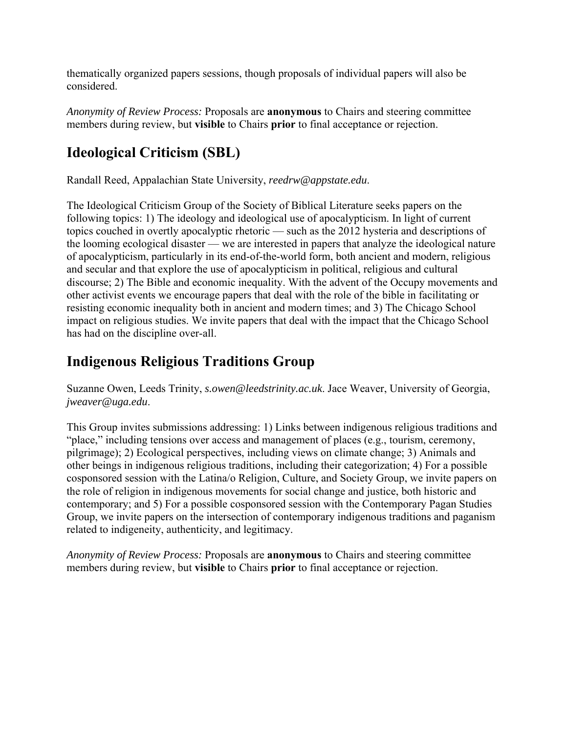thematically organized papers sessions, though proposals of individual papers will also be considered.

*Anonymity of Review Process:* Proposals are **anonymous** to Chairs and steering committee members during review, but **visible** to Chairs **prior** to final acceptance or rejection.

# **Ideological Criticism (SBL)**

Randall Reed, Appalachian State University, *reedrw@appstate.edu*.

The Ideological Criticism Group of the Society of Biblical Literature seeks papers on the following topics: 1) The ideology and ideological use of apocalypticism. In light of current topics couched in overtly apocalyptic rhetoric — such as the 2012 hysteria and descriptions of the looming ecological disaster — we are interested in papers that analyze the ideological nature of apocalypticism, particularly in its end-of-the-world form, both ancient and modern, religious and secular and that explore the use of apocalypticism in political, religious and cultural discourse; 2) The Bible and economic inequality. With the advent of the Occupy movements and other activist events we encourage papers that deal with the role of the bible in facilitating or resisting economic inequality both in ancient and modern times; and 3) The Chicago School impact on religious studies. We invite papers that deal with the impact that the Chicago School has had on the discipline over-all.

## **Indigenous Religious Traditions Group**

Suzanne Owen, Leeds Trinity, *s.owen@leedstrinity.ac.uk*. Jace Weaver, University of Georgia, *jweaver@uga.edu*.

This Group invites submissions addressing: 1) Links between indigenous religious traditions and "place," including tensions over access and management of places (e.g., tourism, ceremony, pilgrimage); 2) Ecological perspectives, including views on climate change; 3) Animals and other beings in indigenous religious traditions, including their categorization; 4) For a possible cosponsored session with the Latina/o Religion, Culture, and Society Group, we invite papers on the role of religion in indigenous movements for social change and justice, both historic and contemporary; and 5) For a possible cosponsored session with the Contemporary Pagan Studies Group, we invite papers on the intersection of contemporary indigenous traditions and paganism related to indigeneity, authenticity, and legitimacy.

*Anonymity of Review Process:* Proposals are **anonymous** to Chairs and steering committee members during review, but **visible** to Chairs **prior** to final acceptance or rejection.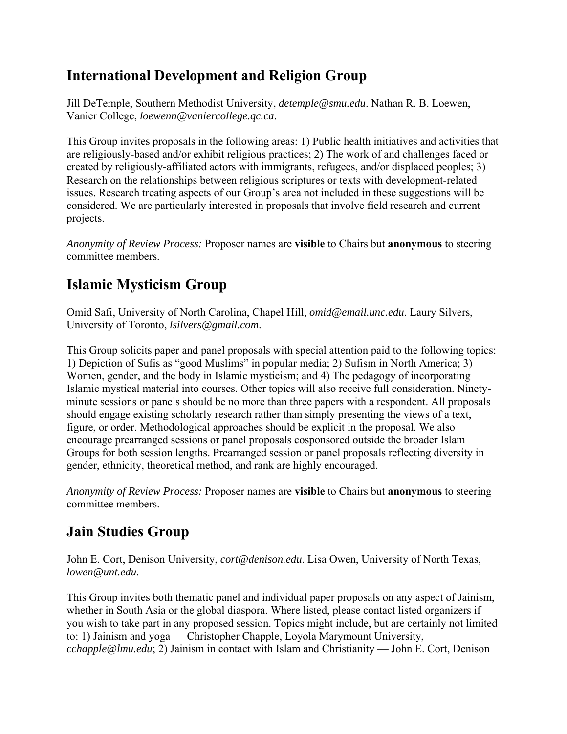## **International Development and Religion Group**

Jill DeTemple, Southern Methodist University, *detemple@smu.edu*. Nathan R. B. Loewen, Vanier College, *loewenn@vaniercollege.qc.ca*.

This Group invites proposals in the following areas: 1) Public health initiatives and activities that are religiously-based and/or exhibit religious practices; 2) The work of and challenges faced or created by religiously-affiliated actors with immigrants, refugees, and/or displaced peoples; 3) Research on the relationships between religious scriptures or texts with development-related issues. Research treating aspects of our Group's area not included in these suggestions will be considered. We are particularly interested in proposals that involve field research and current projects.

*Anonymity of Review Process:* Proposer names are **visible** to Chairs but **anonymous** to steering committee members.

# **Islamic Mysticism Group**

Omid Safi, University of North Carolina, Chapel Hill, *omid@email.unc.edu*. Laury Silvers, University of Toronto, *lsilvers@gmail.com*.

This Group solicits paper and panel proposals with special attention paid to the following topics: 1) Depiction of Sufis as "good Muslims" in popular media; 2) Sufism in North America; 3) Women, gender, and the body in Islamic mysticism; and 4) The pedagogy of incorporating Islamic mystical material into courses. Other topics will also receive full consideration. Ninetyminute sessions or panels should be no more than three papers with a respondent. All proposals should engage existing scholarly research rather than simply presenting the views of a text, figure, or order. Methodological approaches should be explicit in the proposal. We also encourage prearranged sessions or panel proposals cosponsored outside the broader Islam Groups for both session lengths. Prearranged session or panel proposals reflecting diversity in gender, ethnicity, theoretical method, and rank are highly encouraged.

*Anonymity of Review Process:* Proposer names are **visible** to Chairs but **anonymous** to steering committee members.

# **Jain Studies Group**

John E. Cort, Denison University, *cort@denison.edu*. Lisa Owen, University of North Texas, *lowen@unt.edu*.

This Group invites both thematic panel and individual paper proposals on any aspect of Jainism, whether in South Asia or the global diaspora. Where listed, please contact listed organizers if you wish to take part in any proposed session. Topics might include, but are certainly not limited to: 1) Jainism and yoga — Christopher Chapple, Loyola Marymount University, *cchapple@lmu.edu*; 2) Jainism in contact with Islam and Christianity — John E. Cort, Denison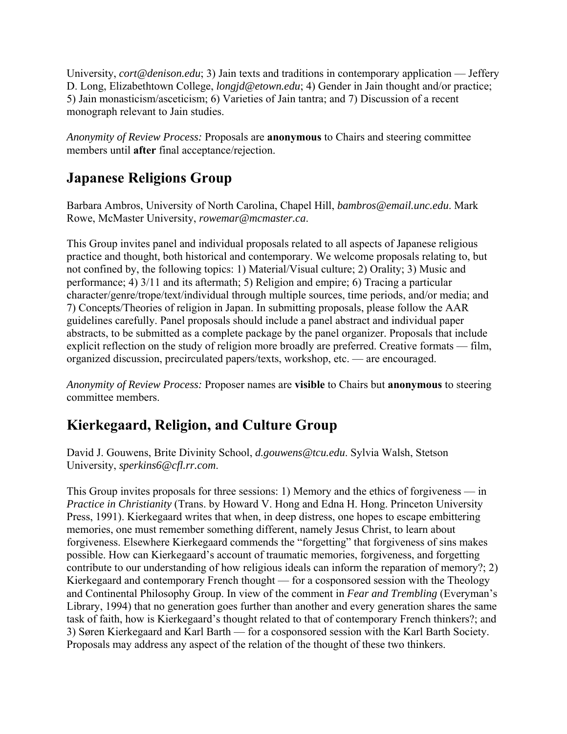University, *cort@denison.edu*; 3) Jain texts and traditions in contemporary application — Jeffery D. Long, Elizabethtown College, *longjd@etown.edu*; 4) Gender in Jain thought and/or practice; 5) Jain monasticism/asceticism; 6) Varieties of Jain tantra; and 7) Discussion of a recent monograph relevant to Jain studies.

*Anonymity of Review Process:* Proposals are **anonymous** to Chairs and steering committee members until **after** final acceptance/rejection.

### **Japanese Religions Group**

Barbara Ambros, University of North Carolina, Chapel Hill, *bambros@email.unc.edu*. Mark Rowe, McMaster University, *rowemar@mcmaster.ca*.

This Group invites panel and individual proposals related to all aspects of Japanese religious practice and thought, both historical and contemporary. We welcome proposals relating to, but not confined by, the following topics: 1) Material/Visual culture; 2) Orality; 3) Music and performance; 4) 3/11 and its aftermath; 5) Religion and empire; 6) Tracing a particular character/genre/trope/text/individual through multiple sources, time periods, and/or media; and 7) Concepts/Theories of religion in Japan. In submitting proposals, please follow the AAR guidelines carefully. Panel proposals should include a panel abstract and individual paper abstracts, to be submitted as a complete package by the panel organizer. Proposals that include explicit reflection on the study of religion more broadly are preferred. Creative formats — film, organized discussion, precirculated papers/texts, workshop, etc. — are encouraged.

*Anonymity of Review Process:* Proposer names are **visible** to Chairs but **anonymous** to steering committee members.

# **Kierkegaard, Religion, and Culture Group**

David J. Gouwens, Brite Divinity School, *d.gouwens@tcu.edu*. Sylvia Walsh, Stetson University, *sperkins6@cfl.rr.com*.

This Group invites proposals for three sessions: 1) Memory and the ethics of forgiveness — in *Practice in Christianity* (Trans. by Howard V. Hong and Edna H. Hong. Princeton University Press, 1991). Kierkegaard writes that when, in deep distress, one hopes to escape embittering memories, one must remember something different, namely Jesus Christ, to learn about forgiveness. Elsewhere Kierkegaard commends the "forgetting" that forgiveness of sins makes possible. How can Kierkegaard's account of traumatic memories, forgiveness, and forgetting contribute to our understanding of how religious ideals can inform the reparation of memory?; 2) Kierkegaard and contemporary French thought — for a cosponsored session with the Theology and Continental Philosophy Group. In view of the comment in *Fear and Trembling* (Everyman's Library, 1994) that no generation goes further than another and every generation shares the same task of faith, how is Kierkegaard's thought related to that of contemporary French thinkers?; and 3) Søren Kierkegaard and Karl Barth — for a cosponsored session with the Karl Barth Society. Proposals may address any aspect of the relation of the thought of these two thinkers.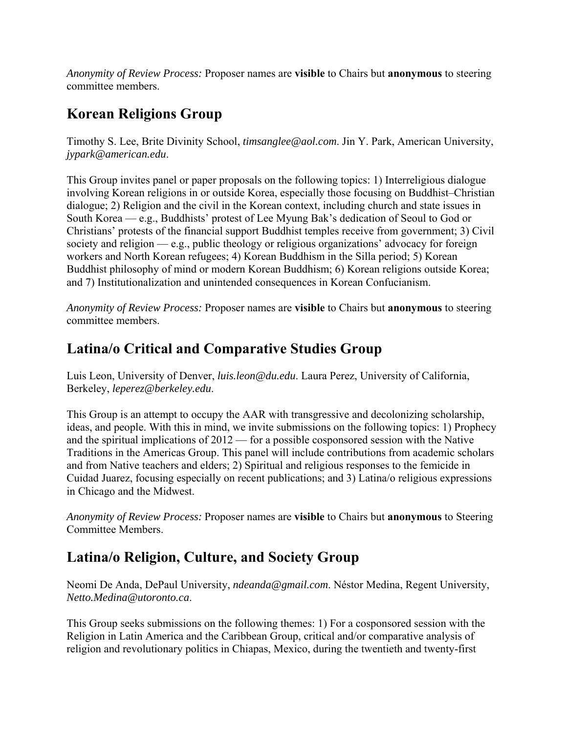*Anonymity of Review Process:* Proposer names are **visible** to Chairs but **anonymous** to steering committee members.

## **Korean Religions Group**

Timothy S. Lee, Brite Divinity School, *timsanglee@aol.com*. Jin Y. Park, American University, *jypark@american.edu*.

This Group invites panel or paper proposals on the following topics: 1) Interreligious dialogue involving Korean religions in or outside Korea, especially those focusing on Buddhist–Christian dialogue; 2) Religion and the civil in the Korean context, including church and state issues in South Korea — e.g., Buddhists' protest of Lee Myung Bak's dedication of Seoul to God or Christians' protests of the financial support Buddhist temples receive from government; 3) Civil society and religion — e.g., public theology or religious organizations' advocacy for foreign workers and North Korean refugees; 4) Korean Buddhism in the Silla period; 5) Korean Buddhist philosophy of mind or modern Korean Buddhism; 6) Korean religions outside Korea; and 7) Institutionalization and unintended consequences in Korean Confucianism.

*Anonymity of Review Process:* Proposer names are **visible** to Chairs but **anonymous** to steering committee members.

#### **Latina/o Critical and Comparative Studies Group**

Luis Leon, University of Denver, *luis.leon@du.edu*. Laura Perez, University of California, Berkeley, *leperez@berkeley.edu*.

This Group is an attempt to occupy the AAR with transgressive and decolonizing scholarship, ideas, and people. With this in mind, we invite submissions on the following topics: 1) Prophecy and the spiritual implications of 2012 — for a possible cosponsored session with the Native Traditions in the Americas Group. This panel will include contributions from academic scholars and from Native teachers and elders; 2) Spiritual and religious responses to the femicide in Cuidad Juarez, focusing especially on recent publications; and 3) Latina/o religious expressions in Chicago and the Midwest.

*Anonymity of Review Process:* Proposer names are **visible** to Chairs but **anonymous** to Steering Committee Members.

### **Latina/o Religion, Culture, and Society Group**

Neomi De Anda, DePaul University, *ndeanda@gmail.com*. Néstor Medina, Regent University, *Netto.Medina@utoronto.ca*.

This Group seeks submissions on the following themes: 1) For a cosponsored session with the Religion in Latin America and the Caribbean Group, critical and/or comparative analysis of religion and revolutionary politics in Chiapas, Mexico, during the twentieth and twenty-first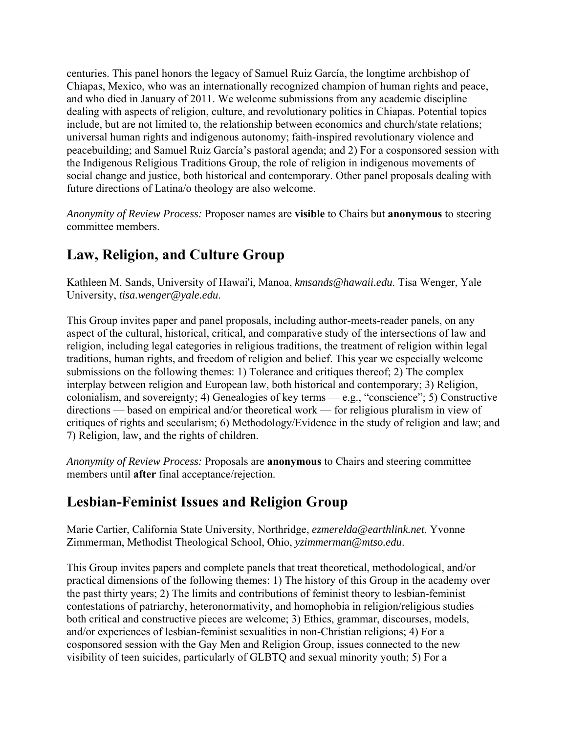centuries. This panel honors the legacy of Samuel Ruiz García, the longtime archbishop of Chiapas, Mexico, who was an internationally recognized champion of human rights and peace, and who died in January of 2011. We welcome submissions from any academic discipline dealing with aspects of religion, culture, and revolutionary politics in Chiapas. Potential topics include, but are not limited to, the relationship between economics and church/state relations; universal human rights and indigenous autonomy; faith-inspired revolutionary violence and peacebuilding; and Samuel Ruiz García's pastoral agenda; and 2) For a cosponsored session with the Indigenous Religious Traditions Group, the role of religion in indigenous movements of social change and justice, both historical and contemporary. Other panel proposals dealing with future directions of Latina/o theology are also welcome.

*Anonymity of Review Process:* Proposer names are **visible** to Chairs but **anonymous** to steering committee members.

# **Law, Religion, and Culture Group**

Kathleen M. Sands, University of Hawai'i, Manoa, *kmsands@hawaii.edu*. Tisa Wenger, Yale University, *tisa.wenger@yale.edu*.

This Group invites paper and panel proposals, including author-meets-reader panels, on any aspect of the cultural, historical, critical, and comparative study of the intersections of law and religion, including legal categories in religious traditions, the treatment of religion within legal traditions, human rights, and freedom of religion and belief. This year we especially welcome submissions on the following themes: 1) Tolerance and critiques thereof; 2) The complex interplay between religion and European law, both historical and contemporary; 3) Religion, colonialism, and sovereignty; 4) Genealogies of key terms — e.g., "conscience"; 5) Constructive directions — based on empirical and/or theoretical work — for religious pluralism in view of critiques of rights and secularism; 6) Methodology/Evidence in the study of religion and law; and 7) Religion, law, and the rights of children.

*Anonymity of Review Process:* Proposals are **anonymous** to Chairs and steering committee members until **after** final acceptance/rejection.

### **Lesbian-Feminist Issues and Religion Group**

Marie Cartier, California State University, Northridge, *ezmerelda@earthlink.net*. Yvonne Zimmerman, Methodist Theological School, Ohio, *yzimmerman@mtso.edu*.

This Group invites papers and complete panels that treat theoretical, methodological, and/or practical dimensions of the following themes: 1) The history of this Group in the academy over the past thirty years; 2) The limits and contributions of feminist theory to lesbian-feminist contestations of patriarchy, heteronormativity, and homophobia in religion/religious studies both critical and constructive pieces are welcome; 3) Ethics, grammar, discourses, models, and/or experiences of lesbian-feminist sexualities in non-Christian religions; 4) For a cosponsored session with the Gay Men and Religion Group, issues connected to the new visibility of teen suicides, particularly of GLBTQ and sexual minority youth; 5) For a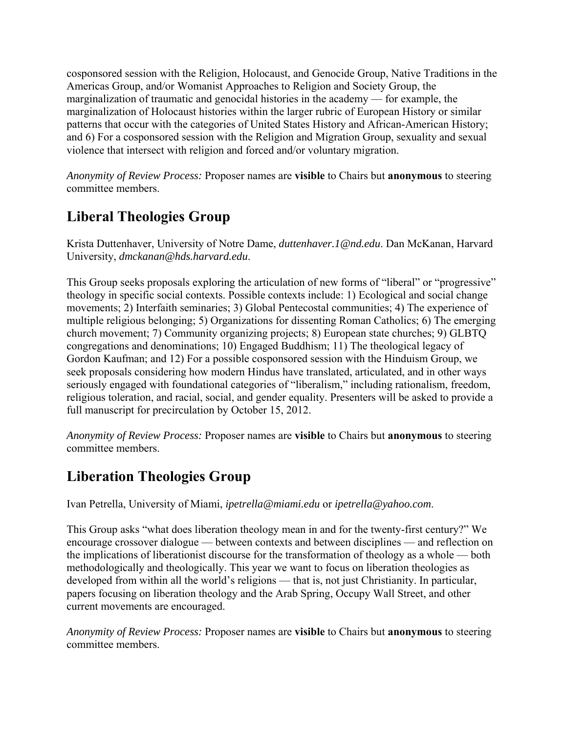cosponsored session with the Religion, Holocaust, and Genocide Group, Native Traditions in the Americas Group, and/or Womanist Approaches to Religion and Society Group, the marginalization of traumatic and genocidal histories in the academy — for example, the marginalization of Holocaust histories within the larger rubric of European History or similar patterns that occur with the categories of United States History and African-American History; and 6) For a cosponsored session with the Religion and Migration Group, sexuality and sexual violence that intersect with religion and forced and/or voluntary migration.

*Anonymity of Review Process:* Proposer names are **visible** to Chairs but **anonymous** to steering committee members.

### **Liberal Theologies Group**

Krista Duttenhaver, University of Notre Dame, *duttenhaver.1@nd.edu*. Dan McKanan, Harvard University, *dmckanan@hds.harvard.edu*.

This Group seeks proposals exploring the articulation of new forms of "liberal" or "progressive" theology in specific social contexts. Possible contexts include: 1) Ecological and social change movements; 2) Interfaith seminaries; 3) Global Pentecostal communities; 4) The experience of multiple religious belonging; 5) Organizations for dissenting Roman Catholics; 6) The emerging church movement; 7) Community organizing projects; 8) European state churches; 9) GLBTQ congregations and denominations; 10) Engaged Buddhism; 11) The theological legacy of Gordon Kaufman; and 12) For a possible cosponsored session with the Hinduism Group, we seek proposals considering how modern Hindus have translated, articulated, and in other ways seriously engaged with foundational categories of "liberalism," including rationalism, freedom, religious toleration, and racial, social, and gender equality. Presenters will be asked to provide a full manuscript for precirculation by October 15, 2012.

*Anonymity of Review Process:* Proposer names are **visible** to Chairs but **anonymous** to steering committee members.

### **Liberation Theologies Group**

Ivan Petrella, University of Miami, *ipetrella@miami.edu* or *ipetrella@yahoo.com*.

This Group asks "what does liberation theology mean in and for the twenty-first century?" We encourage crossover dialogue — between contexts and between disciplines — and reflection on the implications of liberationist discourse for the transformation of theology as a whole — both methodologically and theologically. This year we want to focus on liberation theologies as developed from within all the world's religions — that is, not just Christianity. In particular, papers focusing on liberation theology and the Arab Spring, Occupy Wall Street, and other current movements are encouraged.

*Anonymity of Review Process:* Proposer names are **visible** to Chairs but **anonymous** to steering committee members.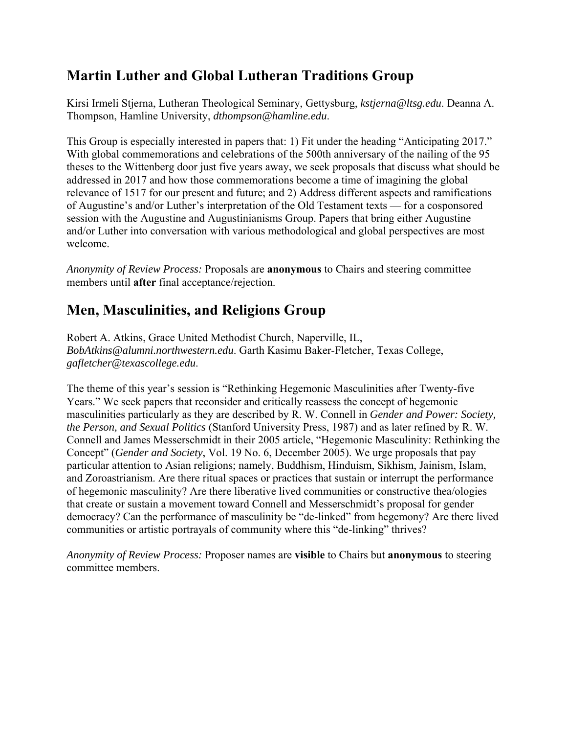## **Martin Luther and Global Lutheran Traditions Group**

Kirsi Irmeli Stjerna, Lutheran Theological Seminary, Gettysburg, *kstjerna@ltsg.edu*. Deanna A. Thompson, Hamline University, *dthompson@hamline.edu*.

This Group is especially interested in papers that: 1) Fit under the heading "Anticipating 2017." With global commemorations and celebrations of the 500th anniversary of the nailing of the 95 theses to the Wittenberg door just five years away, we seek proposals that discuss what should be addressed in 2017 and how those commemorations become a time of imagining the global relevance of 1517 for our present and future; and 2) Address different aspects and ramifications of Augustine's and/or Luther's interpretation of the Old Testament texts — for a cosponsored session with the Augustine and Augustinianisms Group. Papers that bring either Augustine and/or Luther into conversation with various methodological and global perspectives are most welcome.

*Anonymity of Review Process:* Proposals are **anonymous** to Chairs and steering committee members until **after** final acceptance/rejection.

## **Men, Masculinities, and Religions Group**

Robert A. Atkins, Grace United Methodist Church, Naperville, IL, *BobAtkins@alumni.northwestern.edu*. Garth Kasimu Baker-Fletcher, Texas College, *gafletcher@texascollege.edu*.

The theme of this year's session is "Rethinking Hegemonic Masculinities after Twenty-five Years." We seek papers that reconsider and critically reassess the concept of hegemonic masculinities particularly as they are described by R. W. Connell in *Gender and Power: Society, the Person, and Sexual Politics* (Stanford University Press, 1987) and as later refined by R. W. Connell and James Messerschmidt in their 2005 article, "Hegemonic Masculinity: Rethinking the Concept" (*Gender and Society*, Vol. 19 No. 6, December 2005). We urge proposals that pay particular attention to Asian religions; namely, Buddhism, Hinduism, Sikhism, Jainism, Islam, and Zoroastrianism. Are there ritual spaces or practices that sustain or interrupt the performance of hegemonic masculinity? Are there liberative lived communities or constructive thea/ologies that create or sustain a movement toward Connell and Messerschmidt's proposal for gender democracy? Can the performance of masculinity be "de-linked" from hegemony? Are there lived communities or artistic portrayals of community where this "de-linking" thrives?

*Anonymity of Review Process:* Proposer names are **visible** to Chairs but **anonymous** to steering committee members.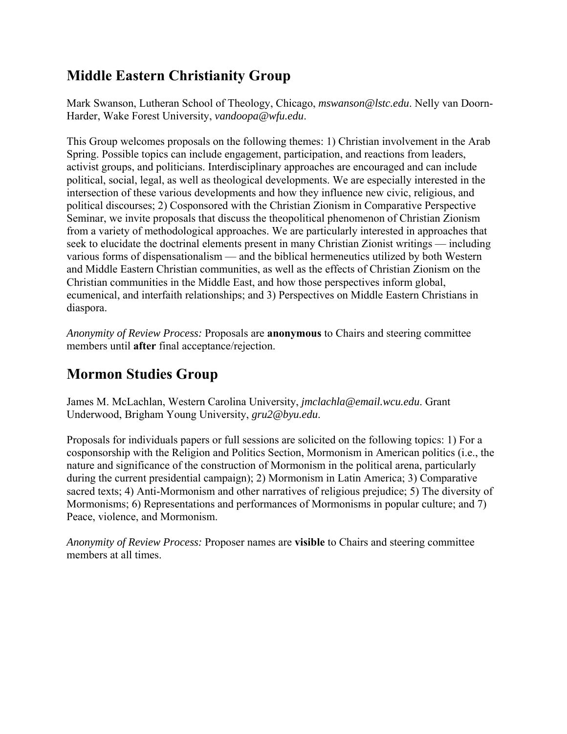### **Middle Eastern Christianity Group**

Mark Swanson, Lutheran School of Theology, Chicago, *mswanson@lstc.edu*. Nelly van Doorn-Harder, Wake Forest University, *vandoopa@wfu.edu*.

This Group welcomes proposals on the following themes: 1) Christian involvement in the Arab Spring. Possible topics can include engagement, participation, and reactions from leaders, activist groups, and politicians. Interdisciplinary approaches are encouraged and can include political, social, legal, as well as theological developments. We are especially interested in the intersection of these various developments and how they influence new civic, religious, and political discourses; 2) Cosponsored with the Christian Zionism in Comparative Perspective Seminar, we invite proposals that discuss the theopolitical phenomenon of Christian Zionism from a variety of methodological approaches. We are particularly interested in approaches that seek to elucidate the doctrinal elements present in many Christian Zionist writings — including various forms of dispensationalism — and the biblical hermeneutics utilized by both Western and Middle Eastern Christian communities, as well as the effects of Christian Zionism on the Christian communities in the Middle East, and how those perspectives inform global, ecumenical, and interfaith relationships; and 3) Perspectives on Middle Eastern Christians in diaspora.

*Anonymity of Review Process:* Proposals are **anonymous** to Chairs and steering committee members until **after** final acceptance/rejection.

# **Mormon Studies Group**

James M. McLachlan, Western Carolina University, *jmclachla@email.wcu.edu*. Grant Underwood, Brigham Young University, *gru2@byu.edu*.

Proposals for individuals papers or full sessions are solicited on the following topics: 1) For a cosponsorship with the Religion and Politics Section, Mormonism in American politics (i.e., the nature and significance of the construction of Mormonism in the political arena, particularly during the current presidential campaign); 2) Mormonism in Latin America; 3) Comparative sacred texts; 4) Anti-Mormonism and other narratives of religious prejudice; 5) The diversity of Mormonisms; 6) Representations and performances of Mormonisms in popular culture; and 7) Peace, violence, and Mormonism.

*Anonymity of Review Process:* Proposer names are **visible** to Chairs and steering committee members at all times.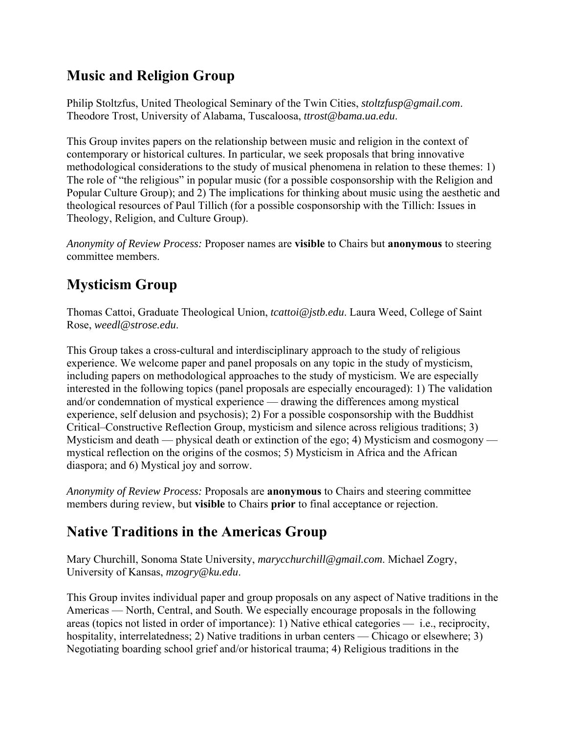## **Music and Religion Group**

Philip Stoltzfus, United Theological Seminary of the Twin Cities, *stoltzfusp@gmail.com*. Theodore Trost, University of Alabama, Tuscaloosa, *ttrost@bama.ua.edu*.

This Group invites papers on the relationship between music and religion in the context of contemporary or historical cultures. In particular, we seek proposals that bring innovative methodological considerations to the study of musical phenomena in relation to these themes: 1) The role of "the religious" in popular music (for a possible cosponsorship with the Religion and Popular Culture Group); and 2) The implications for thinking about music using the aesthetic and theological resources of Paul Tillich (for a possible cosponsorship with the Tillich: Issues in Theology, Religion, and Culture Group).

*Anonymity of Review Process:* Proposer names are **visible** to Chairs but **anonymous** to steering committee members.

# **Mysticism Group**

Thomas Cattoi, Graduate Theological Union, *tcattoi@jstb.edu*. Laura Weed, College of Saint Rose, *weedl@strose.edu*.

This Group takes a cross-cultural and interdisciplinary approach to the study of religious experience. We welcome paper and panel proposals on any topic in the study of mysticism, including papers on methodological approaches to the study of mysticism. We are especially interested in the following topics (panel proposals are especially encouraged): 1) The validation and/or condemnation of mystical experience — drawing the differences among mystical experience, self delusion and psychosis); 2) For a possible cosponsorship with the Buddhist Critical–Constructive Reflection Group, mysticism and silence across religious traditions; 3) Mysticism and death — physical death or extinction of the ego; 4) Mysticism and cosmogony mystical reflection on the origins of the cosmos; 5) Mysticism in Africa and the African diaspora; and 6) Mystical joy and sorrow.

*Anonymity of Review Process:* Proposals are **anonymous** to Chairs and steering committee members during review, but **visible** to Chairs **prior** to final acceptance or rejection.

### **Native Traditions in the Americas Group**

Mary Churchill, Sonoma State University, *marycchurchill@gmail.com*. Michael Zogry, University of Kansas, *mzogry@ku.edu*.

This Group invites individual paper and group proposals on any aspect of Native traditions in the Americas — North, Central, and South. We especially encourage proposals in the following areas (topics not listed in order of importance): 1) Native ethical categories — i.e., reciprocity, hospitality, interrelatedness; 2) Native traditions in urban centers — Chicago or elsewhere; 3) Negotiating boarding school grief and/or historical trauma; 4) Religious traditions in the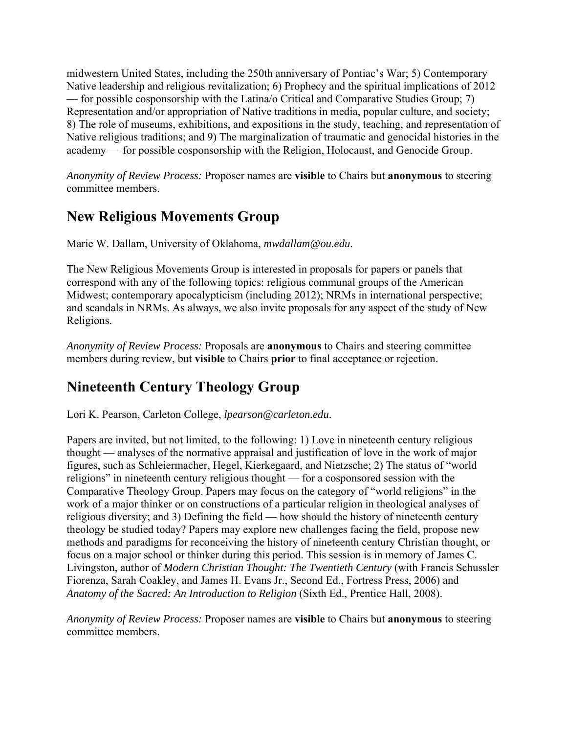midwestern United States, including the 250th anniversary of Pontiac's War; 5) Contemporary Native leadership and religious revitalization; 6) Prophecy and the spiritual implications of 2012 — for possible cosponsorship with the Latina/o Critical and Comparative Studies Group; 7) Representation and/or appropriation of Native traditions in media, popular culture, and society; 8) The role of museums, exhibitions, and expositions in the study, teaching, and representation of Native religious traditions; and 9) The marginalization of traumatic and genocidal histories in the academy — for possible cosponsorship with the Religion, Holocaust, and Genocide Group.

*Anonymity of Review Process:* Proposer names are **visible** to Chairs but **anonymous** to steering committee members.

### **New Religious Movements Group**

Marie W. Dallam, University of Oklahoma, *mwdallam@ou.edu*.

The New Religious Movements Group is interested in proposals for papers or panels that correspond with any of the following topics: religious communal groups of the American Midwest; contemporary apocalypticism (including 2012); NRMs in international perspective; and scandals in NRMs. As always, we also invite proposals for any aspect of the study of New Religions.

*Anonymity of Review Process:* Proposals are **anonymous** to Chairs and steering committee members during review, but **visible** to Chairs **prior** to final acceptance or rejection.

# **Nineteenth Century Theology Group**

Lori K. Pearson, Carleton College, *lpearson@carleton.edu*.

Papers are invited, but not limited, to the following: 1) Love in nineteenth century religious thought — analyses of the normative appraisal and justification of love in the work of major figures, such as Schleiermacher, Hegel, Kierkegaard, and Nietzsche; 2) The status of "world religions" in nineteenth century religious thought — for a cosponsored session with the Comparative Theology Group. Papers may focus on the category of "world religions" in the work of a major thinker or on constructions of a particular religion in theological analyses of religious diversity; and 3) Defining the field — how should the history of nineteenth century theology be studied today? Papers may explore new challenges facing the field, propose new methods and paradigms for reconceiving the history of nineteenth century Christian thought, or focus on a major school or thinker during this period. This session is in memory of James C. Livingston, author of *Modern Christian Thought: The Twentieth Century* (with Francis Schussler Fiorenza, Sarah Coakley, and James H. Evans Jr., Second Ed., Fortress Press, 2006) and *Anatomy of the Sacred: An Introduction to Religion* (Sixth Ed., Prentice Hall, 2008).

*Anonymity of Review Process:* Proposer names are **visible** to Chairs but **anonymous** to steering committee members.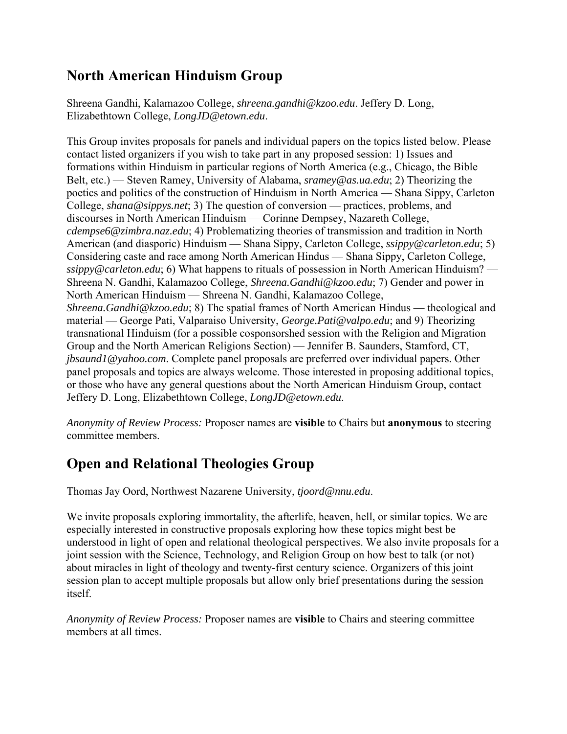### **North American Hinduism Group**

Shreena Gandhi, Kalamazoo College, *shreena.gandhi@kzoo.edu*. Jeffery D. Long, Elizabethtown College, *LongJD@etown.edu*.

This Group invites proposals for panels and individual papers on the topics listed below. Please contact listed organizers if you wish to take part in any proposed session: 1) Issues and formations within Hinduism in particular regions of North America (e.g., Chicago, the Bible Belt, etc.) — Steven Ramey, University of Alabama, *sramey@as.ua.edu*; 2) Theorizing the poetics and politics of the construction of Hinduism in North America — Shana Sippy, Carleton College, *shana@sippys.net*; 3) The question of conversion — practices, problems, and discourses in North American Hinduism — Corinne Dempsey, Nazareth College, *cdempse6@zimbra.naz.edu*; 4) Problematizing theories of transmission and tradition in North American (and diasporic) Hinduism — Shana Sippy, Carleton College, *ssippy@carleton.edu*; 5) Considering caste and race among North American Hindus — Shana Sippy, Carleton College, *ssippy@carleton.edu*; 6) What happens to rituals of possession in North American Hinduism? — Shreena N. Gandhi, Kalamazoo College, *Shreena.Gandhi@kzoo.edu*; 7) Gender and power in North American Hinduism — Shreena N. Gandhi, Kalamazoo College, *Shreena.Gandhi@kzoo.edu*; 8) The spatial frames of North American Hindus — theological and material — George Pati, Valparaiso University, *George.Pati@valpo.edu*; and 9) Theorizing transnational Hinduism (for a possible cosponsorshed session with the Religion and Migration Group and the North American Religions Section) — Jennifer B. Saunders, Stamford, CT, *jbsaund1@yahoo.com*. Complete panel proposals are preferred over individual papers. Other panel proposals and topics are always welcome. Those interested in proposing additional topics, or those who have any general questions about the North American Hinduism Group, contact Jeffery D. Long, Elizabethtown College, *LongJD@etown.edu*.

*Anonymity of Review Process:* Proposer names are **visible** to Chairs but **anonymous** to steering committee members.

### **Open and Relational Theologies Group**

Thomas Jay Oord, Northwest Nazarene University, *tjoord@nnu.edu*.

We invite proposals exploring immortality, the afterlife, heaven, hell, or similar topics. We are especially interested in constructive proposals exploring how these topics might best be understood in light of open and relational theological perspectives. We also invite proposals for a joint session with the Science, Technology, and Religion Group on how best to talk (or not) about miracles in light of theology and twenty-first century science. Organizers of this joint session plan to accept multiple proposals but allow only brief presentations during the session itself.

*Anonymity of Review Process:* Proposer names are **visible** to Chairs and steering committee members at all times.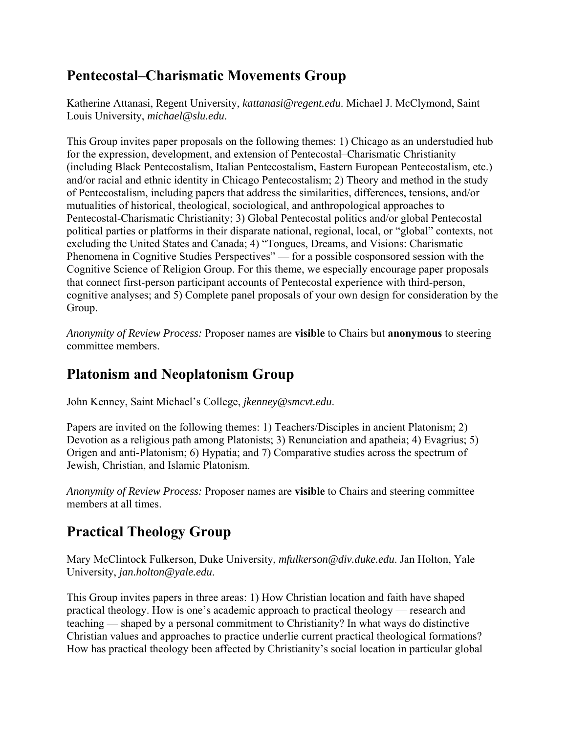### **Pentecostal–Charismatic Movements Group**

Katherine Attanasi, Regent University, *kattanasi@regent.edu*. Michael J. McClymond, Saint Louis University, *michael@slu.edu*.

This Group invites paper proposals on the following themes: 1) Chicago as an understudied hub for the expression, development, and extension of Pentecostal–Charismatic Christianity (including Black Pentecostalism, Italian Pentecostalism, Eastern European Pentecostalism, etc.) and/or racial and ethnic identity in Chicago Pentecostalism; 2) Theory and method in the study of Pentecostalism, including papers that address the similarities, differences, tensions, and/or mutualities of historical, theological, sociological, and anthropological approaches to Pentecostal-Charismatic Christianity; 3) Global Pentecostal politics and/or global Pentecostal political parties or platforms in their disparate national, regional, local, or "global" contexts, not excluding the United States and Canada; 4) "Tongues, Dreams, and Visions: Charismatic Phenomena in Cognitive Studies Perspectives" — for a possible cosponsored session with the Cognitive Science of Religion Group. For this theme, we especially encourage paper proposals that connect first-person participant accounts of Pentecostal experience with third-person, cognitive analyses; and 5) Complete panel proposals of your own design for consideration by the Group.

*Anonymity of Review Process:* Proposer names are **visible** to Chairs but **anonymous** to steering committee members.

### **Platonism and Neoplatonism Group**

John Kenney, Saint Michael's College, *jkenney@smcvt.edu*.

Papers are invited on the following themes: 1) Teachers/Disciples in ancient Platonism; 2) Devotion as a religious path among Platonists; 3) Renunciation and apatheia; 4) Evagrius; 5) Origen and anti-Platonism; 6) Hypatia; and 7) Comparative studies across the spectrum of Jewish, Christian, and Islamic Platonism.

*Anonymity of Review Process:* Proposer names are **visible** to Chairs and steering committee members at all times.

# **Practical Theology Group**

Mary McClintock Fulkerson, Duke University, *mfulkerson@div.duke.edu*. Jan Holton, Yale University, *jan.holton@yale.edu*.

This Group invites papers in three areas: 1) How Christian location and faith have shaped practical theology. How is one's academic approach to practical theology — research and teaching — shaped by a personal commitment to Christianity? In what ways do distinctive Christian values and approaches to practice underlie current practical theological formations? How has practical theology been affected by Christianity's social location in particular global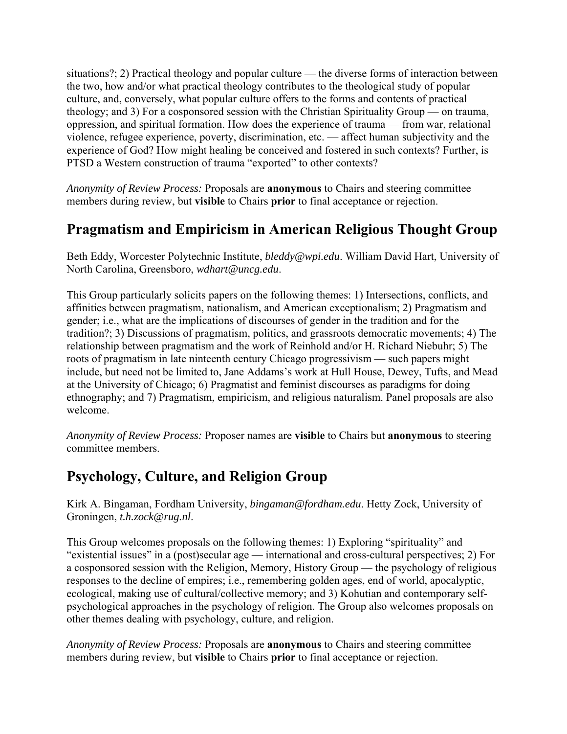situations?; 2) Practical theology and popular culture — the diverse forms of interaction between the two, how and/or what practical theology contributes to the theological study of popular culture, and, conversely, what popular culture offers to the forms and contents of practical theology; and 3) For a cosponsored session with the Christian Spirituality Group — on trauma, oppression, and spiritual formation. How does the experience of trauma — from war, relational violence, refugee experience, poverty, discrimination, etc. — affect human subjectivity and the experience of God? How might healing be conceived and fostered in such contexts? Further, is PTSD a Western construction of trauma "exported" to other contexts?

*Anonymity of Review Process:* Proposals are **anonymous** to Chairs and steering committee members during review, but **visible** to Chairs **prior** to final acceptance or rejection.

### **Pragmatism and Empiricism in American Religious Thought Group**

Beth Eddy, Worcester Polytechnic Institute, *bleddy@wpi.edu*. William David Hart, University of North Carolina, Greensboro, *wdhart@uncg.edu*.

This Group particularly solicits papers on the following themes: 1) Intersections, conflicts, and affinities between pragmatism, nationalism, and American exceptionalism; 2) Pragmatism and gender; i.e., what are the implications of discourses of gender in the tradition and for the tradition?; 3) Discussions of pragmatism, politics, and grassroots democratic movements; 4) The relationship between pragmatism and the work of Reinhold and/or H. Richard Niebuhr; 5) The roots of pragmatism in late ninteenth century Chicago progressivism — such papers might include, but need not be limited to, Jane Addams's work at Hull House, Dewey, Tufts, and Mead at the University of Chicago; 6) Pragmatist and feminist discourses as paradigms for doing ethnography; and 7) Pragmatism, empiricism, and religious naturalism. Panel proposals are also welcome.

*Anonymity of Review Process:* Proposer names are **visible** to Chairs but **anonymous** to steering committee members.

#### **Psychology, Culture, and Religion Group**

Kirk A. Bingaman, Fordham University, *bingaman@fordham.edu*. Hetty Zock, University of Groningen, *t.h.zock@rug.nl*.

This Group welcomes proposals on the following themes: 1) Exploring "spirituality" and "existential issues" in a (post)secular age — international and cross-cultural perspectives; 2) For a cosponsored session with the Religion, Memory, History Group — the psychology of religious responses to the decline of empires; i.e., remembering golden ages, end of world, apocalyptic, ecological, making use of cultural/collective memory; and 3) Kohutian and contemporary selfpsychological approaches in the psychology of religion. The Group also welcomes proposals on other themes dealing with psychology, culture, and religion.

*Anonymity of Review Process:* Proposals are **anonymous** to Chairs and steering committee members during review, but **visible** to Chairs **prior** to final acceptance or rejection.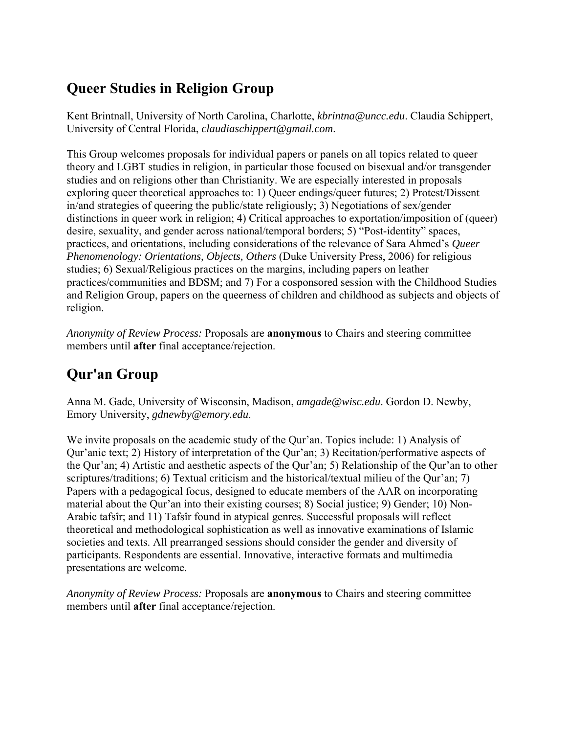### **Queer Studies in Religion Group**

Kent Brintnall, University of North Carolina, Charlotte, *kbrintna@uncc.edu*. Claudia Schippert, University of Central Florida, *claudiaschippert@gmail.com*.

This Group welcomes proposals for individual papers or panels on all topics related to queer theory and LGBT studies in religion, in particular those focused on bisexual and/or transgender studies and on religions other than Christianity. We are especially interested in proposals exploring queer theoretical approaches to: 1) Queer endings/queer futures; 2) Protest/Dissent in/and strategies of queering the public/state religiously; 3) Negotiations of sex/gender distinctions in queer work in religion; 4) Critical approaches to exportation/imposition of (queer) desire, sexuality, and gender across national/temporal borders; 5) "Post-identity" spaces, practices, and orientations, including considerations of the relevance of Sara Ahmed's *Queer Phenomenology: Orientations, Objects, Others* (Duke University Press, 2006) for religious studies; 6) Sexual/Religious practices on the margins, including papers on leather practices/communities and BDSM; and 7) For a cosponsored session with the Childhood Studies and Religion Group, papers on the queerness of children and childhood as subjects and objects of religion.

*Anonymity of Review Process:* Proposals are **anonymous** to Chairs and steering committee members until **after** final acceptance/rejection.

# **Qur'an Group**

Anna M. Gade, University of Wisconsin, Madison, *amgade@wisc.edu*. Gordon D. Newby, Emory University, *gdnewby@emory.edu*.

We invite proposals on the academic study of the Qur'an. Topics include: 1) Analysis of Qur'anic text; 2) History of interpretation of the Qur'an; 3) Recitation/performative aspects of the Qur'an; 4) Artistic and aesthetic aspects of the Qur'an; 5) Relationship of the Qur'an to other scriptures/traditions; 6) Textual criticism and the historical/textual milieu of the Qur'an; 7) Papers with a pedagogical focus, designed to educate members of the AAR on incorporating material about the Qur'an into their existing courses; 8) Social justice; 9) Gender; 10) Non-Arabic tafsîr; and 11) Tafsîr found in atypical genres. Successful proposals will reflect theoretical and methodological sophistication as well as innovative examinations of Islamic societies and texts. All prearranged sessions should consider the gender and diversity of participants. Respondents are essential. Innovative, interactive formats and multimedia presentations are welcome.

*Anonymity of Review Process:* Proposals are **anonymous** to Chairs and steering committee members until **after** final acceptance/rejection.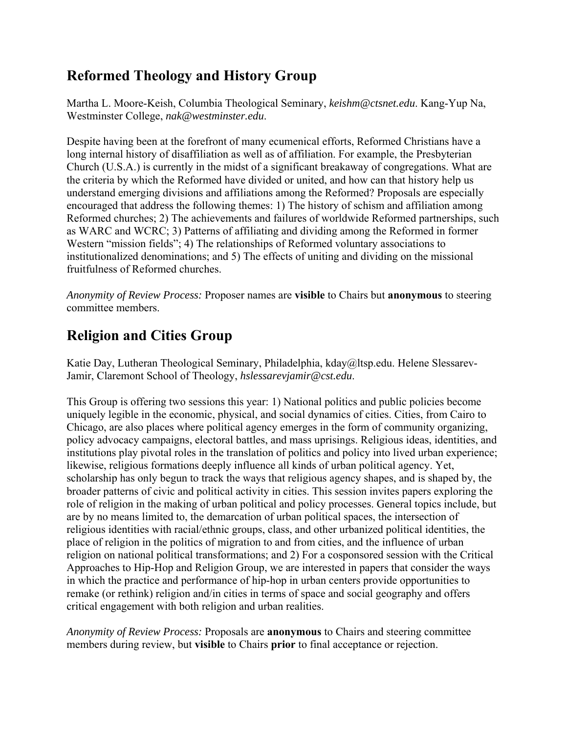## **Reformed Theology and History Group**

Martha L. Moore-Keish, Columbia Theological Seminary, *keishm@ctsnet.edu*. Kang-Yup Na, Westminster College, *nak@westminster.edu*.

Despite having been at the forefront of many ecumenical efforts, Reformed Christians have a long internal history of disaffiliation as well as of affiliation. For example, the Presbyterian Church (U.S.A.) is currently in the midst of a significant breakaway of congregations. What are the criteria by which the Reformed have divided or united, and how can that history help us understand emerging divisions and affiliations among the Reformed? Proposals are especially encouraged that address the following themes: 1) The history of schism and affiliation among Reformed churches; 2) The achievements and failures of worldwide Reformed partnerships, such as WARC and WCRC; 3) Patterns of affiliating and dividing among the Reformed in former Western "mission fields"; 4) The relationships of Reformed voluntary associations to institutionalized denominations; and 5) The effects of uniting and dividing on the missional fruitfulness of Reformed churches.

*Anonymity of Review Process:* Proposer names are **visible** to Chairs but **anonymous** to steering committee members.

# **Religion and Cities Group**

Katie Day, Lutheran Theological Seminary, Philadelphia, kday@ltsp.edu. Helene Slessarev-Jamir, Claremont School of Theology, *hslessarevjamir@cst.edu*.

This Group is offering two sessions this year: 1) National politics and public policies become uniquely legible in the economic, physical, and social dynamics of cities. Cities, from Cairo to Chicago, are also places where political agency emerges in the form of community organizing, policy advocacy campaigns, electoral battles, and mass uprisings. Religious ideas, identities, and institutions play pivotal roles in the translation of politics and policy into lived urban experience; likewise, religious formations deeply influence all kinds of urban political agency. Yet, scholarship has only begun to track the ways that religious agency shapes, and is shaped by, the broader patterns of civic and political activity in cities. This session invites papers exploring the role of religion in the making of urban political and policy processes. General topics include, but are by no means limited to, the demarcation of urban political spaces, the intersection of religious identities with racial/ethnic groups, class, and other urbanized political identities, the place of religion in the politics of migration to and from cities, and the influence of urban religion on national political transformations; and 2) For a cosponsored session with the Critical Approaches to Hip-Hop and Religion Group, we are interested in papers that consider the ways in which the practice and performance of hip-hop in urban centers provide opportunities to remake (or rethink) religion and/in cities in terms of space and social geography and offers critical engagement with both religion and urban realities.

*Anonymity of Review Process:* Proposals are **anonymous** to Chairs and steering committee members during review, but **visible** to Chairs **prior** to final acceptance or rejection.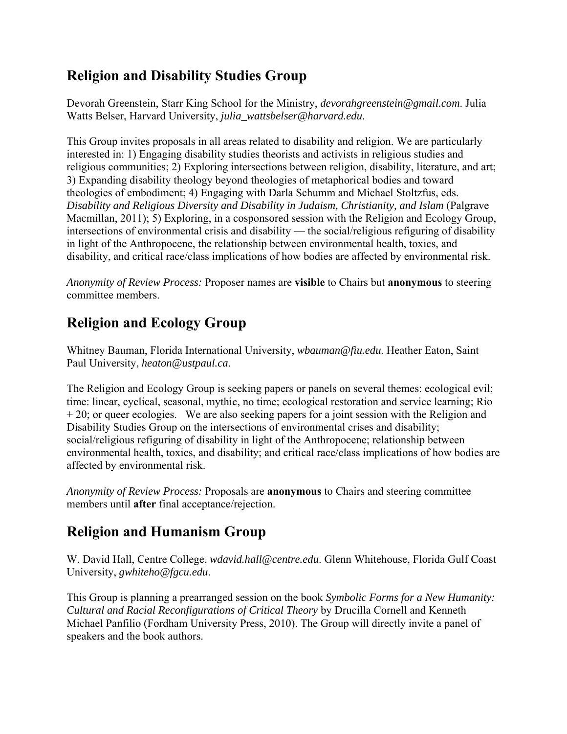## **Religion and Disability Studies Group**

Devorah Greenstein, Starr King School for the Ministry, *devorahgreenstein@gmail.com*. Julia Watts Belser, Harvard University, *julia\_wattsbelser@harvard.edu*.

This Group invites proposals in all areas related to disability and religion. We are particularly interested in: 1) Engaging disability studies theorists and activists in religious studies and religious communities; 2) Exploring intersections between religion, disability, literature, and art; 3) Expanding disability theology beyond theologies of metaphorical bodies and toward theologies of embodiment; 4) Engaging with Darla Schumm and Michael Stoltzfus, eds. *Disability and Religious Diversity and Disability in Judaism, Christianity, and Islam* (Palgrave Macmillan, 2011); 5) Exploring, in a cosponsored session with the Religion and Ecology Group, intersections of environmental crisis and disability — the social/religious refiguring of disability in light of the Anthropocene, the relationship between environmental health, toxics, and disability, and critical race/class implications of how bodies are affected by environmental risk.

*Anonymity of Review Process:* Proposer names are **visible** to Chairs but **anonymous** to steering committee members.

## **Religion and Ecology Group**

Whitney Bauman, Florida International University, *wbauman@fiu.edu*. Heather Eaton, Saint Paul University, *heaton@ustpaul.ca*.

The Religion and Ecology Group is seeking papers or panels on several themes: ecological evil; time: linear, cyclical, seasonal, mythic, no time; ecological restoration and service learning; Rio  $+ 20$ ; or queer ecologies. We are also seeking papers for a joint session with the Religion and Disability Studies Group on the intersections of environmental crises and disability; social/religious refiguring of disability in light of the Anthropocene; relationship between environmental health, toxics, and disability; and critical race/class implications of how bodies are affected by environmental risk.

*Anonymity of Review Process:* Proposals are **anonymous** to Chairs and steering committee members until **after** final acceptance/rejection.

# **Religion and Humanism Group**

W. David Hall, Centre College, *wdavid.hall@centre.edu*. Glenn Whitehouse, Florida Gulf Coast University, *gwhiteho@fgcu.edu*.

This Group is planning a prearranged session on the book *Symbolic Forms for a New Humanity: Cultural and Racial Reconfigurations of Critical Theory* by Drucilla Cornell and Kenneth Michael Panfilio (Fordham University Press, 2010). The Group will directly invite a panel of speakers and the book authors.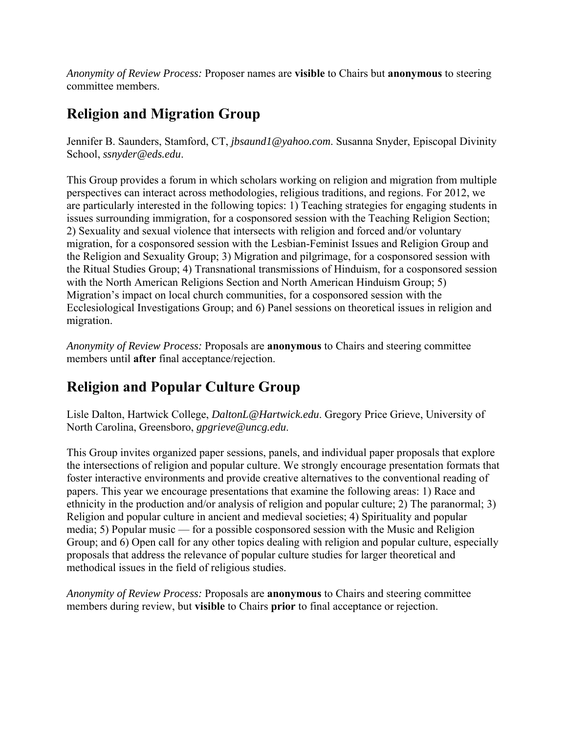*Anonymity of Review Process:* Proposer names are **visible** to Chairs but **anonymous** to steering committee members.

## **Religion and Migration Group**

Jennifer B. Saunders, Stamford, CT, *jbsaund1@yahoo.com*. Susanna Snyder, Episcopal Divinity School, *ssnyder@eds.edu*.

This Group provides a forum in which scholars working on religion and migration from multiple perspectives can interact across methodologies, religious traditions, and regions. For 2012, we are particularly interested in the following topics: 1) Teaching strategies for engaging students in issues surrounding immigration, for a cosponsored session with the Teaching Religion Section; 2) Sexuality and sexual violence that intersects with religion and forced and/or voluntary migration, for a cosponsored session with the Lesbian-Feminist Issues and Religion Group and the Religion and Sexuality Group; 3) Migration and pilgrimage, for a cosponsored session with the Ritual Studies Group; 4) Transnational transmissions of Hinduism, for a cosponsored session with the North American Religions Section and North American Hinduism Group; 5) Migration's impact on local church communities, for a cosponsored session with the Ecclesiological Investigations Group; and 6) Panel sessions on theoretical issues in religion and migration.

*Anonymity of Review Process:* Proposals are **anonymous** to Chairs and steering committee members until **after** final acceptance/rejection.

# **Religion and Popular Culture Group**

Lisle Dalton, Hartwick College, *DaltonL@Hartwick.edu*. Gregory Price Grieve, University of North Carolina, Greensboro, *gpgrieve@uncg.edu*.

This Group invites organized paper sessions, panels, and individual paper proposals that explore the intersections of religion and popular culture. We strongly encourage presentation formats that foster interactive environments and provide creative alternatives to the conventional reading of papers. This year we encourage presentations that examine the following areas: 1) Race and ethnicity in the production and/or analysis of religion and popular culture; 2) The paranormal; 3) Religion and popular culture in ancient and medieval societies; 4) Spirituality and popular media; 5) Popular music — for a possible cosponsored session with the Music and Religion Group; and 6) Open call for any other topics dealing with religion and popular culture, especially proposals that address the relevance of popular culture studies for larger theoretical and methodical issues in the field of religious studies.

*Anonymity of Review Process:* Proposals are **anonymous** to Chairs and steering committee members during review, but **visible** to Chairs **prior** to final acceptance or rejection.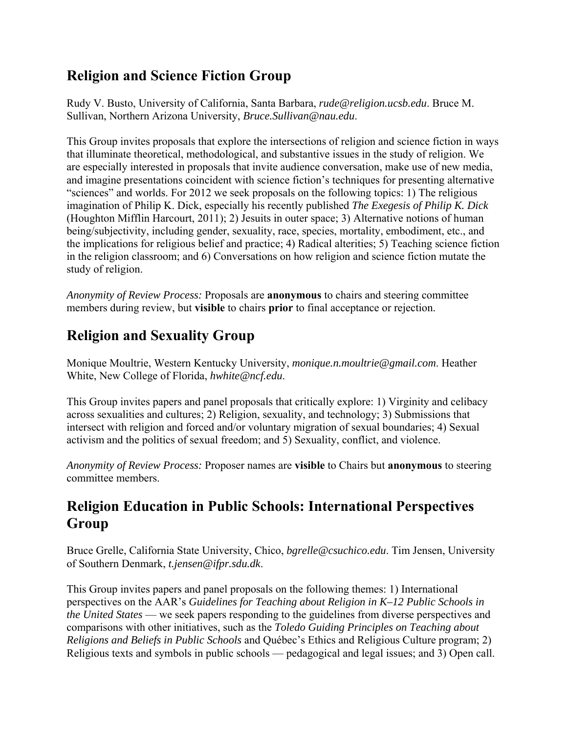### **Religion and Science Fiction Group**

Rudy V. Busto, University of California, Santa Barbara, *rude@religion.ucsb.edu*. Bruce M. Sullivan, Northern Arizona University, *Bruce.Sullivan@nau.edu*.

This Group invites proposals that explore the intersections of religion and science fiction in ways that illuminate theoretical, methodological, and substantive issues in the study of religion. We are especially interested in proposals that invite audience conversation, make use of new media, and imagine presentations coincident with science fiction's techniques for presenting alternative "sciences" and worlds. For 2012 we seek proposals on the following topics: 1) The religious imagination of Philip K. Dick, especially his recently published *The Exegesis of Philip K. Dick* (Houghton Mifflin Harcourt, 2011); 2) Jesuits in outer space; 3) Alternative notions of human being/subjectivity, including gender, sexuality, race, species, mortality, embodiment, etc., and the implications for religious belief and practice; 4) Radical alterities; 5) Teaching science fiction in the religion classroom; and 6) Conversations on how religion and science fiction mutate the study of religion.

*Anonymity of Review Process:* Proposals are **anonymous** to chairs and steering committee members during review, but **visible** to chairs **prior** to final acceptance or rejection.

# **Religion and Sexuality Group**

Monique Moultrie, Western Kentucky University, *monique.n.moultrie@gmail.com*. Heather White, New College of Florida, *hwhite@ncf.edu*.

This Group invites papers and panel proposals that critically explore: 1) Virginity and celibacy across sexualities and cultures; 2) Religion, sexuality, and technology; 3) Submissions that intersect with religion and forced and/or voluntary migration of sexual boundaries; 4) Sexual activism and the politics of sexual freedom; and 5) Sexuality, conflict, and violence.

*Anonymity of Review Process:* Proposer names are **visible** to Chairs but **anonymous** to steering committee members.

### **Religion Education in Public Schools: International Perspectives Group**

Bruce Grelle, California State University, Chico, *bgrelle@csuchico.edu*. Tim Jensen, University of Southern Denmark, *t.jensen@ifpr.sdu.dk*.

This Group invites papers and panel proposals on the following themes: 1) International perspectives on the AAR's *Guidelines for Teaching about Religion in K–12 Public Schools in the United States* — we seek papers responding to the guidelines from diverse perspectives and comparisons with other initiatives, such as the *Toledo Guiding Principles on Teaching about Religions and Beliefs in Public Schools* and Québec's Ethics and Religious Culture program; 2) Religious texts and symbols in public schools — pedagogical and legal issues; and 3) Open call.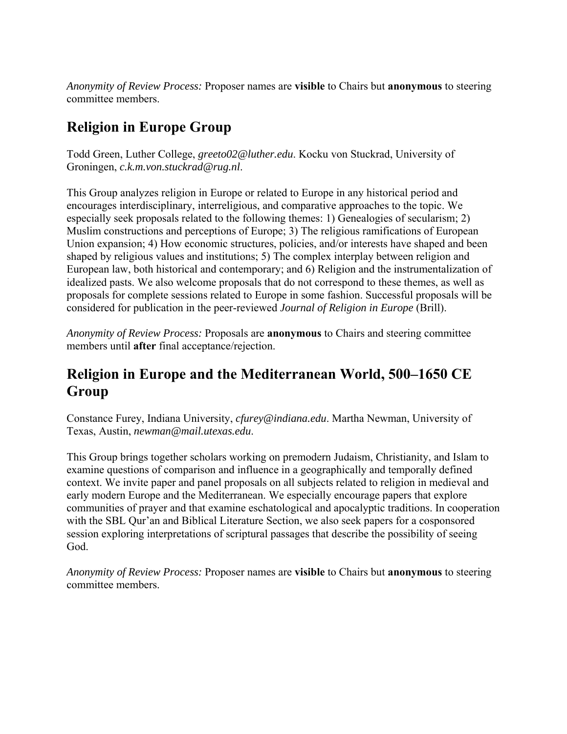*Anonymity of Review Process:* Proposer names are **visible** to Chairs but **anonymous** to steering committee members.

# **Religion in Europe Group**

Todd Green, Luther College, *greeto02@luther.edu*. Kocku von Stuckrad, University of Groningen, *c.k.m.von.stuckrad@rug.nl*.

This Group analyzes religion in Europe or related to Europe in any historical period and encourages interdisciplinary, interreligious, and comparative approaches to the topic. We especially seek proposals related to the following themes: 1) Genealogies of secularism; 2) Muslim constructions and perceptions of Europe; 3) The religious ramifications of European Union expansion; 4) How economic structures, policies, and/or interests have shaped and been shaped by religious values and institutions; 5) The complex interplay between religion and European law, both historical and contemporary; and 6) Religion and the instrumentalization of idealized pasts. We also welcome proposals that do not correspond to these themes, as well as proposals for complete sessions related to Europe in some fashion. Successful proposals will be considered for publication in the peer-reviewed *Journal of Religion in Europe* (Brill).

*Anonymity of Review Process:* Proposals are **anonymous** to Chairs and steering committee members until **after** final acceptance/rejection.

## **Religion in Europe and the Mediterranean World, 500–1650 CE Group**

Constance Furey, Indiana University, *cfurey@indiana.edu*. Martha Newman, University of Texas, Austin, *newman@mail.utexas.edu*.

This Group brings together scholars working on premodern Judaism, Christianity, and Islam to examine questions of comparison and influence in a geographically and temporally defined context. We invite paper and panel proposals on all subjects related to religion in medieval and early modern Europe and the Mediterranean. We especially encourage papers that explore communities of prayer and that examine eschatological and apocalyptic traditions. In cooperation with the SBL Qur'an and Biblical Literature Section, we also seek papers for a cosponsored session exploring interpretations of scriptural passages that describe the possibility of seeing God.

*Anonymity of Review Process:* Proposer names are **visible** to Chairs but **anonymous** to steering committee members.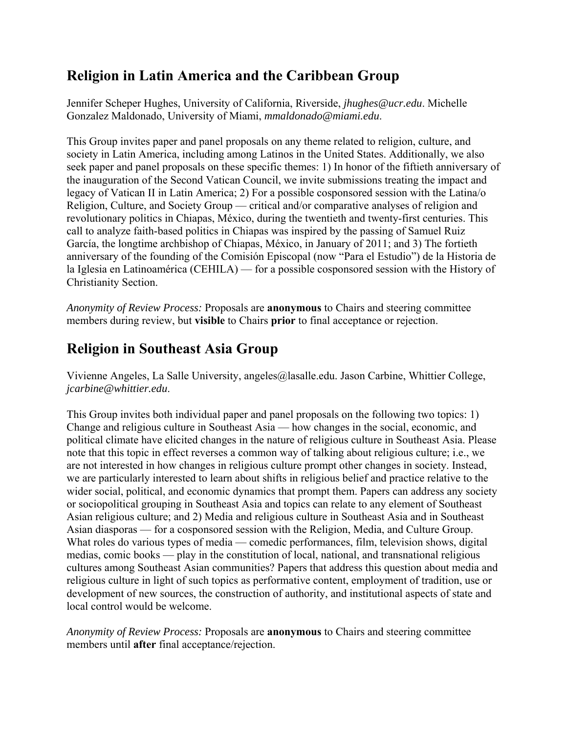## **Religion in Latin America and the Caribbean Group**

Jennifer Scheper Hughes, University of California, Riverside, *jhughes@ucr.edu*. Michelle Gonzalez Maldonado, University of Miami, *mmaldonado@miami.edu*.

This Group invites paper and panel proposals on any theme related to religion, culture, and society in Latin America, including among Latinos in the United States. Additionally, we also seek paper and panel proposals on these specific themes: 1) In honor of the fiftieth anniversary of the inauguration of the Second Vatican Council, we invite submissions treating the impact and legacy of Vatican II in Latin America; 2) For a possible cosponsored session with the Latina/o Religion, Culture, and Society Group — critical and/or comparative analyses of religion and revolutionary politics in Chiapas, México, during the twentieth and twenty-first centuries. This call to analyze faith-based politics in Chiapas was inspired by the passing of Samuel Ruiz García, the longtime archbishop of Chiapas, México, in January of 2011; and 3) The fortieth anniversary of the founding of the Comisión Episcopal (now "Para el Estudio") de la Historia de la Iglesia en Latinoamérica (CEHILA) — for a possible cosponsored session with the History of Christianity Section.

*Anonymity of Review Process:* Proposals are **anonymous** to Chairs and steering committee members during review, but **visible** to Chairs **prior** to final acceptance or rejection.

# **Religion in Southeast Asia Group**

Vivienne Angeles, La Salle University, angeles@lasalle.edu. Jason Carbine, Whittier College, *jcarbine@whittier.edu*.

This Group invites both individual paper and panel proposals on the following two topics: 1) Change and religious culture in Southeast Asia — how changes in the social, economic, and political climate have elicited changes in the nature of religious culture in Southeast Asia. Please note that this topic in effect reverses a common way of talking about religious culture; i.e., we are not interested in how changes in religious culture prompt other changes in society. Instead, we are particularly interested to learn about shifts in religious belief and practice relative to the wider social, political, and economic dynamics that prompt them. Papers can address any society or sociopolitical grouping in Southeast Asia and topics can relate to any element of Southeast Asian religious culture; and 2) Media and religious culture in Southeast Asia and in Southeast Asian diasporas — for a cosponsored session with the Religion, Media, and Culture Group. What roles do various types of media — comedic performances, film, television shows, digital medias, comic books — play in the constitution of local, national, and transnational religious cultures among Southeast Asian communities? Papers that address this question about media and religious culture in light of such topics as performative content, employment of tradition, use or development of new sources, the construction of authority, and institutional aspects of state and local control would be welcome.

*Anonymity of Review Process:* Proposals are **anonymous** to Chairs and steering committee members until **after** final acceptance/rejection.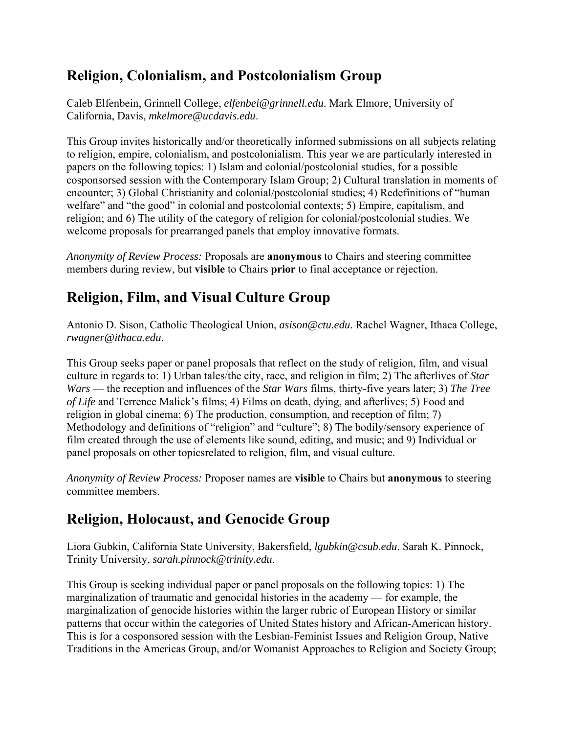### **Religion, Colonialism, and Postcolonialism Group**

Caleb Elfenbein, Grinnell College, *elfenbei@grinnell.edu*. Mark Elmore, University of California, Davis, *mkelmore@ucdavis.edu*.

This Group invites historically and/or theoretically informed submissions on all subjects relating to religion, empire, colonialism, and postcolonialism. This year we are particularly interested in papers on the following topics: 1) Islam and colonial/postcolonial studies, for a possible cosponsorsed session with the Contemporary Islam Group; 2) Cultural translation in moments of encounter; 3) Global Christianity and colonial/postcolonial studies; 4) Redefinitions of "human welfare" and "the good" in colonial and postcolonial contexts; 5) Empire, capitalism, and religion; and 6) The utility of the category of religion for colonial/postcolonial studies. We welcome proposals for prearranged panels that employ innovative formats.

*Anonymity of Review Process:* Proposals are **anonymous** to Chairs and steering committee members during review, but **visible** to Chairs **prior** to final acceptance or rejection.

## **Religion, Film, and Visual Culture Group**

Antonio D. Sison, Catholic Theological Union, *asison@ctu.edu*. Rachel Wagner, Ithaca College, *rwagner@ithaca.edu*.

This Group seeks paper or panel proposals that reflect on the study of religion, film, and visual culture in regards to: 1) Urban tales/the city, race, and religion in film; 2) The afterlives of *Star Wars* — the reception and influences of the *Star Wars* films, thirty-five years later; 3) *The Tree of Life* and Terrence Malick's films; 4) Films on death, dying, and afterlives; 5) Food and religion in global cinema; 6) The production, consumption, and reception of film; 7) Methodology and definitions of "religion" and "culture"; 8) The bodily/sensory experience of film created through the use of elements like sound, editing, and music; and 9) Individual or panel proposals on other topicsrelated to religion, film, and visual culture.

*Anonymity of Review Process:* Proposer names are **visible** to Chairs but **anonymous** to steering committee members.

# **Religion, Holocaust, and Genocide Group**

Liora Gubkin, California State University, Bakersfield, *lgubkin@csub.edu*. Sarah K. Pinnock, Trinity University, *sarah.pinnock@trinity.edu*.

This Group is seeking individual paper or panel proposals on the following topics: 1) The marginalization of traumatic and genocidal histories in the academy — for example, the marginalization of genocide histories within the larger rubric of European History or similar patterns that occur within the categories of United States history and African-American history. This is for a cosponsored session with the Lesbian-Feminist Issues and Religion Group, Native Traditions in the Americas Group, and/or Womanist Approaches to Religion and Society Group;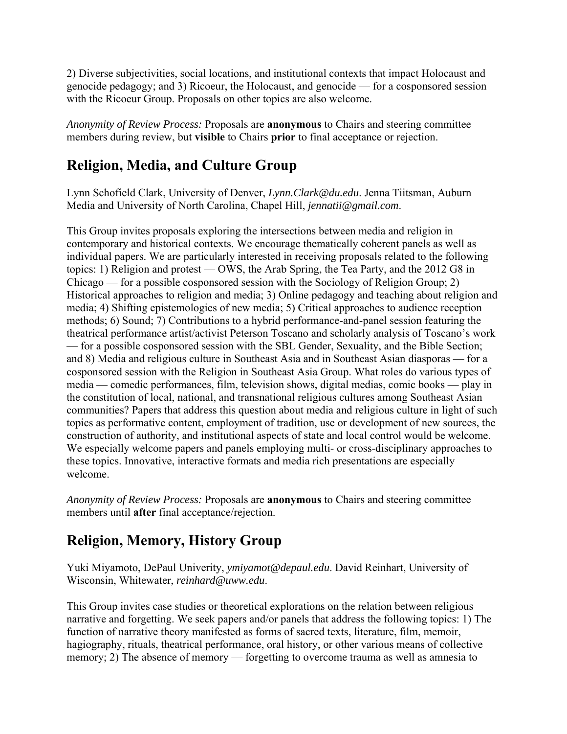2) Diverse subjectivities, social locations, and institutional contexts that impact Holocaust and genocide pedagogy; and 3) Ricoeur, the Holocaust, and genocide — for a cosponsored session with the Ricoeur Group. Proposals on other topics are also welcome.

*Anonymity of Review Process:* Proposals are **anonymous** to Chairs and steering committee members during review, but **visible** to Chairs **prior** to final acceptance or rejection.

## **Religion, Media, and Culture Group**

Lynn Schofield Clark, University of Denver, *Lynn.Clark@du.edu*. Jenna Tiitsman, Auburn Media and University of North Carolina, Chapel Hill, *jennatii@gmail.com*.

This Group invites proposals exploring the intersections between media and religion in contemporary and historical contexts. We encourage thematically coherent panels as well as individual papers. We are particularly interested in receiving proposals related to the following topics: 1) Religion and protest — OWS, the Arab Spring, the Tea Party, and the 2012 G8 in Chicago — for a possible cosponsored session with the Sociology of Religion Group; 2) Historical approaches to religion and media; 3) Online pedagogy and teaching about religion and media; 4) Shifting epistemologies of new media; 5) Critical approaches to audience reception methods; 6) Sound; 7) Contributions to a hybrid performance-and-panel session featuring the theatrical performance artist/activist Peterson Toscano and scholarly analysis of Toscano's work — for a possible cosponsored session with the SBL Gender, Sexuality, and the Bible Section; and 8) Media and religious culture in Southeast Asia and in Southeast Asian diasporas — for a cosponsored session with the Religion in Southeast Asia Group. What roles do various types of media — comedic performances, film, television shows, digital medias, comic books — play in the constitution of local, national, and transnational religious cultures among Southeast Asian communities? Papers that address this question about media and religious culture in light of such topics as performative content, employment of tradition, use or development of new sources, the construction of authority, and institutional aspects of state and local control would be welcome. We especially welcome papers and panels employing multi- or cross-disciplinary approaches to these topics. Innovative, interactive formats and media rich presentations are especially welcome.

*Anonymity of Review Process:* Proposals are **anonymous** to Chairs and steering committee members until **after** final acceptance/rejection.

# **Religion, Memory, History Group**

Yuki Miyamoto, DePaul Univerity, *ymiyamot@depaul.edu*. David Reinhart, University of Wisconsin, Whitewater, *reinhard@uww.edu*.

This Group invites case studies or theoretical explorations on the relation between religious narrative and forgetting. We seek papers and/or panels that address the following topics: 1) The function of narrative theory manifested as forms of sacred texts, literature, film, memoir, hagiography, rituals, theatrical performance, oral history, or other various means of collective memory; 2) The absence of memory — forgetting to overcome trauma as well as amnesia to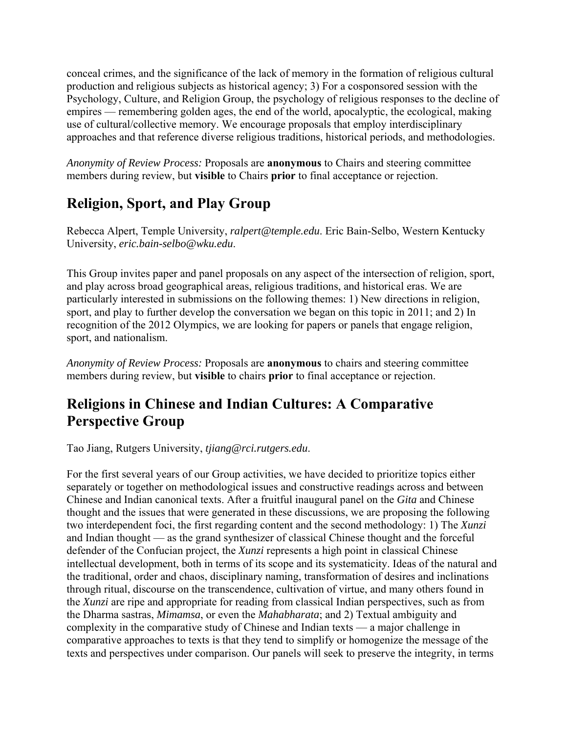conceal crimes, and the significance of the lack of memory in the formation of religious cultural production and religious subjects as historical agency; 3) For a cosponsored session with the Psychology, Culture, and Religion Group, the psychology of religious responses to the decline of empires — remembering golden ages, the end of the world, apocalyptic, the ecological, making use of cultural/collective memory. We encourage proposals that employ interdisciplinary approaches and that reference diverse religious traditions, historical periods, and methodologies.

*Anonymity of Review Process:* Proposals are **anonymous** to Chairs and steering committee members during review, but **visible** to Chairs **prior** to final acceptance or rejection.

# **Religion, Sport, and Play Group**

Rebecca Alpert, Temple University, *ralpert@temple.edu*. Eric Bain-Selbo, Western Kentucky University, *eric.bain-selbo@wku.edu*.

This Group invites paper and panel proposals on any aspect of the intersection of religion, sport, and play across broad geographical areas, religious traditions, and historical eras. We are particularly interested in submissions on the following themes: 1) New directions in religion, sport, and play to further develop the conversation we began on this topic in 2011; and 2) In recognition of the 2012 Olympics, we are looking for papers or panels that engage religion, sport, and nationalism.

*Anonymity of Review Process:* Proposals are **anonymous** to chairs and steering committee members during review, but **visible** to chairs **prior** to final acceptance or rejection.

## **Religions in Chinese and Indian Cultures: A Comparative Perspective Group**

Tao Jiang, Rutgers University, *tjiang@rci.rutgers.edu*.

For the first several years of our Group activities, we have decided to prioritize topics either separately or together on methodological issues and constructive readings across and between Chinese and Indian canonical texts. After a fruitful inaugural panel on the *Gita* and Chinese thought and the issues that were generated in these discussions, we are proposing the following two interdependent foci, the first regarding content and the second methodology: 1) The *Xunzi* and Indian thought — as the grand synthesizer of classical Chinese thought and the forceful defender of the Confucian project, the *Xunzi* represents a high point in classical Chinese intellectual development, both in terms of its scope and its systematicity. Ideas of the natural and the traditional, order and chaos, disciplinary naming, transformation of desires and inclinations through ritual, discourse on the transcendence, cultivation of virtue, and many others found in the *Xunzi* are ripe and appropriate for reading from classical Indian perspectives, such as from the Dharma sastras, *Mimamsa*, or even the *Mahabharata*; and 2) Textual ambiguity and complexity in the comparative study of Chinese and Indian texts — a major challenge in comparative approaches to texts is that they tend to simplify or homogenize the message of the texts and perspectives under comparison. Our panels will seek to preserve the integrity, in terms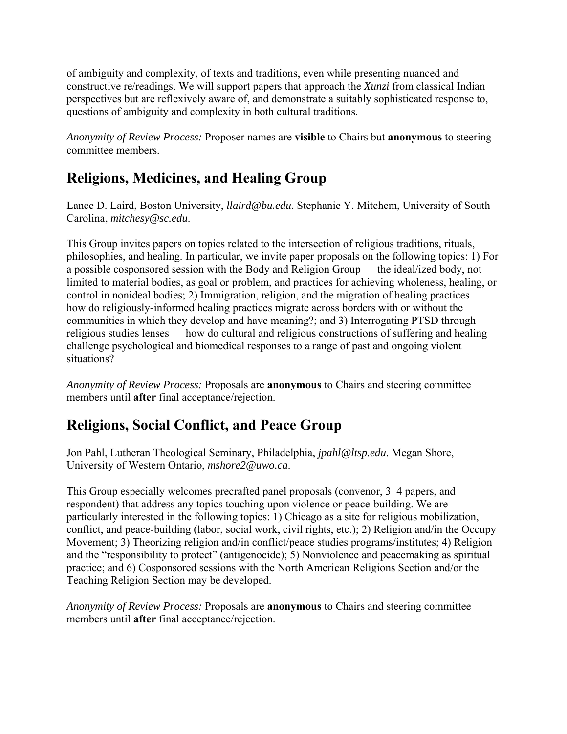of ambiguity and complexity, of texts and traditions, even while presenting nuanced and constructive re/readings. We will support papers that approach the *Xunzi* from classical Indian perspectives but are reflexively aware of, and demonstrate a suitably sophisticated response to, questions of ambiguity and complexity in both cultural traditions.

*Anonymity of Review Process:* Proposer names are **visible** to Chairs but **anonymous** to steering committee members.

#### **Religions, Medicines, and Healing Group**

Lance D. Laird, Boston University, *llaird@bu.edu*. Stephanie Y. Mitchem, University of South Carolina, *mitchesy@sc.edu*.

This Group invites papers on topics related to the intersection of religious traditions, rituals, philosophies, and healing. In particular, we invite paper proposals on the following topics: 1) For a possible cosponsored session with the Body and Religion Group — the ideal/ized body, not limited to material bodies, as goal or problem, and practices for achieving wholeness, healing, or control in nonideal bodies; 2) Immigration, religion, and the migration of healing practices how do religiously-informed healing practices migrate across borders with or without the communities in which they develop and have meaning?; and 3) Interrogating PTSD through religious studies lenses — how do cultural and religious constructions of suffering and healing challenge psychological and biomedical responses to a range of past and ongoing violent situations?

*Anonymity of Review Process:* Proposals are **anonymous** to Chairs and steering committee members until **after** final acceptance/rejection.

### **Religions, Social Conflict, and Peace Group**

Jon Pahl, Lutheran Theological Seminary, Philadelphia, *jpahl@ltsp.edu*. Megan Shore, University of Western Ontario, *mshore2@uwo.ca*.

This Group especially welcomes precrafted panel proposals (convenor, 3–4 papers, and respondent) that address any topics touching upon violence or peace-building. We are particularly interested in the following topics: 1) Chicago as a site for religious mobilization, conflict, and peace-building (labor, social work, civil rights, etc.); 2) Religion and/in the Occupy Movement; 3) Theorizing religion and/in conflict/peace studies programs/institutes; 4) Religion and the "responsibility to protect" (antigenocide); 5) Nonviolence and peacemaking as spiritual practice; and 6) Cosponsored sessions with the North American Religions Section and/or the Teaching Religion Section may be developed.

*Anonymity of Review Process:* Proposals are **anonymous** to Chairs and steering committee members until **after** final acceptance/rejection.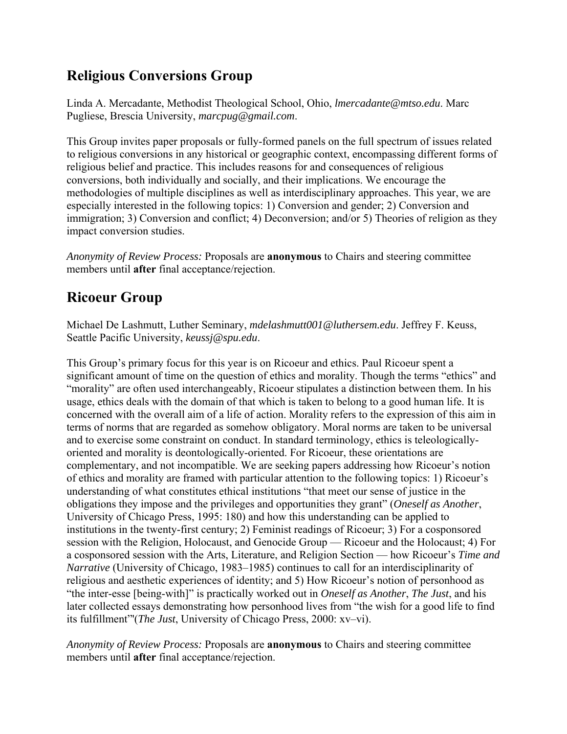## **Religious Conversions Group**

Linda A. Mercadante, Methodist Theological School, Ohio, *lmercadante@mtso.edu*. Marc Pugliese, Brescia University, *marcpug@gmail.com*.

This Group invites paper proposals or fully-formed panels on the full spectrum of issues related to religious conversions in any historical or geographic context, encompassing different forms of religious belief and practice. This includes reasons for and consequences of religious conversions, both individually and socially, and their implications. We encourage the methodologies of multiple disciplines as well as interdisciplinary approaches. This year, we are especially interested in the following topics: 1) Conversion and gender; 2) Conversion and immigration; 3) Conversion and conflict; 4) Deconversion; and/or 5) Theories of religion as they impact conversion studies.

*Anonymity of Review Process:* Proposals are **anonymous** to Chairs and steering committee members until **after** final acceptance/rejection.

# **Ricoeur Group**

Michael De Lashmutt, Luther Seminary, *mdelashmutt001@luthersem.edu*. Jeffrey F. Keuss, Seattle Pacific University, *keussj@spu.edu*.

This Group's primary focus for this year is on Ricoeur and ethics. Paul Ricoeur spent a significant amount of time on the question of ethics and morality. Though the terms "ethics" and "morality" are often used interchangeably, Ricoeur stipulates a distinction between them. In his usage, ethics deals with the domain of that which is taken to belong to a good human life. It is concerned with the overall aim of a life of action. Morality refers to the expression of this aim in terms of norms that are regarded as somehow obligatory. Moral norms are taken to be universal and to exercise some constraint on conduct. In standard terminology, ethics is teleologicallyoriented and morality is deontologically-oriented. For Ricoeur, these orientations are complementary, and not incompatible. We are seeking papers addressing how Ricoeur's notion of ethics and morality are framed with particular attention to the following topics: 1) Ricoeur's understanding of what constitutes ethical institutions "that meet our sense of justice in the obligations they impose and the privileges and opportunities they grant" (*Oneself as Another*, University of Chicago Press, 1995: 180) and how this understanding can be applied to institutions in the twenty-first century; 2) Feminist readings of Ricoeur; 3) For a cosponsored session with the Religion, Holocaust, and Genocide Group — Ricoeur and the Holocaust; 4) For a cosponsored session with the Arts, Literature, and Religion Section — how Ricoeur's *Time and Narrative* (University of Chicago, 1983–1985) continues to call for an interdisciplinarity of religious and aesthetic experiences of identity; and 5) How Ricoeur's notion of personhood as "the inter-esse [being-with]" is practically worked out in *Oneself as Another*, *The Just*, and his later collected essays demonstrating how personhood lives from "the wish for a good life to find its fulfillment"'(*The Just*, University of Chicago Press, 2000: xv–vi).

*Anonymity of Review Process:* Proposals are **anonymous** to Chairs and steering committee members until **after** final acceptance/rejection.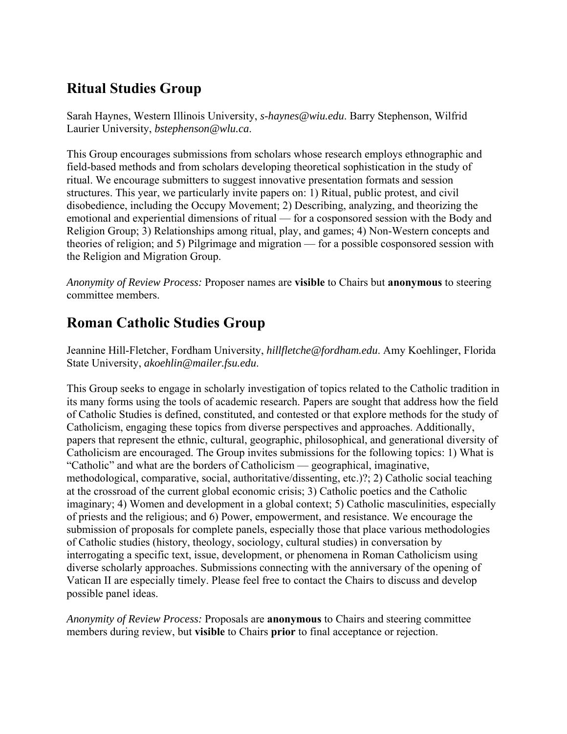## **Ritual Studies Group**

Sarah Haynes, Western Illinois University, *s-haynes@wiu.edu*. Barry Stephenson, Wilfrid Laurier University, *bstephenson@wlu.ca*.

This Group encourages submissions from scholars whose research employs ethnographic and field-based methods and from scholars developing theoretical sophistication in the study of ritual. We encourage submitters to suggest innovative presentation formats and session structures. This year, we particularly invite papers on: 1) Ritual, public protest, and civil disobedience, including the Occupy Movement; 2) Describing, analyzing, and theorizing the emotional and experiential dimensions of ritual — for a cosponsored session with the Body and Religion Group; 3) Relationships among ritual, play, and games; 4) Non-Western concepts and theories of religion; and 5) Pilgrimage and migration — for a possible cosponsored session with the Religion and Migration Group.

*Anonymity of Review Process:* Proposer names are **visible** to Chairs but **anonymous** to steering committee members.

### **Roman Catholic Studies Group**

Jeannine Hill-Fletcher, Fordham University, *hillfletche@fordham.edu*. Amy Koehlinger, Florida State University, *akoehlin@mailer.fsu.edu*.

This Group seeks to engage in scholarly investigation of topics related to the Catholic tradition in its many forms using the tools of academic research. Papers are sought that address how the field of Catholic Studies is defined, constituted, and contested or that explore methods for the study of Catholicism, engaging these topics from diverse perspectives and approaches. Additionally, papers that represent the ethnic, cultural, geographic, philosophical, and generational diversity of Catholicism are encouraged. The Group invites submissions for the following topics: 1) What is "Catholic" and what are the borders of Catholicism — geographical, imaginative, methodological, comparative, social, authoritative/dissenting, etc.)?; 2) Catholic social teaching at the crossroad of the current global economic crisis; 3) Catholic poetics and the Catholic imaginary; 4) Women and development in a global context; 5) Catholic masculinities, especially of priests and the religious; and 6) Power, empowerment, and resistance. We encourage the submission of proposals for complete panels, especially those that place various methodologies of Catholic studies (history, theology, sociology, cultural studies) in conversation by interrogating a specific text, issue, development, or phenomena in Roman Catholicism using diverse scholarly approaches. Submissions connecting with the anniversary of the opening of Vatican II are especially timely. Please feel free to contact the Chairs to discuss and develop possible panel ideas.

*Anonymity of Review Process:* Proposals are **anonymous** to Chairs and steering committee members during review, but **visible** to Chairs **prior** to final acceptance or rejection.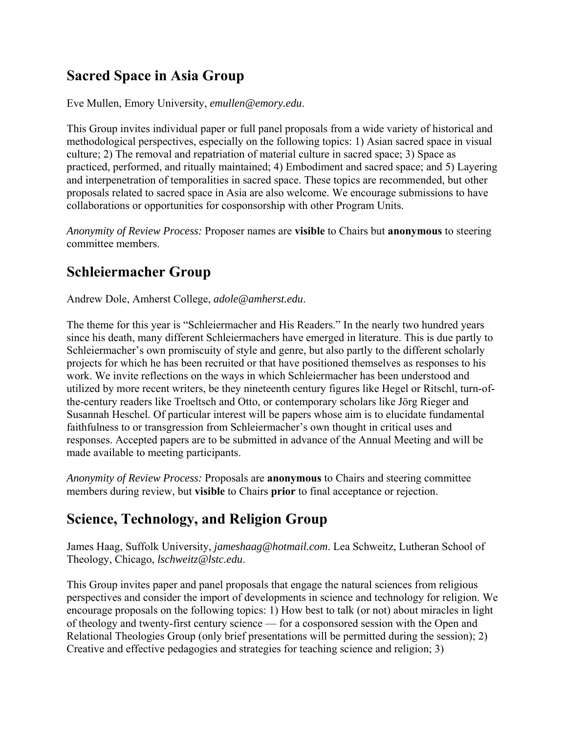### **Sacred Space in Asia Group**

Eve Mullen, Emory University, *emullen@emory.edu*.

This Group invites individual paper or full panel proposals from a wide variety of historical and methodological perspectives, especially on the following topics: 1) Asian sacred space in visual culture; 2) The removal and repatriation of material culture in sacred space; 3) Space as practiced, performed, and ritually maintained; 4) Embodiment and sacred space; and 5) Layering and interpenetration of temporalities in sacred space. These topics are recommended, but other proposals related to sacred space in Asia are also welcome. We encourage submissions to have collaborations or opportunities for cosponsorship with other Program Units.

*Anonymity of Review Process:* Proposer names are **visible** to Chairs but **anonymous** to steering committee members.

#### **Schleiermacher Group**

Andrew Dole, Amherst College, *adole@amherst.edu*.

The theme for this year is "Schleiermacher and His Readers." In the nearly two hundred years since his death, many different Schleiermachers have emerged in literature. This is due partly to Schleiermacher's own promiscuity of style and genre, but also partly to the different scholarly projects for which he has been recruited or that have positioned themselves as responses to his work. We invite reflections on the ways in which Schleiermacher has been understood and utilized by more recent writers, be they nineteenth century figures like Hegel or Ritschl, turn-ofthe-century readers like Troeltsch and Otto, or contemporary scholars like Jörg Rieger and Susannah Heschel. Of particular interest will be papers whose aim is to elucidate fundamental faithfulness to or transgression from Schleiermacher's own thought in critical uses and responses. Accepted papers are to be submitted in advance of the Annual Meeting and will be made available to meeting participants.

*Anonymity of Review Process:* Proposals are **anonymous** to Chairs and steering committee members during review, but **visible** to Chairs **prior** to final acceptance or rejection.

#### **Science, Technology, and Religion Group**

James Haag, Suffolk University, *jameshaag@hotmail.com*. Lea Schweitz, Lutheran School of Theology, Chicago, *lschweitz@lstc.edu*.

This Group invites paper and panel proposals that engage the natural sciences from religious perspectives and consider the import of developments in science and technology for religion. We encourage proposals on the following topics: 1) How best to talk (or not) about miracles in light of theology and twenty-first century science — for a cosponsored session with the Open and Relational Theologies Group (only brief presentations will be permitted during the session); 2) Creative and effective pedagogies and strategies for teaching science and religion; 3)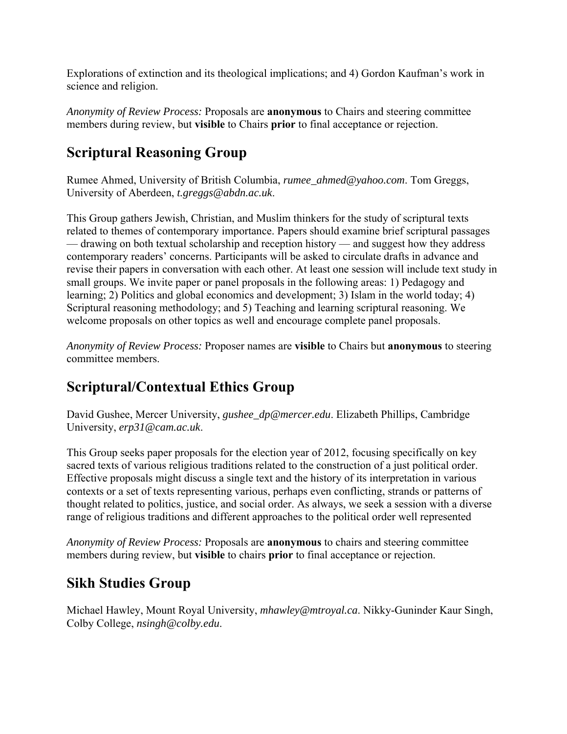Explorations of extinction and its theological implications; and 4) Gordon Kaufman's work in science and religion.

*Anonymity of Review Process:* Proposals are **anonymous** to Chairs and steering committee members during review, but **visible** to Chairs **prior** to final acceptance or rejection.

## **Scriptural Reasoning Group**

Rumee Ahmed, University of British Columbia, *rumee\_ahmed@yahoo.com*. Tom Greggs, University of Aberdeen, *t.greggs@abdn.ac.uk*.

This Group gathers Jewish, Christian, and Muslim thinkers for the study of scriptural texts related to themes of contemporary importance. Papers should examine brief scriptural passages — drawing on both textual scholarship and reception history — and suggest how they address contemporary readers' concerns. Participants will be asked to circulate drafts in advance and revise their papers in conversation with each other. At least one session will include text study in small groups. We invite paper or panel proposals in the following areas: 1) Pedagogy and learning; 2) Politics and global economics and development; 3) Islam in the world today; 4) Scriptural reasoning methodology; and 5) Teaching and learning scriptural reasoning. We welcome proposals on other topics as well and encourage complete panel proposals.

*Anonymity of Review Process:* Proposer names are **visible** to Chairs but **anonymous** to steering committee members.

### **Scriptural/Contextual Ethics Group**

David Gushee, Mercer University, *gushee\_dp@mercer.edu*. Elizabeth Phillips, Cambridge University, *erp31@cam.ac.uk*.

This Group seeks paper proposals for the election year of 2012, focusing specifically on key sacred texts of various religious traditions related to the construction of a just political order. Effective proposals might discuss a single text and the history of its interpretation in various contexts or a set of texts representing various, perhaps even conflicting, strands or patterns of thought related to politics, justice, and social order. As always, we seek a session with a diverse range of religious traditions and different approaches to the political order well represented

*Anonymity of Review Process:* Proposals are **anonymous** to chairs and steering committee members during review, but **visible** to chairs **prior** to final acceptance or rejection.

#### **Sikh Studies Group**

Michael Hawley, Mount Royal University, *mhawley@mtroyal.ca*. Nikky-Guninder Kaur Singh, Colby College, *nsingh@colby.edu*.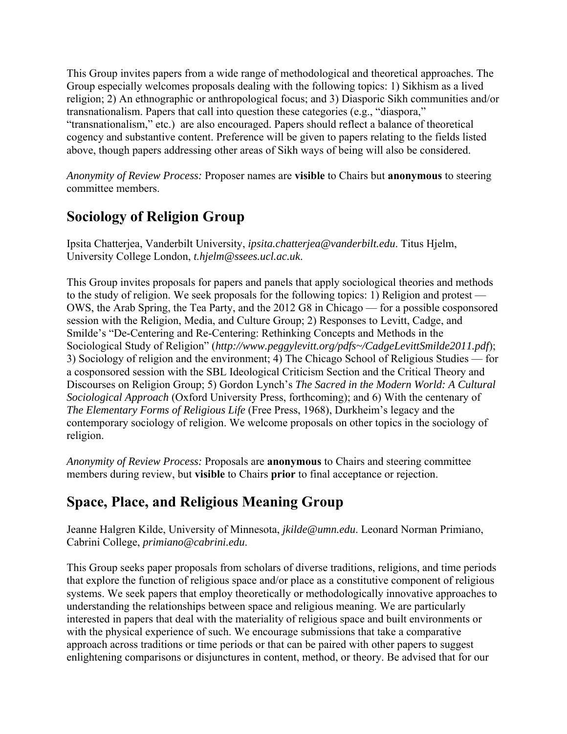This Group invites papers from a wide range of methodological and theoretical approaches. The Group especially welcomes proposals dealing with the following topics: 1) Sikhism as a lived religion; 2) An ethnographic or anthropological focus; and 3) Diasporic Sikh communities and/or transnationalism. Papers that call into question these categories (e.g., "diaspora," "transnationalism," etc.) are also encouraged. Papers should reflect a balance of theoretical cogency and substantive content. Preference will be given to papers relating to the fields listed above, though papers addressing other areas of Sikh ways of being will also be considered.

*Anonymity of Review Process:* Proposer names are **visible** to Chairs but **anonymous** to steering committee members.

### **Sociology of Religion Group**

Ipsita Chatterjea, Vanderbilt University, *ipsita.chatterjea@vanderbilt.edu*. Titus Hjelm, University College London, *t.hjelm@ssees.ucl.ac.uk*.

This Group invites proposals for papers and panels that apply sociological theories and methods to the study of religion. We seek proposals for the following topics: 1) Religion and protest — OWS, the Arab Spring, the Tea Party, and the 2012 G8 in Chicago — for a possible cosponsored session with the Religion, Media, and Culture Group; 2) Responses to Levitt, Cadge, and Smilde's "De-Centering and Re-Centering: Rethinking Concepts and Methods in the Sociological Study of Religion" (*http://www.peggylevitt.org/pdfs~/CadgeLevittSmilde2011.pdf*); 3) Sociology of religion and the environment; 4) The Chicago School of Religious Studies — for a cosponsored session with the SBL Ideological Criticism Section and the Critical Theory and Discourses on Religion Group; 5) Gordon Lynch's *The Sacred in the Modern World: A Cultural Sociological Approach* (Oxford University Press, forthcoming); and 6) With the centenary of *The Elementary Forms of Religious Life* (Free Press, 1968), Durkheim's legacy and the contemporary sociology of religion. We welcome proposals on other topics in the sociology of religion.

*Anonymity of Review Process:* Proposals are **anonymous** to Chairs and steering committee members during review, but **visible** to Chairs **prior** to final acceptance or rejection.

### **Space, Place, and Religious Meaning Group**

Jeanne Halgren Kilde, University of Minnesota, *jkilde@umn.edu*. Leonard Norman Primiano, Cabrini College, *primiano@cabrini.edu*.

This Group seeks paper proposals from scholars of diverse traditions, religions, and time periods that explore the function of religious space and/or place as a constitutive component of religious systems. We seek papers that employ theoretically or methodologically innovative approaches to understanding the relationships between space and religious meaning. We are particularly interested in papers that deal with the materiality of religious space and built environments or with the physical experience of such. We encourage submissions that take a comparative approach across traditions or time periods or that can be paired with other papers to suggest enlightening comparisons or disjunctures in content, method, or theory. Be advised that for our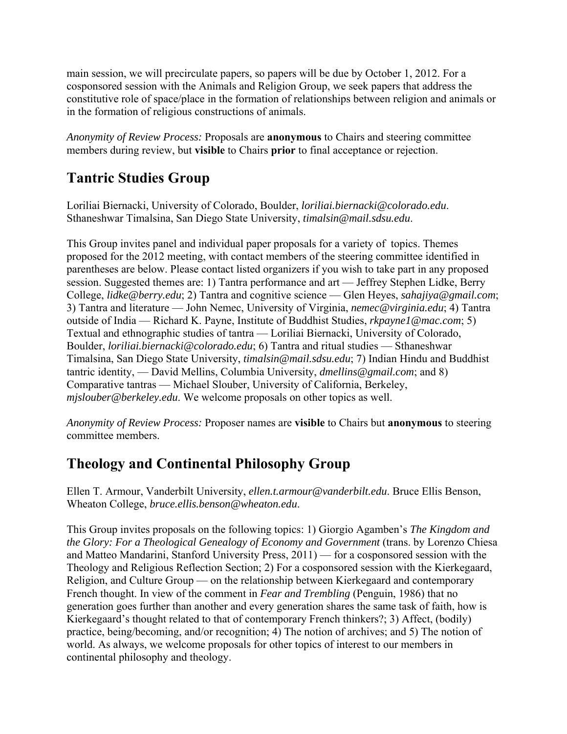main session, we will precirculate papers, so papers will be due by October 1, 2012. For a cosponsored session with the Animals and Religion Group, we seek papers that address the constitutive role of space/place in the formation of relationships between religion and animals or in the formation of religious constructions of animals.

*Anonymity of Review Process:* Proposals are **anonymous** to Chairs and steering committee members during review, but **visible** to Chairs **prior** to final acceptance or rejection.

### **Tantric Studies Group**

Loriliai Biernacki, University of Colorado, Boulder, *loriliai.biernacki@colorado.edu*. Sthaneshwar Timalsina, San Diego State University, *timalsin@mail.sdsu.edu*.

This Group invites panel and individual paper proposals for a variety of topics. Themes proposed for the 2012 meeting, with contact members of the steering committee identified in parentheses are below. Please contact listed organizers if you wish to take part in any proposed session. Suggested themes are: 1) Tantra performance and art — Jeffrey Stephen Lidke, Berry College, *lidke@berry.edu*; 2) Tantra and cognitive science — Glen Heyes, *sahajiya@gmail.com*; 3) Tantra and literature — John Nemec, University of Virginia, *nemec@virginia.edu*; 4) Tantra outside of India — Richard K. Payne, Institute of Buddhist Studies, *rkpayne1@mac.com*; 5) Textual and ethnographic studies of tantra — Loriliai Biernacki, University of Colorado, Boulder, *loriliai.biernacki@colorado.edu*; 6) Tantra and ritual studies — Sthaneshwar Timalsina, San Diego State University, *timalsin@mail.sdsu.edu*; 7) Indian Hindu and Buddhist tantric identity, — David Mellins, Columbia University, *dmellins@gmail.com*; and 8) Comparative tantras — Michael Slouber, University of California, Berkeley, *mjslouber@berkeley.edu*. We welcome proposals on other topics as well.

*Anonymity of Review Process:* Proposer names are **visible** to Chairs but **anonymous** to steering committee members.

### **Theology and Continental Philosophy Group**

Ellen T. Armour, Vanderbilt University, *ellen.t.armour@vanderbilt.edu*. Bruce Ellis Benson, Wheaton College, *bruce.ellis.benson@wheaton.edu*.

This Group invites proposals on the following topics: 1) Giorgio Agamben's *The Kingdom and the Glory: For a Theological Genealogy of Economy and Government* (trans. by Lorenzo Chiesa and Matteo Mandarini, Stanford University Press, 2011) — for a cosponsored session with the Theology and Religious Reflection Section; 2) For a cosponsored session with the Kierkegaard, Religion, and Culture Group — on the relationship between Kierkegaard and contemporary French thought. In view of the comment in *Fear and Trembling* (Penguin, 1986) that no generation goes further than another and every generation shares the same task of faith, how is Kierkegaard's thought related to that of contemporary French thinkers?; 3) Affect, (bodily) practice, being/becoming, and/or recognition; 4) The notion of archives; and 5) The notion of world. As always, we welcome proposals for other topics of interest to our members in continental philosophy and theology.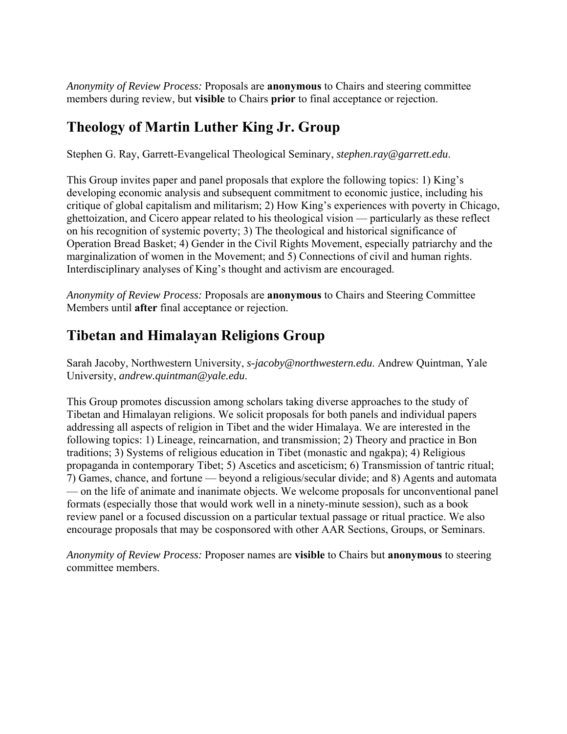*Anonymity of Review Process:* Proposals are **anonymous** to Chairs and steering committee members during review, but **visible** to Chairs **prior** to final acceptance or rejection.

### **Theology of Martin Luther King Jr. Group**

Stephen G. Ray, Garrett-Evangelical Theological Seminary, *stephen.ray@garrett.edu*.

This Group invites paper and panel proposals that explore the following topics: 1) King's developing economic analysis and subsequent commitment to economic justice, including his critique of global capitalism and militarism; 2) How King's experiences with poverty in Chicago, ghettoization, and Cicero appear related to his theological vision — particularly as these reflect on his recognition of systemic poverty; 3) The theological and historical significance of Operation Bread Basket; 4) Gender in the Civil Rights Movement, especially patriarchy and the marginalization of women in the Movement; and 5) Connections of civil and human rights. Interdisciplinary analyses of King's thought and activism are encouraged.

*Anonymity of Review Process:* Proposals are **anonymous** to Chairs and Steering Committee Members until **after** final acceptance or rejection.

# **Tibetan and Himalayan Religions Group**

Sarah Jacoby, Northwestern University, *s-jacoby@northwestern.edu*. Andrew Quintman, Yale University, *andrew.quintman@yale.edu*.

This Group promotes discussion among scholars taking diverse approaches to the study of Tibetan and Himalayan religions. We solicit proposals for both panels and individual papers addressing all aspects of religion in Tibet and the wider Himalaya. We are interested in the following topics: 1) Lineage, reincarnation, and transmission; 2) Theory and practice in Bon traditions; 3) Systems of religious education in Tibet (monastic and ngakpa); 4) Religious propaganda in contemporary Tibet; 5) Ascetics and asceticism; 6) Transmission of tantric ritual; 7) Games, chance, and fortune — beyond a religious/secular divide; and 8) Agents and automata — on the life of animate and inanimate objects. We welcome proposals for unconventional panel formats (especially those that would work well in a ninety-minute session), such as a book review panel or a focused discussion on a particular textual passage or ritual practice. We also encourage proposals that may be cosponsored with other AAR Sections, Groups, or Seminars.

*Anonymity of Review Process:* Proposer names are **visible** to Chairs but **anonymous** to steering committee members.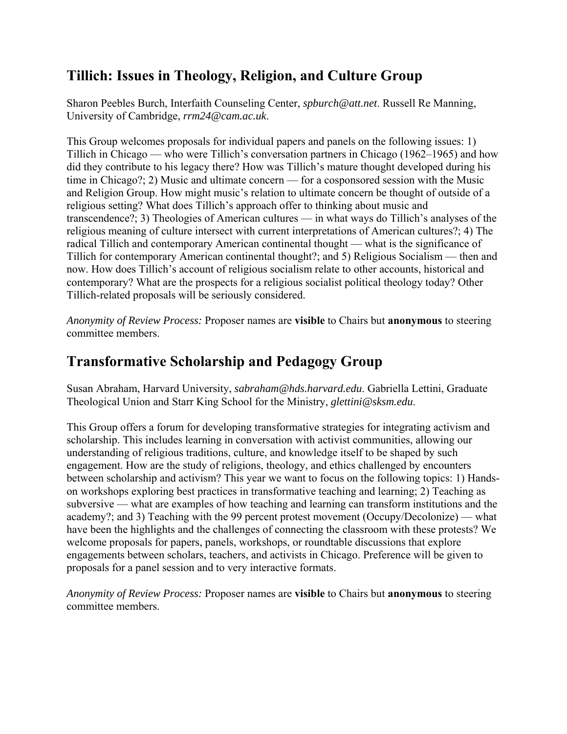### **Tillich: Issues in Theology, Religion, and Culture Group**

Sharon Peebles Burch, Interfaith Counseling Center, *spburch@att.net*. Russell Re Manning, University of Cambridge, *rrm24@cam.ac.uk*.

This Group welcomes proposals for individual papers and panels on the following issues: 1) Tillich in Chicago — who were Tillich's conversation partners in Chicago (1962–1965) and how did they contribute to his legacy there? How was Tillich's mature thought developed during his time in Chicago?; 2) Music and ultimate concern — for a cosponsored session with the Music and Religion Group. How might music's relation to ultimate concern be thought of outside of a religious setting? What does Tillich's approach offer to thinking about music and transcendence?; 3) Theologies of American cultures — in what ways do Tillich's analyses of the religious meaning of culture intersect with current interpretations of American cultures?; 4) The radical Tillich and contemporary American continental thought — what is the significance of Tillich for contemporary American continental thought?; and 5) Religious Socialism — then and now. How does Tillich's account of religious socialism relate to other accounts, historical and contemporary? What are the prospects for a religious socialist political theology today? Other Tillich-related proposals will be seriously considered.

*Anonymity of Review Process:* Proposer names are **visible** to Chairs but **anonymous** to steering committee members.

#### **Transformative Scholarship and Pedagogy Group**

Susan Abraham, Harvard University, *sabraham@hds.harvard.edu*. Gabriella Lettini, Graduate Theological Union and Starr King School for the Ministry, *glettini@sksm.edu*.

This Group offers a forum for developing transformative strategies for integrating activism and scholarship. This includes learning in conversation with activist communities, allowing our understanding of religious traditions, culture, and knowledge itself to be shaped by such engagement. How are the study of religions, theology, and ethics challenged by encounters between scholarship and activism? This year we want to focus on the following topics: 1) Handson workshops exploring best practices in transformative teaching and learning; 2) Teaching as subversive — what are examples of how teaching and learning can transform institutions and the academy?; and 3) Teaching with the 99 percent protest movement (Occupy/Decolonize) — what have been the highlights and the challenges of connecting the classroom with these protests? We welcome proposals for papers, panels, workshops, or roundtable discussions that explore engagements between scholars, teachers, and activists in Chicago. Preference will be given to proposals for a panel session and to very interactive formats.

*Anonymity of Review Process:* Proposer names are **visible** to Chairs but **anonymous** to steering committee members.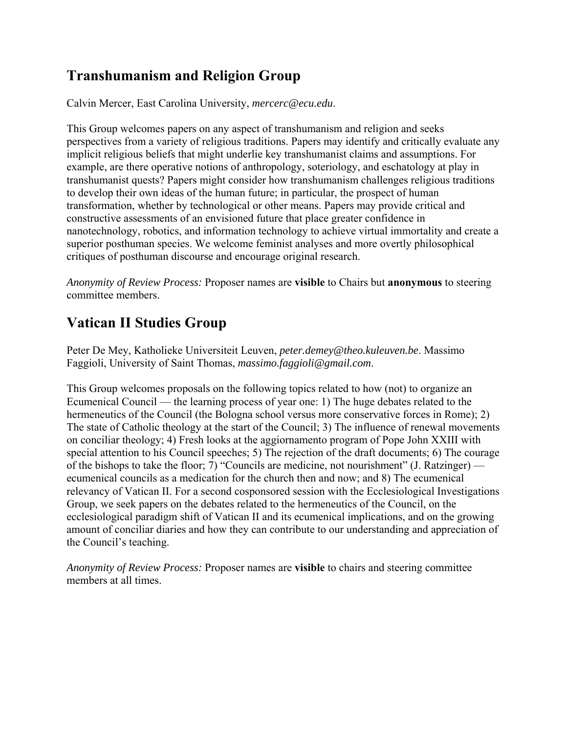# **Transhumanism and Religion Group**

Calvin Mercer, East Carolina University, *mercerc@ecu.edu*.

This Group welcomes papers on any aspect of transhumanism and religion and seeks perspectives from a variety of religious traditions. Papers may identify and critically evaluate any implicit religious beliefs that might underlie key transhumanist claims and assumptions. For example, are there operative notions of anthropology, soteriology, and eschatology at play in transhumanist quests? Papers might consider how transhumanism challenges religious traditions to develop their own ideas of the human future; in particular, the prospect of human transformation, whether by technological or other means. Papers may provide critical and constructive assessments of an envisioned future that place greater confidence in nanotechnology, robotics, and information technology to achieve virtual immortality and create a superior posthuman species. We welcome feminist analyses and more overtly philosophical critiques of posthuman discourse and encourage original research.

*Anonymity of Review Process:* Proposer names are **visible** to Chairs but **anonymous** to steering committee members.

# **Vatican II Studies Group**

Peter De Mey, Katholieke Universiteit Leuven, *peter.demey@theo.kuleuven.be*. Massimo Faggioli, University of Saint Thomas, *massimo.faggioli@gmail.com*.

This Group welcomes proposals on the following topics related to how (not) to organize an Ecumenical Council — the learning process of year one: 1) The huge debates related to the hermeneutics of the Council (the Bologna school versus more conservative forces in Rome); 2) The state of Catholic theology at the start of the Council; 3) The influence of renewal movements on conciliar theology; 4) Fresh looks at the aggiornamento program of Pope John XXIII with special attention to his Council speeches; 5) The rejection of the draft documents; 6) The courage of the bishops to take the floor; 7) "Councils are medicine, not nourishment" (J. Ratzinger) ecumenical councils as a medication for the church then and now; and 8) The ecumenical relevancy of Vatican II. For a second cosponsored session with the Ecclesiological Investigations Group, we seek papers on the debates related to the hermeneutics of the Council, on the ecclesiological paradigm shift of Vatican II and its ecumenical implications, and on the growing amount of conciliar diaries and how they can contribute to our understanding and appreciation of the Council's teaching.

*Anonymity of Review Process:* Proposer names are **visible** to chairs and steering committee members at all times.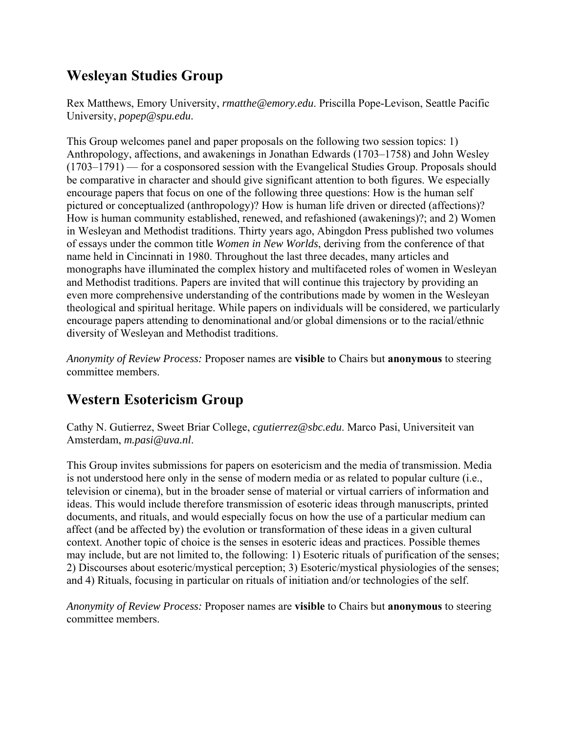## **Wesleyan Studies Group**

Rex Matthews, Emory University, *rmatthe@emory.edu*. Priscilla Pope-Levison, Seattle Pacific University, *popep@spu.edu*.

This Group welcomes panel and paper proposals on the following two session topics: 1) Anthropology, affections, and awakenings in Jonathan Edwards (1703–1758) and John Wesley (1703–1791) — for a cosponsored session with the Evangelical Studies Group. Proposals should be comparative in character and should give significant attention to both figures. We especially encourage papers that focus on one of the following three questions: How is the human self pictured or conceptualized (anthropology)? How is human life driven or directed (affections)? How is human community established, renewed, and refashioned (awakenings)?; and 2) Women in Wesleyan and Methodist traditions. Thirty years ago, Abingdon Press published two volumes of essays under the common title *Women in New Worlds*, deriving from the conference of that name held in Cincinnati in 1980. Throughout the last three decades, many articles and monographs have illuminated the complex history and multifaceted roles of women in Wesleyan and Methodist traditions. Papers are invited that will continue this trajectory by providing an even more comprehensive understanding of the contributions made by women in the Wesleyan theological and spiritual heritage. While papers on individuals will be considered, we particularly encourage papers attending to denominational and/or global dimensions or to the racial/ethnic diversity of Wesleyan and Methodist traditions.

*Anonymity of Review Process:* Proposer names are **visible** to Chairs but **anonymous** to steering committee members.

### **Western Esotericism Group**

Cathy N. Gutierrez, Sweet Briar College, *cgutierrez@sbc.edu*. Marco Pasi, Universiteit van Amsterdam, *m.pasi@uva.nl*.

This Group invites submissions for papers on esotericism and the media of transmission. Media is not understood here only in the sense of modern media or as related to popular culture (i.e., television or cinema), but in the broader sense of material or virtual carriers of information and ideas. This would include therefore transmission of esoteric ideas through manuscripts, printed documents, and rituals, and would especially focus on how the use of a particular medium can affect (and be affected by) the evolution or transformation of these ideas in a given cultural context. Another topic of choice is the senses in esoteric ideas and practices. Possible themes may include, but are not limited to, the following: 1) Esoteric rituals of purification of the senses; 2) Discourses about esoteric/mystical perception; 3) Esoteric/mystical physiologies of the senses; and 4) Rituals, focusing in particular on rituals of initiation and/or technologies of the self.

*Anonymity of Review Process:* Proposer names are **visible** to Chairs but **anonymous** to steering committee members.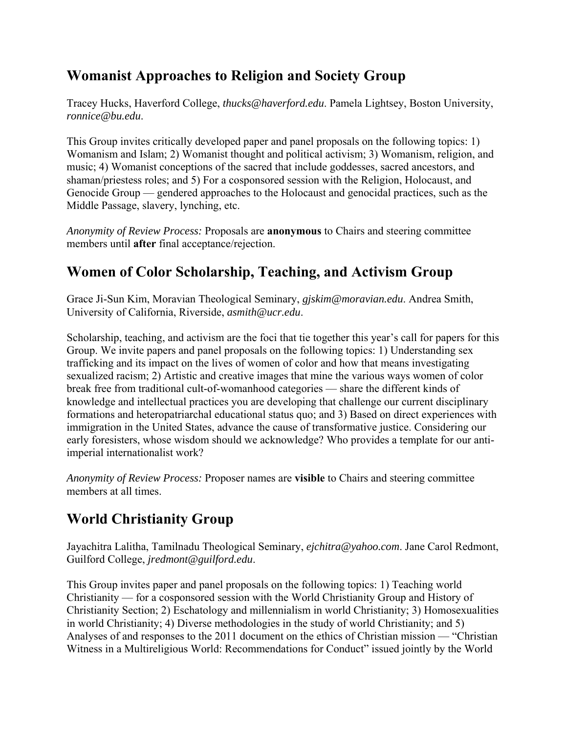### **Womanist Approaches to Religion and Society Group**

Tracey Hucks, Haverford College, *thucks@haverford.edu*. Pamela Lightsey, Boston University, *ronnice@bu.edu*.

This Group invites critically developed paper and panel proposals on the following topics: 1) Womanism and Islam; 2) Womanist thought and political activism; 3) Womanism, religion, and music; 4) Womanist conceptions of the sacred that include goddesses, sacred ancestors, and shaman/priestess roles; and 5) For a cosponsored session with the Religion, Holocaust, and Genocide Group — gendered approaches to the Holocaust and genocidal practices, such as the Middle Passage, slavery, lynching, etc.

*Anonymity of Review Process:* Proposals are **anonymous** to Chairs and steering committee members until **after** final acceptance/rejection.

## **Women of Color Scholarship, Teaching, and Activism Group**

Grace Ji-Sun Kim, Moravian Theological Seminary, *gjskim@moravian.edu*. Andrea Smith, University of California, Riverside, *asmith@ucr.edu*.

Scholarship, teaching, and activism are the foci that tie together this year's call for papers for this Group. We invite papers and panel proposals on the following topics: 1) Understanding sex trafficking and its impact on the lives of women of color and how that means investigating sexualized racism; 2) Artistic and creative images that mine the various ways women of color break free from traditional cult-of-womanhood categories — share the different kinds of knowledge and intellectual practices you are developing that challenge our current disciplinary formations and heteropatriarchal educational status quo; and 3) Based on direct experiences with immigration in the United States, advance the cause of transformative justice. Considering our early foresisters, whose wisdom should we acknowledge? Who provides a template for our antiimperial internationalist work?

*Anonymity of Review Process:* Proposer names are **visible** to Chairs and steering committee members at all times.

# **World Christianity Group**

Jayachitra Lalitha, Tamilnadu Theological Seminary, *ejchitra@yahoo.com*. Jane Carol Redmont, Guilford College, *jredmont@guilford.edu*.

This Group invites paper and panel proposals on the following topics: 1) Teaching world Christianity — for a cosponsored session with the World Christianity Group and History of Christianity Section; 2) Eschatology and millennialism in world Christianity; 3) Homosexualities in world Christianity; 4) Diverse methodologies in the study of world Christianity; and 5) Analyses of and responses to the 2011 document on the ethics of Christian mission — "Christian Witness in a Multireligious World: Recommendations for Conduct" issued jointly by the World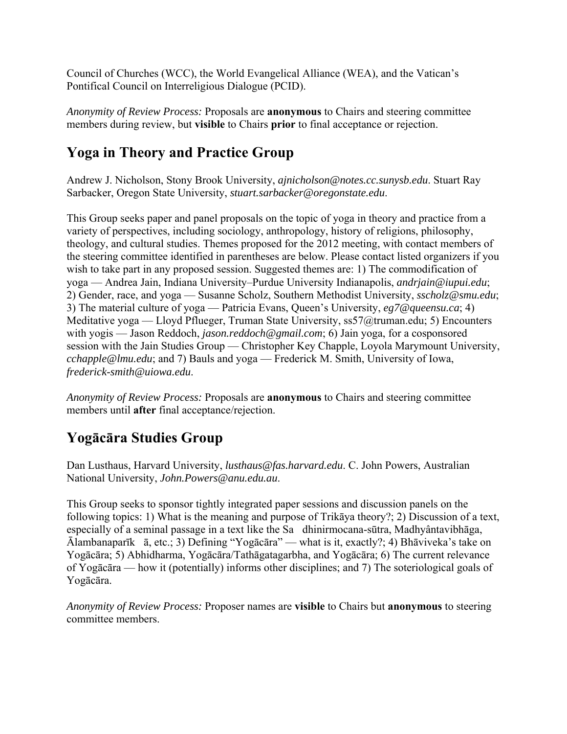Council of Churches (WCC), the World Evangelical Alliance (WEA), and the Vatican's Pontifical Council on Interreligious Dialogue (PCID).

*Anonymity of Review Process:* Proposals are **anonymous** to Chairs and steering committee members during review, but **visible** to Chairs **prior** to final acceptance or rejection.

## **Yoga in Theory and Practice Group**

Andrew J. Nicholson, Stony Brook University, *ajnicholson@notes.cc.sunysb.edu*. Stuart Ray Sarbacker, Oregon State University, *stuart.sarbacker@oregonstate.edu*.

This Group seeks paper and panel proposals on the topic of yoga in theory and practice from a variety of perspectives, including sociology, anthropology, history of religions, philosophy, theology, and cultural studies. Themes proposed for the 2012 meeting, with contact members of the steering committee identified in parentheses are below. Please contact listed organizers if you wish to take part in any proposed session. Suggested themes are: 1) The commodification of yoga — Andrea Jain, Indiana University–Purdue University Indianapolis, *andrjain@iupui.edu*; 2) Gender, race, and yoga — Susanne Scholz, Southern Methodist University, *sscholz@smu.edu*; 3) The material culture of yoga — Patricia Evans, Queen's University, *eg7@queensu.ca*; 4) Meditative yoga — Lloyd Pflueger, Truman State University, ss57@truman.edu; 5) Encounters with yogis — Jason Reddoch, *jason.reddoch@gmail.com*; 6) Jain yoga, for a cosponsored session with the Jain Studies Group — Christopher Key Chapple, Loyola Marymount University, *cchapple@lmu.edu*; and 7) Bauls and yoga — Frederick M. Smith, University of Iowa, *frederick-smith@uiowa.edu*.

*Anonymity of Review Process:* Proposals are **anonymous** to Chairs and steering committee members until **after** final acceptance/rejection.

### **Yogācāra Studies Group**

Dan Lusthaus, Harvard University, *lusthaus@fas.harvard.edu*. C. John Powers, Australian National University, *John.Powers@anu.edu.au*.

This Group seeks to sponsor tightly integrated paper sessions and discussion panels on the following topics: 1) What is the meaning and purpose of Trikāya theory?; 2) Discussion of a text, especially of a seminal passage in a text like the Sa dhinirmocana-sūtra, Madhyântavibhāga, Ālambanaparīkā, etc.; 3) Defining "Yogācāra" — what is it, exactly?; 4) Bhāviveka's take on Yogācāra; 5) Abhidharma, Yogācāra/Tathāgatagarbha, and Yogācāra; 6) The current relevance of Yogācāra — how it (potentially) informs other disciplines; and 7) The soteriological goals of Yogācāra.

*Anonymity of Review Process:* Proposer names are **visible** to Chairs but **anonymous** to steering committee members.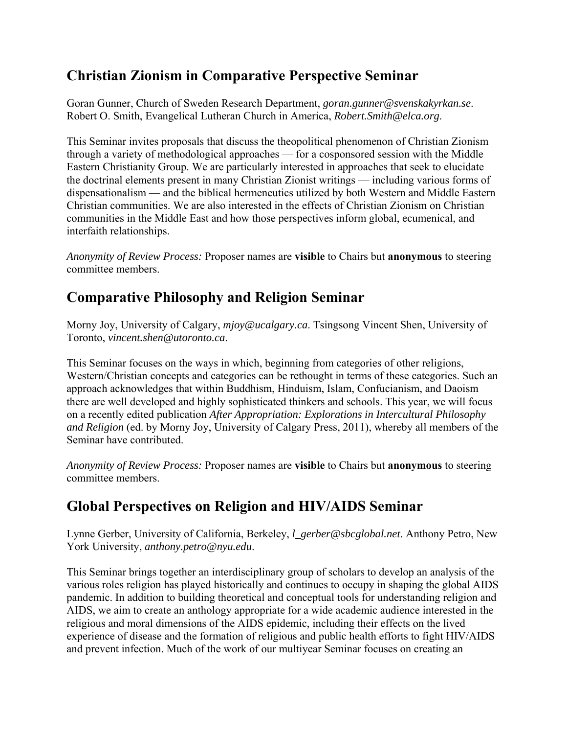## **Christian Zionism in Comparative Perspective Seminar**

Goran Gunner, Church of Sweden Research Department, *goran.gunner@svenskakyrkan.se*. Robert O. Smith, Evangelical Lutheran Church in America, *Robert.Smith@elca.org*.

This Seminar invites proposals that discuss the theopolitical phenomenon of Christian Zionism through a variety of methodological approaches — for a cosponsored session with the Middle Eastern Christianity Group. We are particularly interested in approaches that seek to elucidate the doctrinal elements present in many Christian Zionist writings — including various forms of dispensationalism — and the biblical hermeneutics utilized by both Western and Middle Eastern Christian communities. We are also interested in the effects of Christian Zionism on Christian communities in the Middle East and how those perspectives inform global, ecumenical, and interfaith relationships.

*Anonymity of Review Process:* Proposer names are **visible** to Chairs but **anonymous** to steering committee members.

## **Comparative Philosophy and Religion Seminar**

Morny Joy, University of Calgary, *mjoy@ucalgary.ca*. Tsingsong Vincent Shen, University of Toronto, *vincent.shen@utoronto.ca*.

This Seminar focuses on the ways in which, beginning from categories of other religions, Western/Christian concepts and categories can be rethought in terms of these categories. Such an approach acknowledges that within Buddhism, Hinduism, Islam, Confucianism, and Daoism there are well developed and highly sophisticated thinkers and schools. This year, we will focus on a recently edited publication *After Appropriation: Explorations in Intercultural Philosophy and Religion* (ed. by Morny Joy, University of Calgary Press, 2011), whereby all members of the Seminar have contributed.

*Anonymity of Review Process:* Proposer names are **visible** to Chairs but **anonymous** to steering committee members.

### **Global Perspectives on Religion and HIV/AIDS Seminar**

Lynne Gerber, University of California, Berkeley, *l\_gerber@sbcglobal.net*. Anthony Petro, New York University, *anthony.petro@nyu.edu*.

This Seminar brings together an interdisciplinary group of scholars to develop an analysis of the various roles religion has played historically and continues to occupy in shaping the global AIDS pandemic. In addition to building theoretical and conceptual tools for understanding religion and AIDS, we aim to create an anthology appropriate for a wide academic audience interested in the religious and moral dimensions of the AIDS epidemic, including their effects on the lived experience of disease and the formation of religious and public health efforts to fight HIV/AIDS and prevent infection. Much of the work of our multiyear Seminar focuses on creating an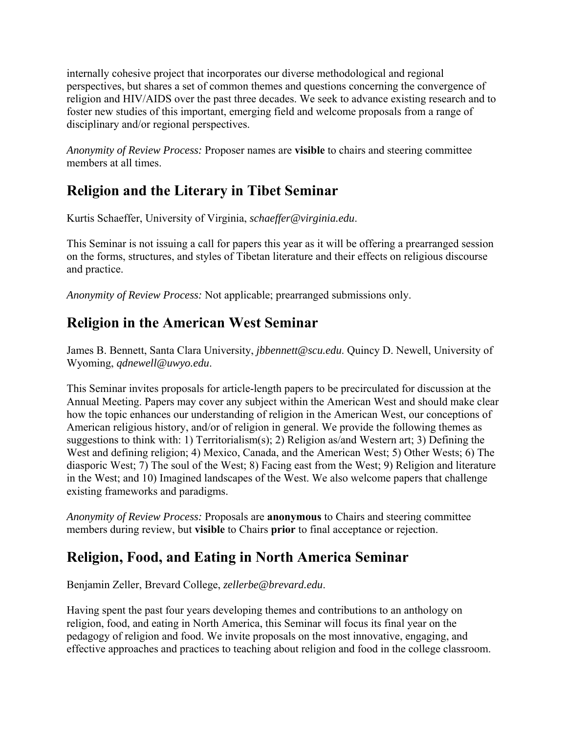internally cohesive project that incorporates our diverse methodological and regional perspectives, but shares a set of common themes and questions concerning the convergence of religion and HIV/AIDS over the past three decades. We seek to advance existing research and to foster new studies of this important, emerging field and welcome proposals from a range of disciplinary and/or regional perspectives.

*Anonymity of Review Process:* Proposer names are **visible** to chairs and steering committee members at all times.

# **Religion and the Literary in Tibet Seminar**

Kurtis Schaeffer, University of Virginia, *schaeffer@virginia.edu*.

This Seminar is not issuing a call for papers this year as it will be offering a prearranged session on the forms, structures, and styles of Tibetan literature and their effects on religious discourse and practice.

*Anonymity of Review Process:* Not applicable; prearranged submissions only.

# **Religion in the American West Seminar**

James B. Bennett, Santa Clara University, *jbbennett@scu.edu*. Quincy D. Newell, University of Wyoming, *qdnewell@uwyo.edu*.

This Seminar invites proposals for article-length papers to be precirculated for discussion at the Annual Meeting. Papers may cover any subject within the American West and should make clear how the topic enhances our understanding of religion in the American West, our conceptions of American religious history, and/or of religion in general. We provide the following themes as suggestions to think with: 1) Territorialism(s); 2) Religion as/and Western art; 3) Defining the West and defining religion; 4) Mexico, Canada, and the American West; 5) Other Wests; 6) The diasporic West; 7) The soul of the West; 8) Facing east from the West; 9) Religion and literature in the West; and 10) Imagined landscapes of the West. We also welcome papers that challenge existing frameworks and paradigms.

*Anonymity of Review Process:* Proposals are **anonymous** to Chairs and steering committee members during review, but **visible** to Chairs **prior** to final acceptance or rejection.

# **Religion, Food, and Eating in North America Seminar**

Benjamin Zeller, Brevard College, *zellerbe@brevard.edu*.

Having spent the past four years developing themes and contributions to an anthology on religion, food, and eating in North America, this Seminar will focus its final year on the pedagogy of religion and food. We invite proposals on the most innovative, engaging, and effective approaches and practices to teaching about religion and food in the college classroom.